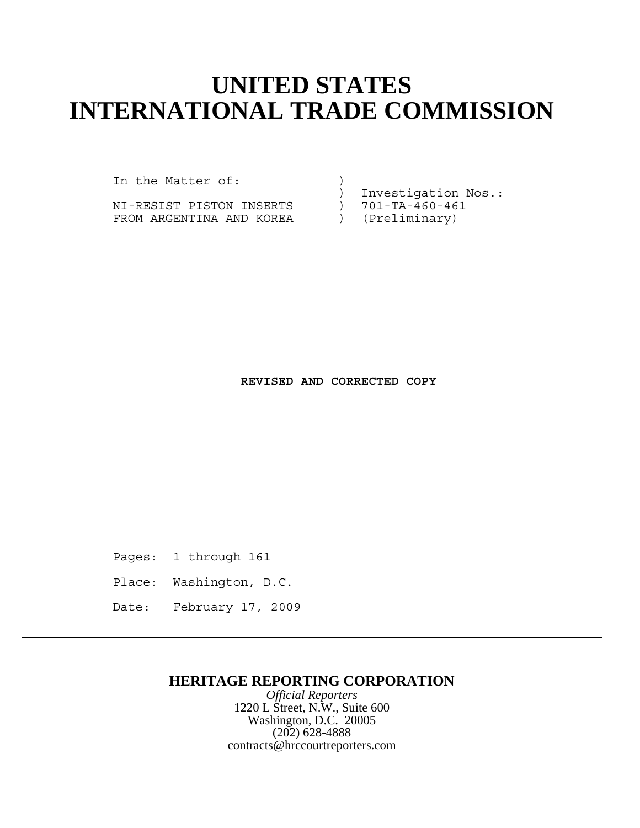## **UNITED STATES INTERNATIONAL TRADE COMMISSION**

In the Matter of:  $\qquad \qquad$  )

NI-RESIST PISTON INSERTS ) 701-TA-460-46<br>FROM ARGENTINA AND KOREA ) (Preliminary) FROM ARGENTINA AND KOREA

) Investigation Nos.:<br>) 701-TA-460-461

**REVISED AND CORRECTED COPY**

Pages: 1 through 161

- Place: Washington, D.C.
- Date: February 17, 2009

## **HERITAGE REPORTING CORPORATION**

*Official Reporters* 1220 L Street, N.W., Suite 600 Washington, D.C. 20005 (202) 628-4888 contracts@hrccourtreporters.com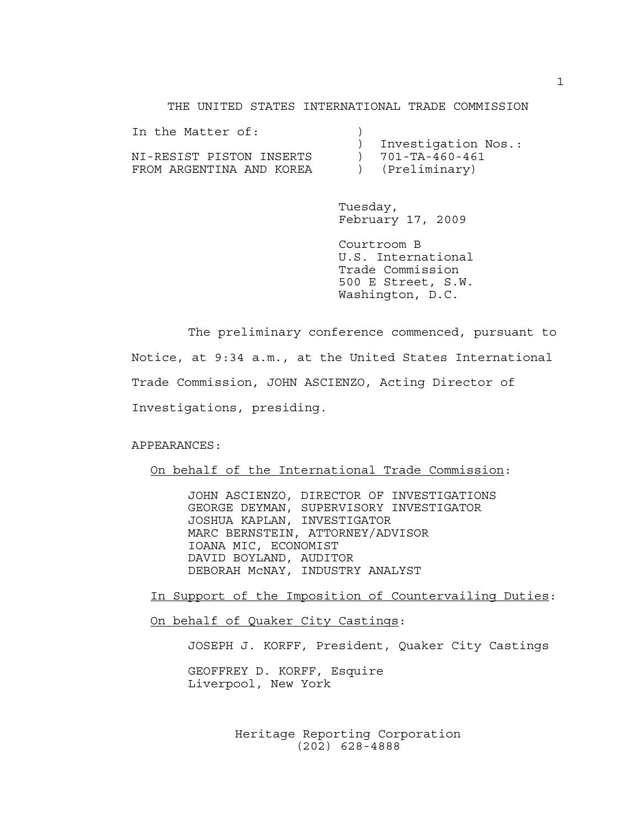THE UNITED STATES INTERNATIONAL TRADE COMMISSION

| Investigation Nos.: |
|---------------------|
| 701-TA-460-461      |
| (Preliminary)       |
|                     |

Tuesday, February 17, 2009

Courtroom B U.S. International Trade Commission 500 E Street, S.W. Washington, D.C.

The preliminary conference commenced, pursuant to Notice, at 9:34 a.m., at the United States International Trade Commission, JOHN ASCIENZO, Acting Director of Investigations, presiding.

APPEARANCES:

On behalf of the International Trade Commission:

JOHN ASCIENZO, DIRECTOR OF INVESTIGATIONS GEORGE DEYMAN, SUPERVISORY INVESTIGATOR JOSHUA KAPLAN, INVESTIGATOR MARC BERNSTEIN, ATTORNEY/ADVISOR IOANA MIC, ECONOMIST DAVID BOYLAND, AUDITOR DEBORAH McNAY, INDUSTRY ANALYST

In Support of the Imposition of Countervailing Duties:

On behalf of Quaker City Castings:

JOSEPH J. KORFF, President, Quaker City Castings

GEOFFREY D. KORFF, Esquire Liverpool, New York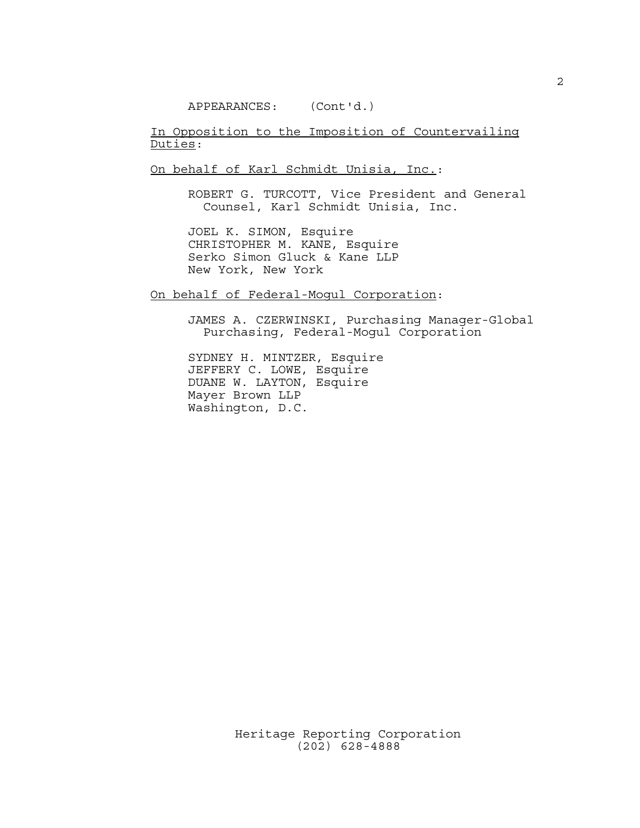APPEARANCES: (Cont'd.)

In Opposition to the Imposition of Countervailing Duties:

On behalf of Karl Schmidt Unisia, Inc.:

ROBERT G. TURCOTT, Vice President and General Counsel, Karl Schmidt Unisia, Inc.

JOEL K. SIMON, Esquire CHRISTOPHER M. KANE, Esquire Serko Simon Gluck & Kane LLP New York, New York

On behalf of Federal-Mogul Corporation:

JAMES A. CZERWINSKI, Purchasing Manager-Global Purchasing, Federal-Mogul Corporation

SYDNEY H. MINTZER, Esquire JEFFERY C. LOWE, Esquire DUANE W. LAYTON, Esquire Mayer Brown LLP Washington, D.C.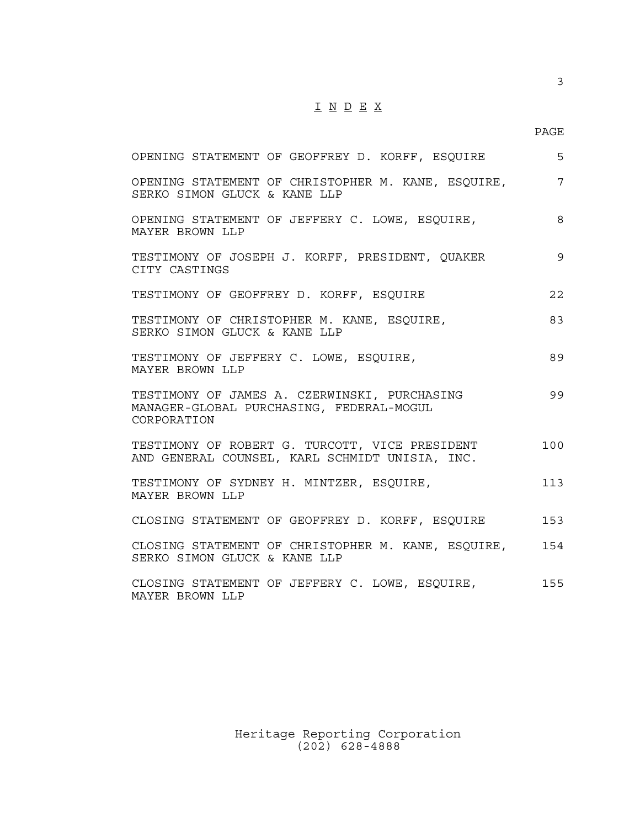## $\underline{\texttt{I}} \underline{\texttt{N}} \underline{\texttt{D}} \underline{\texttt{E}} \underline{\texttt{X}}$

3

| OPENING STATEMENT OF GEOFFREY D. KORFF, ESQUIRE                                                         | 5   |
|---------------------------------------------------------------------------------------------------------|-----|
| OPENING STATEMENT OF CHRISTOPHER M. KANE, ESQUIRE,<br>SERKO SIMON GLUCK & KANE LLP                      | 7   |
| OPENING STATEMENT OF JEFFERY C. LOWE, ESQUIRE,<br>MAYER BROWN LLP                                       | 8   |
| TESTIMONY OF JOSEPH J. KORFF, PRESIDENT, QUAKER<br>CITY CASTINGS                                        | 9   |
| TESTIMONY OF GEOFFREY D. KORFF, ESQUIRE                                                                 | 2.2 |
| TESTIMONY OF CHRISTOPHER M. KANE, ESQUIRE,<br>SERKO SIMON GLUCK & KANE LLP                              | 83  |
| TESTIMONY OF JEFFERY C. LOWE, ESQUIRE,<br>MAYER BROWN LLP                                               | 89  |
| TESTIMONY OF JAMES A. CZERWINSKI, PURCHASING<br>MANAGER-GLOBAL PURCHASING, FEDERAL-MOGUL<br>CORPORATION | 99  |
| TESTIMONY OF ROBERT G. TURCOTT, VICE PRESIDENT<br>AND GENERAL COUNSEL, KARL SCHMIDT UNISIA, INC.        | 100 |
| TESTIMONY OF SYDNEY H. MINTZER, ESQUIRE,<br>MAYER BROWN LLP                                             | 113 |
| CLOSING STATEMENT OF GEOFFREY D. KORFF, ESQUIRE                                                         | 153 |
| CLOSING STATEMENT OF CHRISTOPHER M. KANE, ESQUIRE, 154<br>SERKO SIMON GLUCK & KANE LLP                  |     |
| CLOSING STATEMENT OF JEFFERY C. LOWE, ESQUIRE, 255<br>MAYER BROWN LLP                                   |     |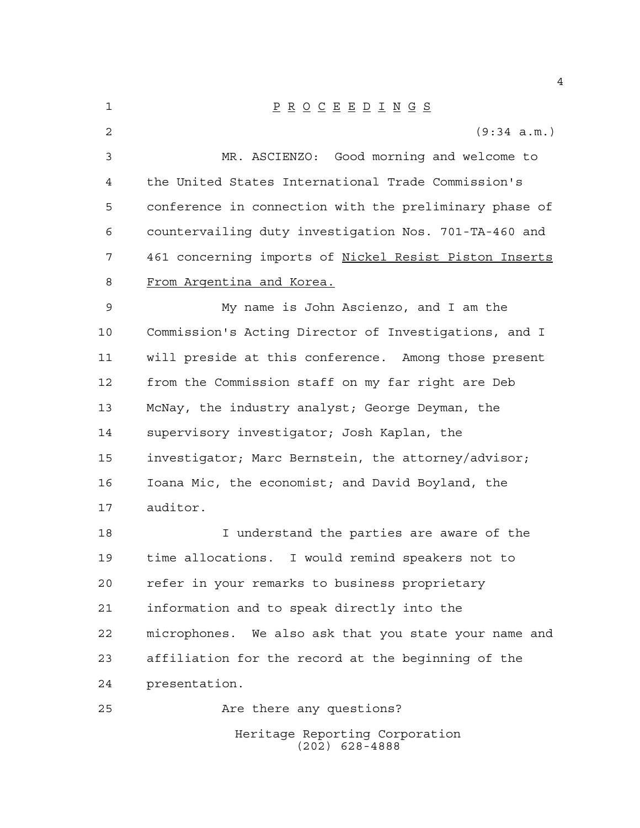P R O C E E D I N G S (9:34 a.m.) MR. ASCIENZO: Good morning and welcome to the United States International Trade Commission's conference in connection with the preliminary phase of countervailing duty investigation Nos. 701-TA-460 and 461 concerning imports of Nickel Resist Piston Inserts From Argentina and Korea. My name is John Ascienzo, and I am the Commission's Acting Director of Investigations, and I will preside at this conference. Among those present from the Commission staff on my far right are Deb McNay, the industry analyst; George Deyman, the supervisory investigator; Josh Kaplan, the investigator; Marc Bernstein, the attorney/advisor; Ioana Mic, the economist; and David Boyland, the auditor. I understand the parties are aware of the time allocations. I would remind speakers not to refer in your remarks to business proprietary information and to speak directly into the microphones. We also ask that you state your name and affiliation for the record at the beginning of the presentation. Are there any questions?

> Heritage Reporting Corporation (202) 628-4888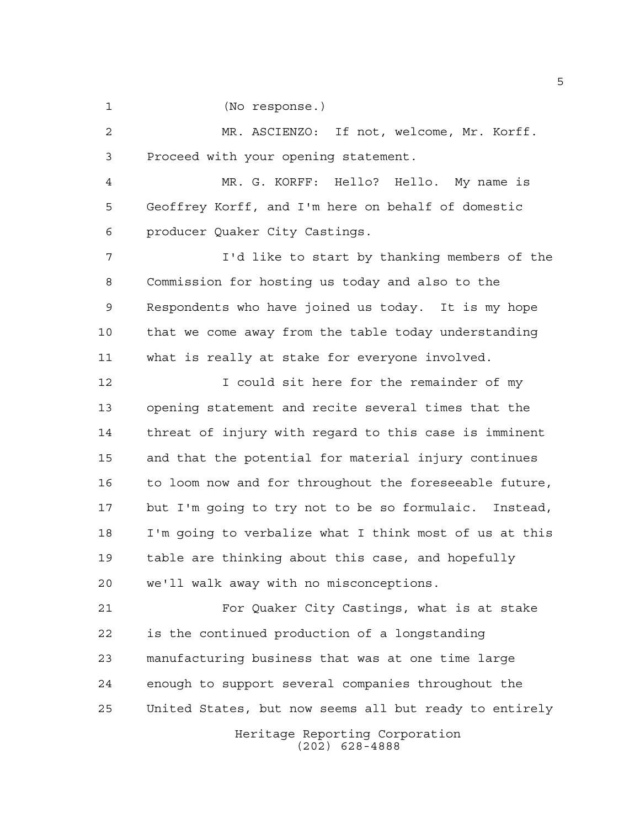(No response.)

 MR. ASCIENZO: If not, welcome, Mr. Korff. Proceed with your opening statement.

 MR. G. KORFF: Hello? Hello. My name is Geoffrey Korff, and I'm here on behalf of domestic producer Quaker City Castings.

 I'd like to start by thanking members of the Commission for hosting us today and also to the Respondents who have joined us today. It is my hope that we come away from the table today understanding what is really at stake for everyone involved.

12 12 I could sit here for the remainder of my opening statement and recite several times that the threat of injury with regard to this case is imminent and that the potential for material injury continues to loom now and for throughout the foreseeable future, but I'm going to try not to be so formulaic. Instead, I'm going to verbalize what I think most of us at this table are thinking about this case, and hopefully we'll walk away with no misconceptions.

 For Quaker City Castings, what is at stake is the continued production of a longstanding manufacturing business that was at one time large enough to support several companies throughout the United States, but now seems all but ready to entirely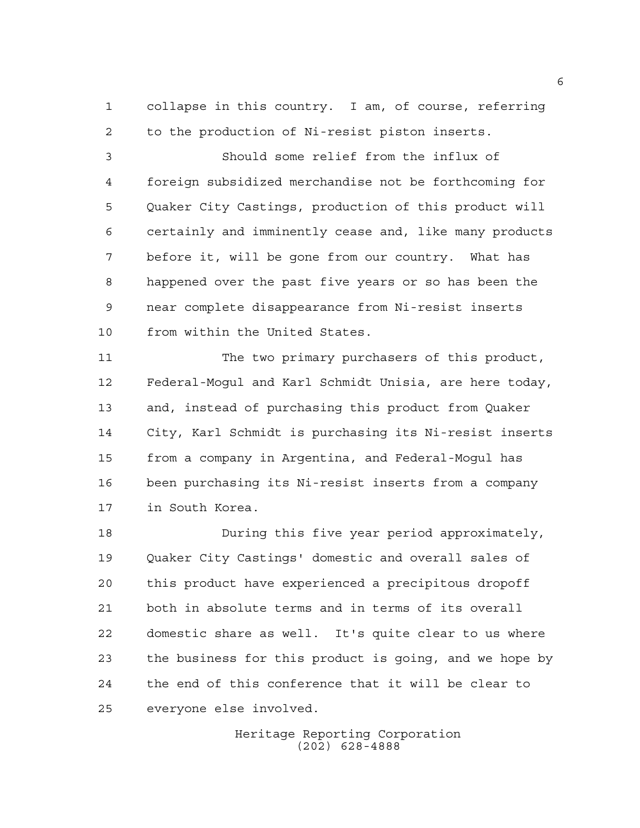collapse in this country. I am, of course, referring to the production of Ni-resist piston inserts.

 Should some relief from the influx of foreign subsidized merchandise not be forthcoming for Quaker City Castings, production of this product will certainly and imminently cease and, like many products before it, will be gone from our country. What has happened over the past five years or so has been the near complete disappearance from Ni-resist inserts from within the United States.

 The two primary purchasers of this product, Federal-Mogul and Karl Schmidt Unisia, are here today, and, instead of purchasing this product from Quaker City, Karl Schmidt is purchasing its Ni-resist inserts from a company in Argentina, and Federal-Mogul has been purchasing its Ni-resist inserts from a company in South Korea.

 During this five year period approximately, Quaker City Castings' domestic and overall sales of this product have experienced a precipitous dropoff both in absolute terms and in terms of its overall domestic share as well. It's quite clear to us where the business for this product is going, and we hope by the end of this conference that it will be clear to everyone else involved.

> Heritage Reporting Corporation (202) 628-4888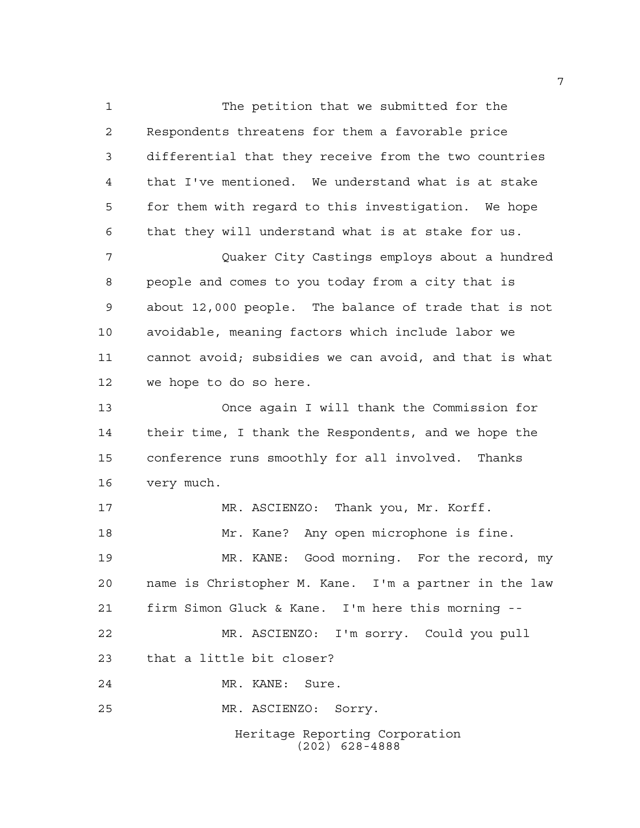Heritage Reporting Corporation (202) 628-4888 The petition that we submitted for the Respondents threatens for them a favorable price differential that they receive from the two countries that I've mentioned. We understand what is at stake for them with regard to this investigation. We hope that they will understand what is at stake for us. Quaker City Castings employs about a hundred people and comes to you today from a city that is about 12,000 people. The balance of trade that is not avoidable, meaning factors which include labor we cannot avoid; subsidies we can avoid, and that is what we hope to do so here. Once again I will thank the Commission for their time, I thank the Respondents, and we hope the conference runs smoothly for all involved. Thanks very much. MR. ASCIENZO: Thank you, Mr. Korff. Mr. Kane? Any open microphone is fine. MR. KANE: Good morning. For the record, my name is Christopher M. Kane. I'm a partner in the law firm Simon Gluck & Kane. I'm here this morning -- MR. ASCIENZO: I'm sorry. Could you pull that a little bit closer? MR. KANE: Sure. MR. ASCIENZO: Sorry.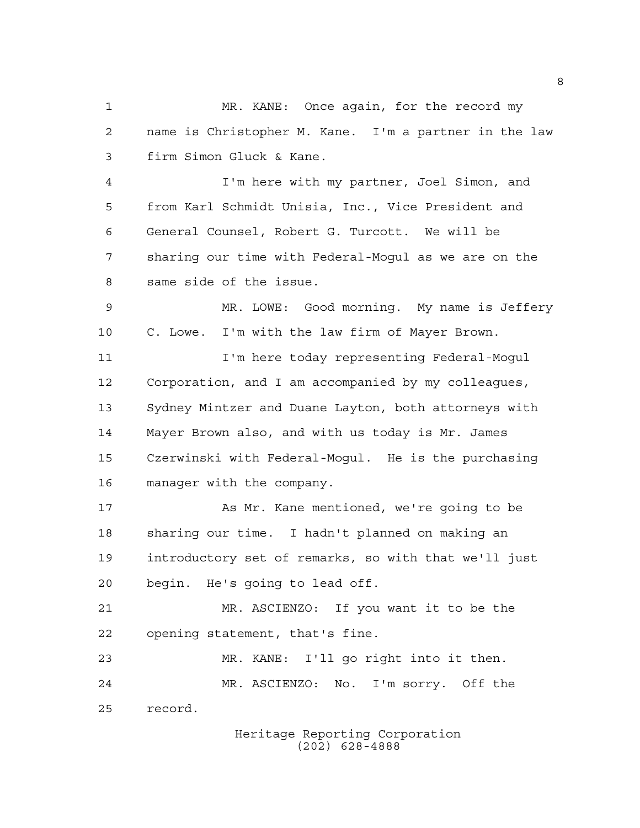MR. KANE: Once again, for the record my name is Christopher M. Kane. I'm a partner in the law firm Simon Gluck & Kane. I'm here with my partner, Joel Simon, and from Karl Schmidt Unisia, Inc., Vice President and General Counsel, Robert G. Turcott. We will be sharing our time with Federal-Mogul as we are on the same side of the issue. MR. LOWE: Good morning. My name is Jeffery C. Lowe. I'm with the law firm of Mayer Brown. I'm here today representing Federal-Mogul Corporation, and I am accompanied by my colleagues, Sydney Mintzer and Duane Layton, both attorneys with Mayer Brown also, and with us today is Mr. James Czerwinski with Federal-Mogul. He is the purchasing manager with the company. As Mr. Kane mentioned, we're going to be sharing our time. I hadn't planned on making an introductory set of remarks, so with that we'll just begin. He's going to lead off. MR. ASCIENZO: If you want it to be the opening statement, that's fine. MR. KANE: I'll go right into it then. MR. ASCIENZO: No. I'm sorry. Off the record.

Heritage Reporting Corporation (202) 628-4888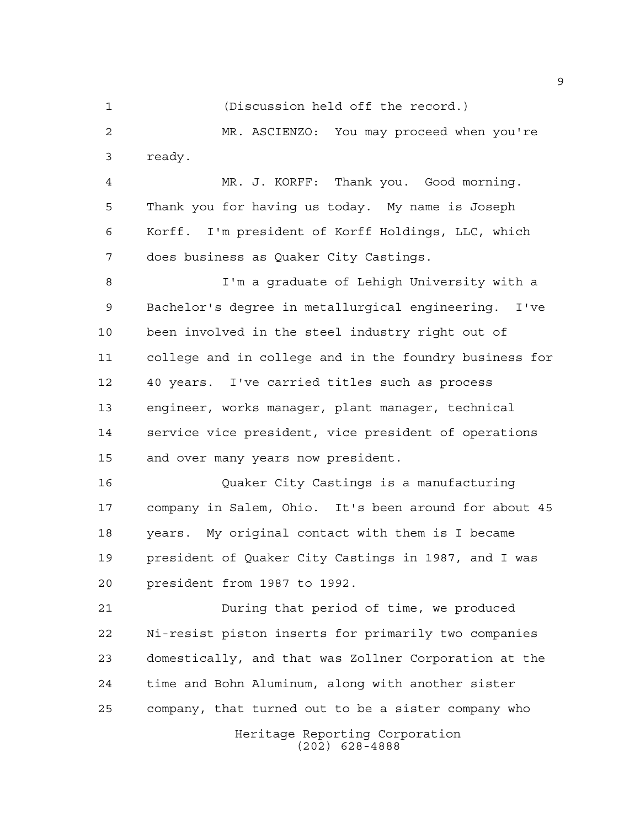MR. ASCIENZO: You may proceed when you're ready. MR. J. KORFF: Thank you. Good morning. Thank you for having us today. My name is Joseph Korff. I'm president of Korff Holdings, LLC, which does business as Quaker City Castings. I'm a graduate of Lehigh University with a Bachelor's degree in metallurgical engineering. I've been involved in the steel industry right out of

(Discussion held off the record.)

 college and in college and in the foundry business for 40 years. I've carried titles such as process engineer, works manager, plant manager, technical service vice president, vice president of operations and over many years now president.

 Quaker City Castings is a manufacturing company in Salem, Ohio. It's been around for about 45 years. My original contact with them is I became president of Quaker City Castings in 1987, and I was president from 1987 to 1992.

 During that period of time, we produced Ni-resist piston inserts for primarily two companies domestically, and that was Zollner Corporation at the time and Bohn Aluminum, along with another sister company, that turned out to be a sister company who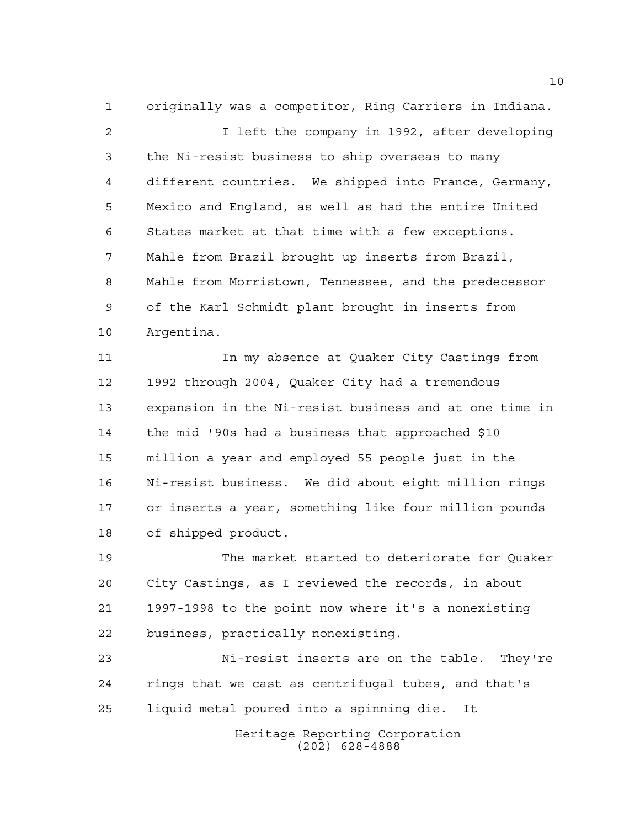originally was a competitor, Ring Carriers in Indiana.

2 1 Ieft the company in 1992, after developing the Ni-resist business to ship overseas to many different countries. We shipped into France, Germany, Mexico and England, as well as had the entire United States market at that time with a few exceptions. Mahle from Brazil brought up inserts from Brazil, Mahle from Morristown, Tennessee, and the predecessor of the Karl Schmidt plant brought in inserts from Argentina.

 In my absence at Quaker City Castings from 1992 through 2004, Quaker City had a tremendous expansion in the Ni-resist business and at one time in the mid '90s had a business that approached \$10 million a year and employed 55 people just in the Ni-resist business. We did about eight million rings or inserts a year, something like four million pounds of shipped product.

 The market started to deteriorate for Quaker City Castings, as I reviewed the records, in about 1997-1998 to the point now where it's a nonexisting business, practically nonexisting.

 Ni-resist inserts are on the table. They're rings that we cast as centrifugal tubes, and that's liquid metal poured into a spinning die. It

> Heritage Reporting Corporation (202) 628-4888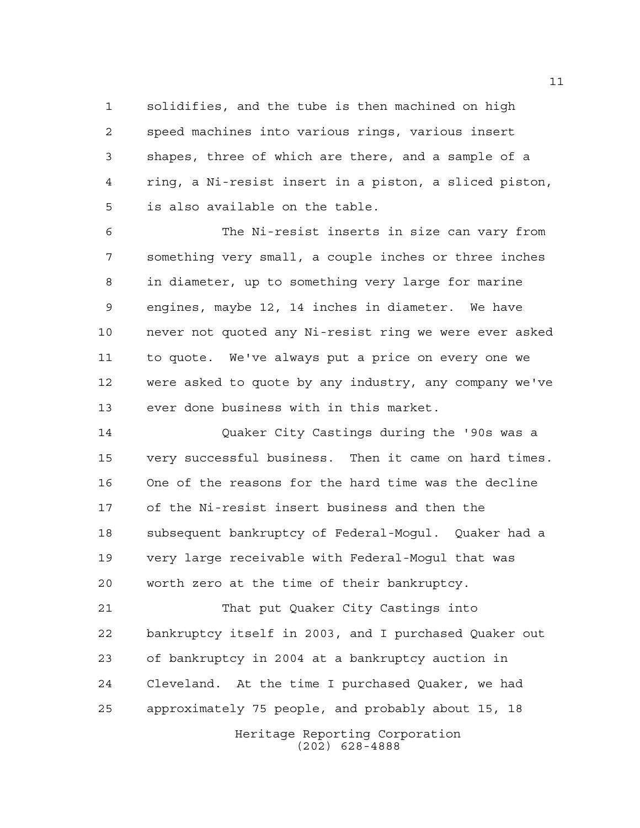solidifies, and the tube is then machined on high speed machines into various rings, various insert shapes, three of which are there, and a sample of a ring, a Ni-resist insert in a piston, a sliced piston, is also available on the table.

 The Ni-resist inserts in size can vary from something very small, a couple inches or three inches in diameter, up to something very large for marine engines, maybe 12, 14 inches in diameter. We have never not quoted any Ni-resist ring we were ever asked to quote. We've always put a price on every one we were asked to quote by any industry, any company we've ever done business with in this market.

 Quaker City Castings during the '90s was a very successful business. Then it came on hard times. One of the reasons for the hard time was the decline of the Ni-resist insert business and then the subsequent bankruptcy of Federal-Mogul. Quaker had a very large receivable with Federal-Mogul that was worth zero at the time of their bankruptcy.

 That put Quaker City Castings into bankruptcy itself in 2003, and I purchased Quaker out of bankruptcy in 2004 at a bankruptcy auction in Cleveland. At the time I purchased Quaker, we had approximately 75 people, and probably about 15, 18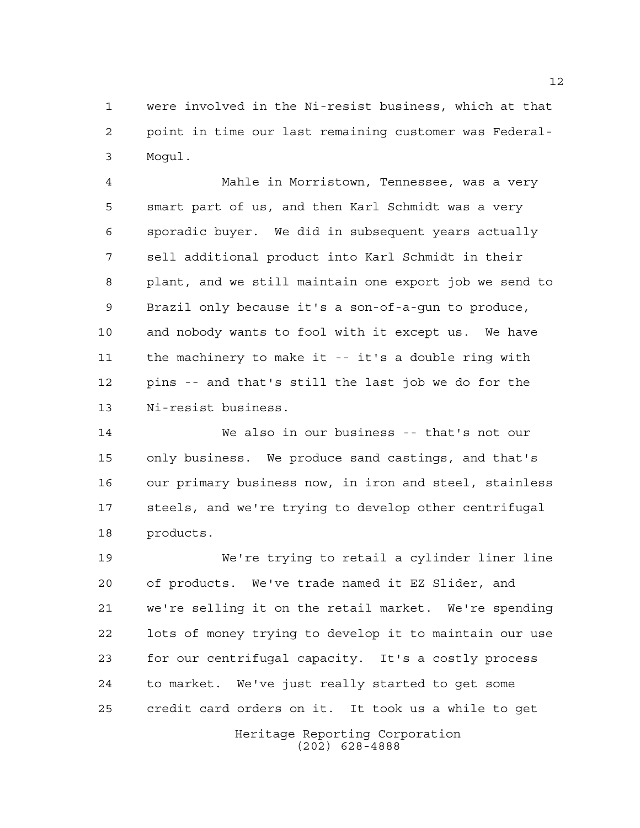were involved in the Ni-resist business, which at that point in time our last remaining customer was Federal-Mogul.

 Mahle in Morristown, Tennessee, was a very smart part of us, and then Karl Schmidt was a very sporadic buyer. We did in subsequent years actually sell additional product into Karl Schmidt in their plant, and we still maintain one export job we send to Brazil only because it's a son-of-a-gun to produce, and nobody wants to fool with it except us. We have the machinery to make it -- it's a double ring with pins -- and that's still the last job we do for the Ni-resist business.

 We also in our business -- that's not our only business. We produce sand castings, and that's our primary business now, in iron and steel, stainless steels, and we're trying to develop other centrifugal products.

 We're trying to retail a cylinder liner line of products. We've trade named it EZ Slider, and we're selling it on the retail market. We're spending lots of money trying to develop it to maintain our use for our centrifugal capacity. It's a costly process to market. We've just really started to get some credit card orders on it. It took us a while to get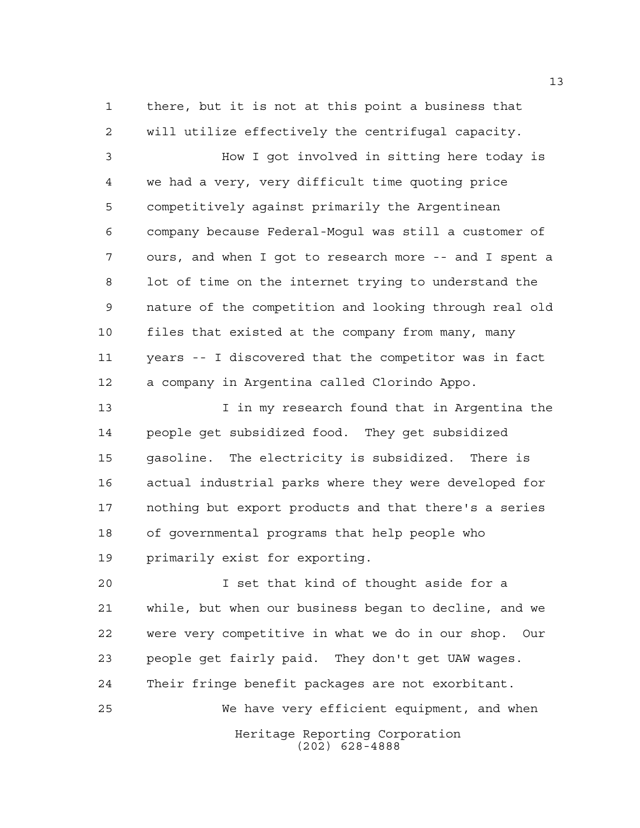there, but it is not at this point a business that will utilize effectively the centrifugal capacity.

 How I got involved in sitting here today is we had a very, very difficult time quoting price competitively against primarily the Argentinean company because Federal-Mogul was still a customer of ours, and when I got to research more -- and I spent a lot of time on the internet trying to understand the nature of the competition and looking through real old files that existed at the company from many, many years -- I discovered that the competitor was in fact a company in Argentina called Clorindo Appo.

13 13 I in my research found that in Argentina the people get subsidized food. They get subsidized gasoline. The electricity is subsidized. There is actual industrial parks where they were developed for nothing but export products and that there's a series of governmental programs that help people who primarily exist for exporting.

Heritage Reporting Corporation (202) 628-4888 I set that kind of thought aside for a while, but when our business began to decline, and we were very competitive in what we do in our shop. Our people get fairly paid. They don't get UAW wages. Their fringe benefit packages are not exorbitant. We have very efficient equipment, and when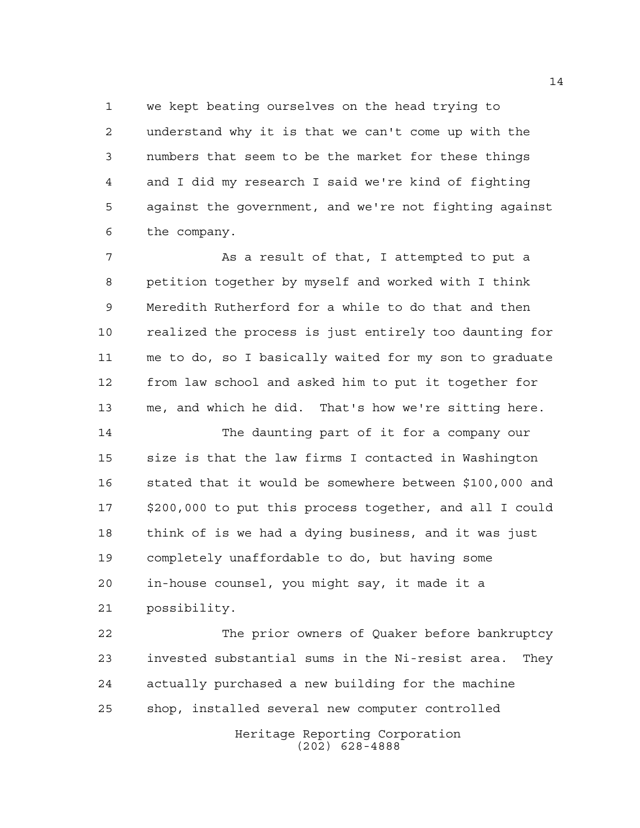we kept beating ourselves on the head trying to understand why it is that we can't come up with the numbers that seem to be the market for these things and I did my research I said we're kind of fighting against the government, and we're not fighting against the company.

7 As a result of that, I attempted to put a petition together by myself and worked with I think Meredith Rutherford for a while to do that and then realized the process is just entirely too daunting for me to do, so I basically waited for my son to graduate from law school and asked him to put it together for me, and which he did. That's how we're sitting here.

 The daunting part of it for a company our size is that the law firms I contacted in Washington stated that it would be somewhere between \$100,000 and \$200,000 to put this process together, and all I could think of is we had a dying business, and it was just completely unaffordable to do, but having some in-house counsel, you might say, it made it a possibility.

 The prior owners of Quaker before bankruptcy invested substantial sums in the Ni-resist area. They actually purchased a new building for the machine shop, installed several new computer controlled

Heritage Reporting Corporation (202) 628-4888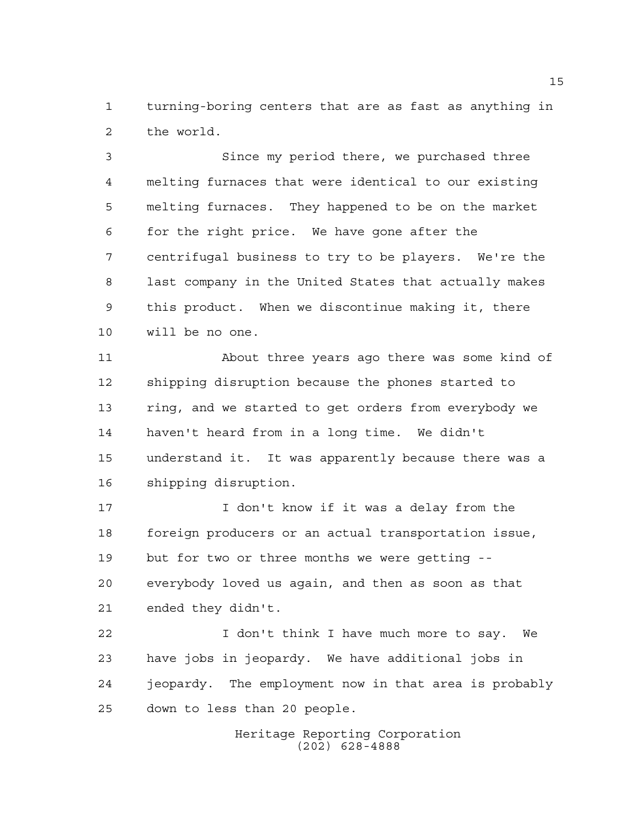turning-boring centers that are as fast as anything in the world.

 Since my period there, we purchased three melting furnaces that were identical to our existing melting furnaces. They happened to be on the market for the right price. We have gone after the centrifugal business to try to be players. We're the last company in the United States that actually makes this product. When we discontinue making it, there will be no one.

 About three years ago there was some kind of shipping disruption because the phones started to ring, and we started to get orders from everybody we haven't heard from in a long time. We didn't understand it. It was apparently because there was a shipping disruption.

 I don't know if it was a delay from the foreign producers or an actual transportation issue, but for two or three months we were getting -- everybody loved us again, and then as soon as that ended they didn't.

 I don't think I have much more to say. We have jobs in jeopardy. We have additional jobs in jeopardy. The employment now in that area is probably down to less than 20 people.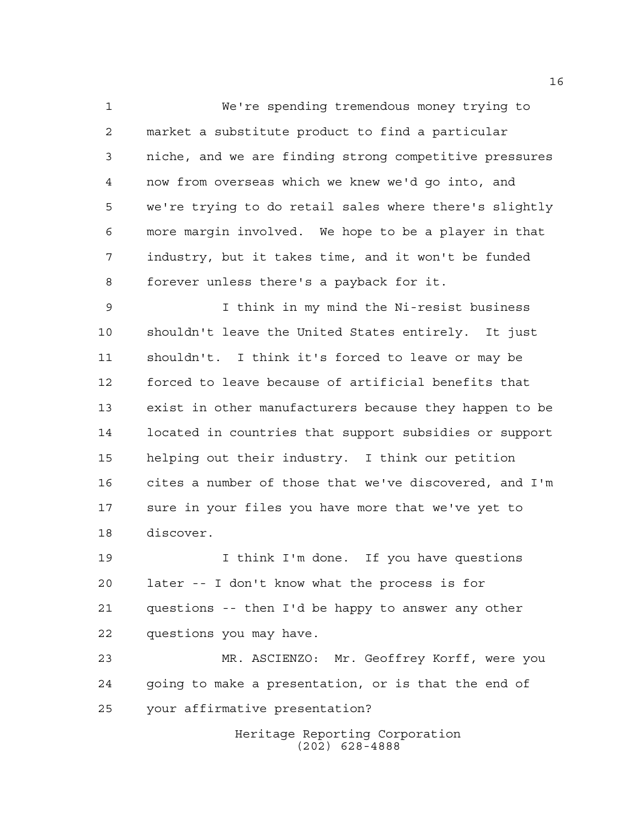We're spending tremendous money trying to market a substitute product to find a particular niche, and we are finding strong competitive pressures now from overseas which we knew we'd go into, and we're trying to do retail sales where there's slightly more margin involved. We hope to be a player in that industry, but it takes time, and it won't be funded forever unless there's a payback for it.

 I think in my mind the Ni-resist business shouldn't leave the United States entirely. It just shouldn't. I think it's forced to leave or may be forced to leave because of artificial benefits that exist in other manufacturers because they happen to be located in countries that support subsidies or support helping out their industry. I think our petition cites a number of those that we've discovered, and I'm sure in your files you have more that we've yet to discover.

 I think I'm done. If you have questions later -- I don't know what the process is for questions -- then I'd be happy to answer any other questions you may have.

 MR. ASCIENZO: Mr. Geoffrey Korff, were you going to make a presentation, or is that the end of your affirmative presentation?

> Heritage Reporting Corporation (202) 628-4888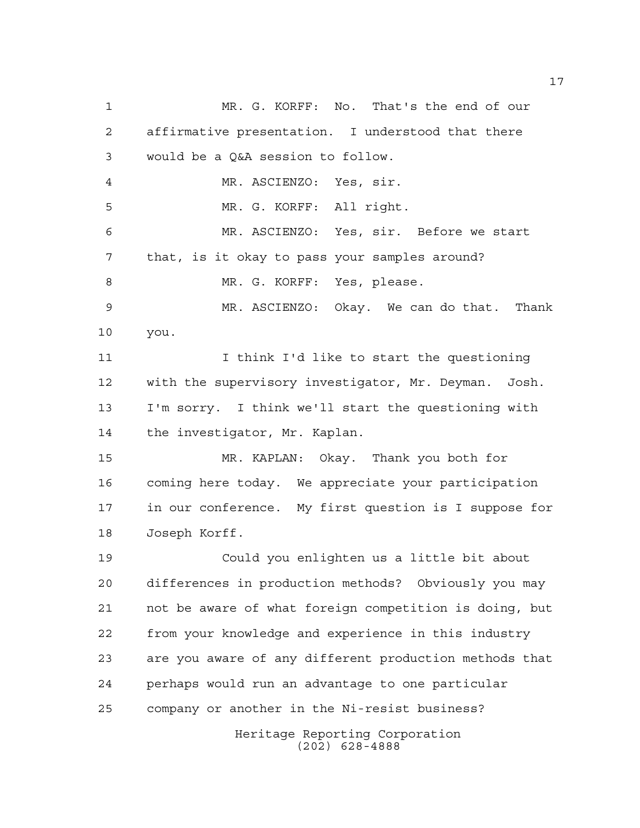Heritage Reporting Corporation (202) 628-4888 MR. G. KORFF: No. That's the end of our affirmative presentation. I understood that there would be a Q&A session to follow. MR. ASCIENZO: Yes, sir. MR. G. KORFF: All right. MR. ASCIENZO: Yes, sir. Before we start that, is it okay to pass your samples around? 8 MR. G. KORFF: Yes, please. MR. ASCIENZO: Okay. We can do that. Thank you. I think I'd like to start the questioning with the supervisory investigator, Mr. Deyman. Josh. I'm sorry. I think we'll start the questioning with the investigator, Mr. Kaplan. MR. KAPLAN: Okay. Thank you both for coming here today. We appreciate your participation in our conference. My first question is I suppose for Joseph Korff. Could you enlighten us a little bit about differences in production methods? Obviously you may not be aware of what foreign competition is doing, but from your knowledge and experience in this industry are you aware of any different production methods that perhaps would run an advantage to one particular company or another in the Ni-resist business?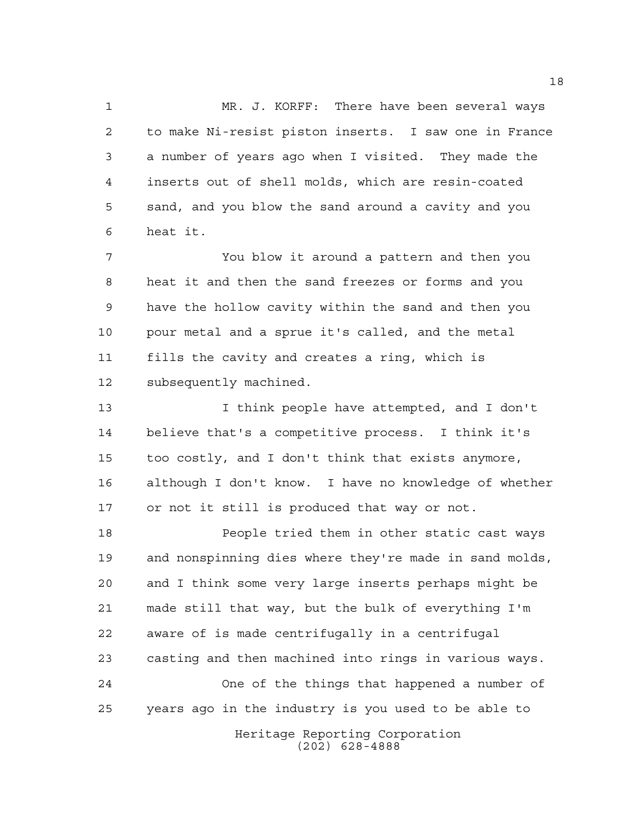MR. J. KORFF: There have been several ways to make Ni-resist piston inserts. I saw one in France a number of years ago when I visited. They made the inserts out of shell molds, which are resin-coated sand, and you blow the sand around a cavity and you heat it.

 You blow it around a pattern and then you heat it and then the sand freezes or forms and you have the hollow cavity within the sand and then you pour metal and a sprue it's called, and the metal fills the cavity and creates a ring, which is subsequently machined.

 I think people have attempted, and I don't believe that's a competitive process. I think it's too costly, and I don't think that exists anymore, although I don't know. I have no knowledge of whether or not it still is produced that way or not.

Heritage Reporting Corporation People tried them in other static cast ways and nonspinning dies where they're made in sand molds, and I think some very large inserts perhaps might be made still that way, but the bulk of everything I'm aware of is made centrifugally in a centrifugal casting and then machined into rings in various ways. One of the things that happened a number of years ago in the industry is you used to be able to

(202) 628-4888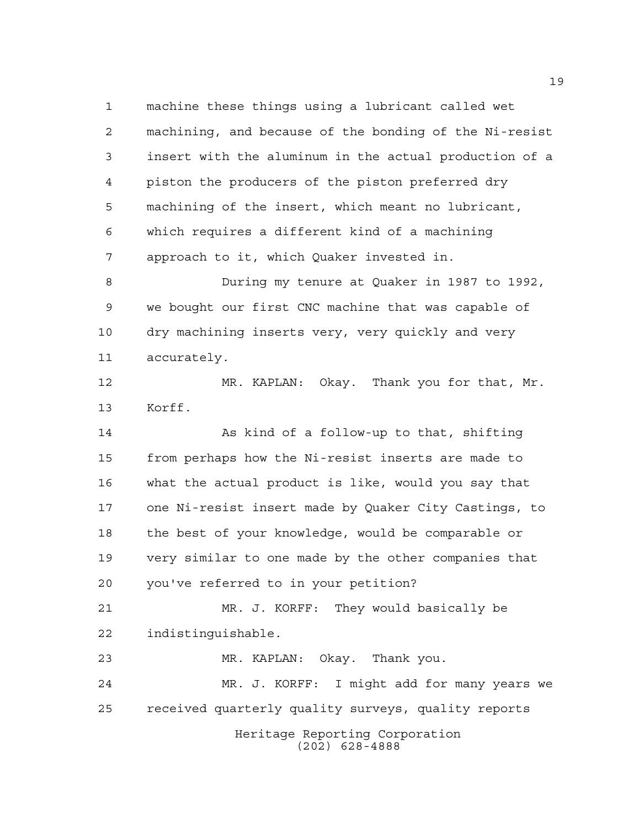machine these things using a lubricant called wet machining, and because of the bonding of the Ni-resist insert with the aluminum in the actual production of a piston the producers of the piston preferred dry machining of the insert, which meant no lubricant, which requires a different kind of a machining approach to it, which Quaker invested in.

 During my tenure at Quaker in 1987 to 1992, we bought our first CNC machine that was capable of dry machining inserts very, very quickly and very accurately.

 MR. KAPLAN: Okay. Thank you for that, Mr. Korff.

 As kind of a follow-up to that, shifting from perhaps how the Ni-resist inserts are made to what the actual product is like, would you say that one Ni-resist insert made by Quaker City Castings, to the best of your knowledge, would be comparable or very similar to one made by the other companies that you've referred to in your petition?

 MR. J. KORFF: They would basically be indistinguishable.

MR. KAPLAN: Okay. Thank you.

Heritage Reporting Corporation (202) 628-4888 MR. J. KORFF: I might add for many years we received quarterly quality surveys, quality reports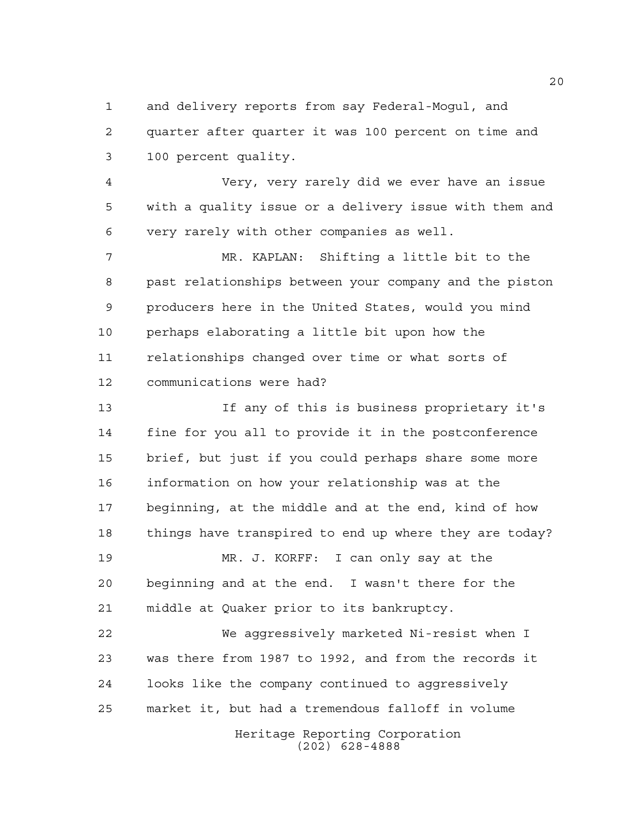and delivery reports from say Federal-Mogul, and quarter after quarter it was 100 percent on time and 100 percent quality.

 Very, very rarely did we ever have an issue with a quality issue or a delivery issue with them and very rarely with other companies as well.

 MR. KAPLAN: Shifting a little bit to the past relationships between your company and the piston producers here in the United States, would you mind perhaps elaborating a little bit upon how the relationships changed over time or what sorts of communications were had?

 If any of this is business proprietary it's fine for you all to provide it in the postconference brief, but just if you could perhaps share some more information on how your relationship was at the beginning, at the middle and at the end, kind of how things have transpired to end up where they are today? MR. J. KORFF: I can only say at the beginning and at the end. I wasn't there for the middle at Quaker prior to its bankruptcy. We aggressively marketed Ni-resist when I

 was there from 1987 to 1992, and from the records it looks like the company continued to aggressively market it, but had a tremendous falloff in volume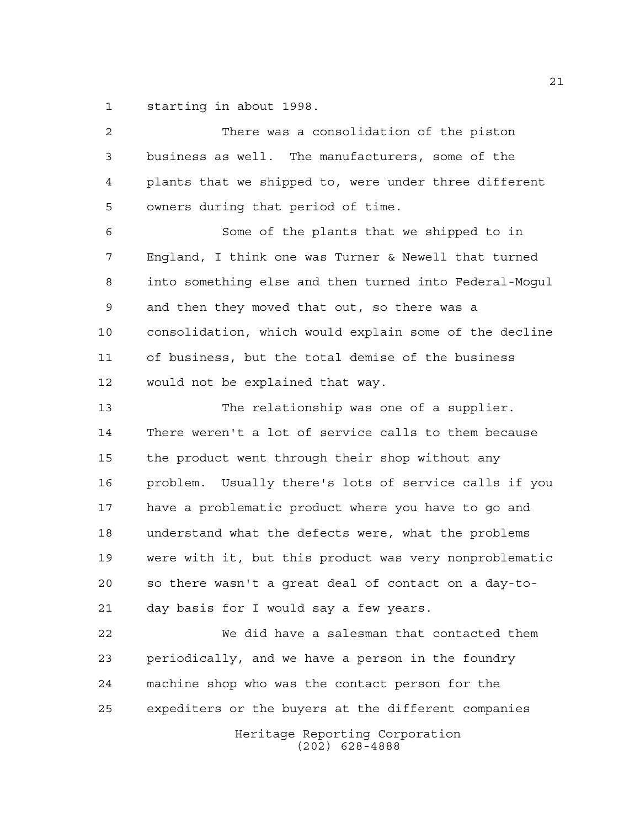starting in about 1998.

| $\overline{2}$ | There was a consolidation of the piston                |
|----------------|--------------------------------------------------------|
| 3              | business as well. The manufacturers, some of the       |
| $\overline{4}$ | plants that we shipped to, were under three different  |
| 5              | owners during that period of time.                     |
| 6              | Some of the plants that we shipped to in               |
| 7              | England, I think one was Turner & Newell that turned   |
| 8              | into something else and then turned into Federal-Mogul |
| 9              | and then they moved that out, so there was a           |
| 10             | consolidation, which would explain some of the decline |
| 11             | of business, but the total demise of the business      |
| 12             | would not be explained that way.                       |
| 13             | The relationship was one of a supplier.                |
| 14             | There weren't a lot of service calls to them because   |
| 15             | the product went through their shop without any        |
| 16             | problem. Usually there's lots of service calls if you  |
| 17             | have a problematic product where you have to go and    |
| 18             | understand what the defects were, what the problems    |
| 19             | were with it, but this product was very nonproblematic |
| 20             | so there wasn't a great deal of contact on a day-to-   |
| 21             | day basis for I would say a few years.                 |
| 22             | We did have a salesman that contacted them             |
| 23             | periodically, and we have a person in the foundry      |
| 24             | machine shop who was the contact person for the        |
| 25             | expediters or the buyers at the different companies    |
|                | Heritage Reporting Corporation<br>$(202)$ 628-4888     |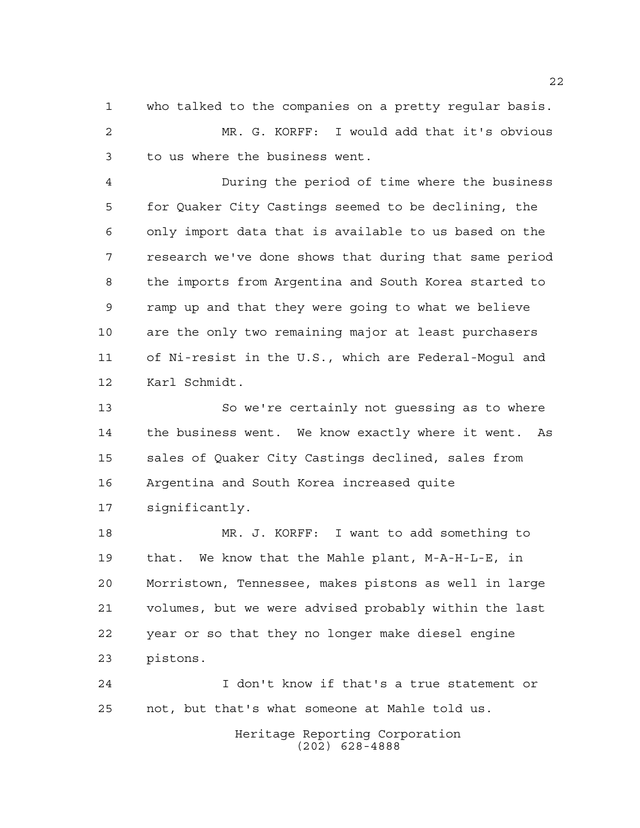who talked to the companies on a pretty regular basis. MR. G. KORFF: I would add that it's obvious to us where the business went.

 During the period of time where the business for Quaker City Castings seemed to be declining, the only import data that is available to us based on the research we've done shows that during that same period the imports from Argentina and South Korea started to ramp up and that they were going to what we believe are the only two remaining major at least purchasers of Ni-resist in the U.S., which are Federal-Mogul and Karl Schmidt.

 So we're certainly not guessing as to where the business went. We know exactly where it went. As sales of Quaker City Castings declined, sales from Argentina and South Korea increased quite significantly.

 MR. J. KORFF: I want to add something to that. We know that the Mahle plant, M-A-H-L-E, in Morristown, Tennessee, makes pistons as well in large volumes, but we were advised probably within the last year or so that they no longer make diesel engine pistons.

 I don't know if that's a true statement or not, but that's what someone at Mahle told us.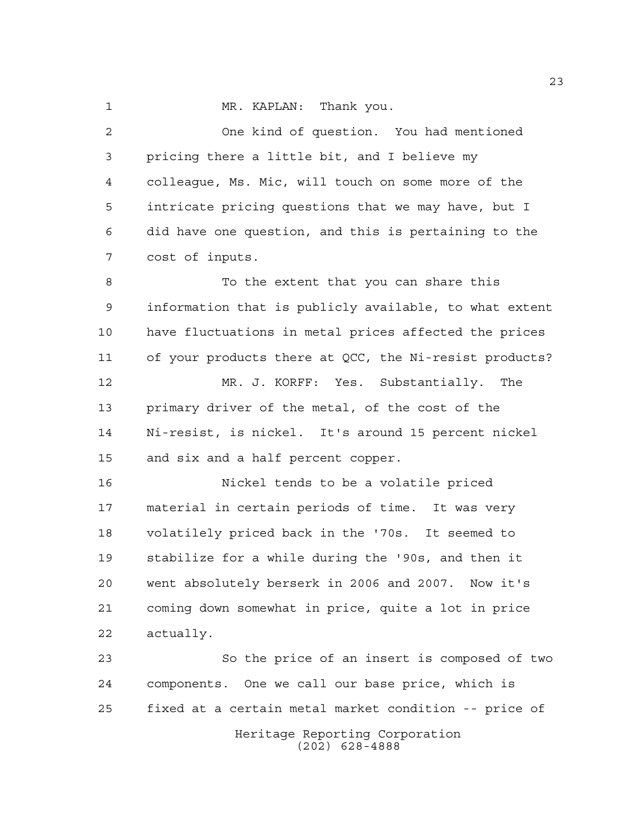1 MR. KAPLAN: Thank you.

 One kind of question. You had mentioned pricing there a little bit, and I believe my colleague, Ms. Mic, will touch on some more of the intricate pricing questions that we may have, but I did have one question, and this is pertaining to the cost of inputs.

 To the extent that you can share this information that is publicly available, to what extent have fluctuations in metal prices affected the prices of your products there at QCC, the Ni-resist products? MR. J. KORFF: Yes. Substantially. The

 primary driver of the metal, of the cost of the Ni-resist, is nickel. It's around 15 percent nickel and six and a half percent copper.

 Nickel tends to be a volatile priced material in certain periods of time. It was very volatilely priced back in the '70s. It seemed to stabilize for a while during the '90s, and then it went absolutely berserk in 2006 and 2007. Now it's coming down somewhat in price, quite a lot in price actually.

Heritage Reporting Corporation (202) 628-4888 So the price of an insert is composed of two components. One we call our base price, which is fixed at a certain metal market condition -- price of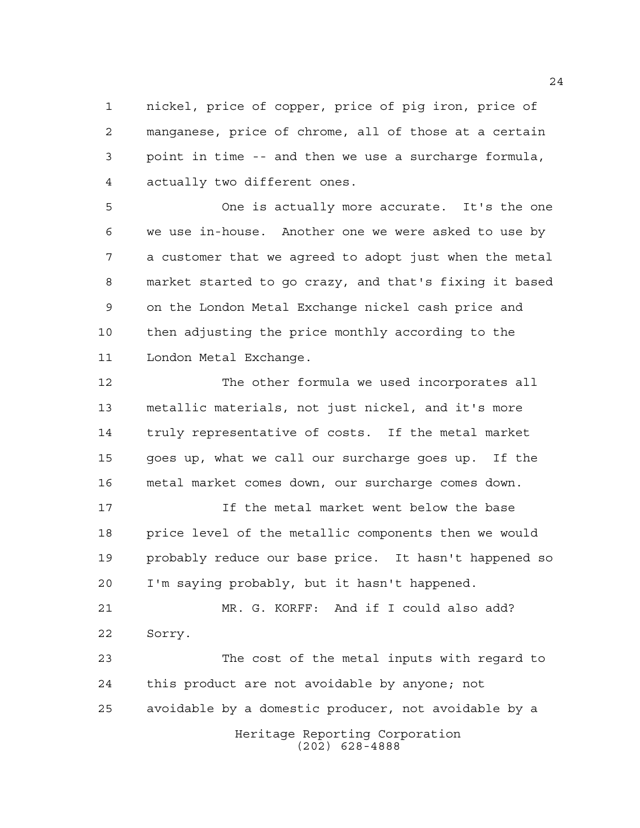nickel, price of copper, price of pig iron, price of manganese, price of chrome, all of those at a certain point in time -- and then we use a surcharge formula, actually two different ones.

 One is actually more accurate. It's the one we use in-house. Another one we were asked to use by a customer that we agreed to adopt just when the metal market started to go crazy, and that's fixing it based on the London Metal Exchange nickel cash price and then adjusting the price monthly according to the London Metal Exchange.

 The other formula we used incorporates all metallic materials, not just nickel, and it's more truly representative of costs. If the metal market goes up, what we call our surcharge goes up. If the metal market comes down, our surcharge comes down.

 If the metal market went below the base price level of the metallic components then we would probably reduce our base price. It hasn't happened so I'm saying probably, but it hasn't happened.

 MR. G. KORFF: And if I could also add? Sorry.

Heritage Reporting Corporation The cost of the metal inputs with regard to this product are not avoidable by anyone; not avoidable by a domestic producer, not avoidable by a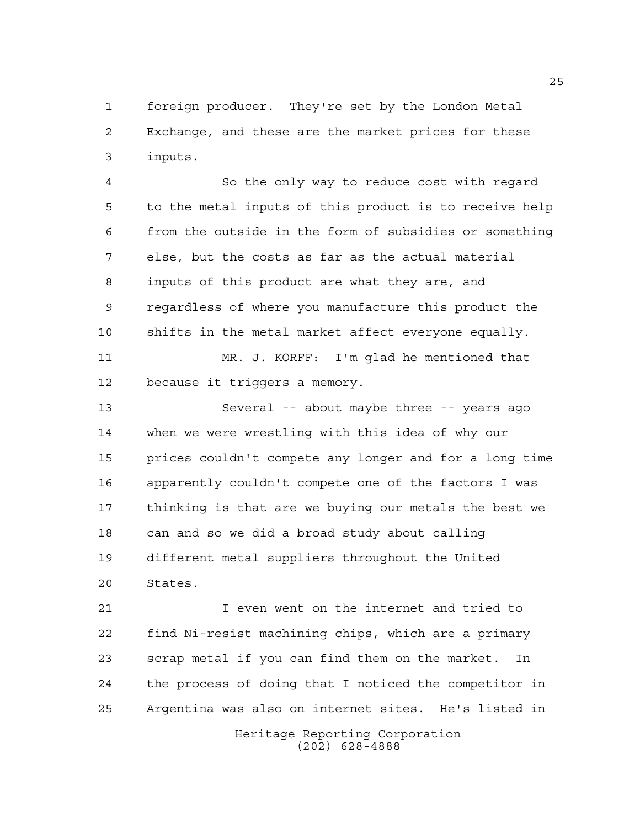foreign producer. They're set by the London Metal Exchange, and these are the market prices for these inputs.

 So the only way to reduce cost with regard to the metal inputs of this product is to receive help from the outside in the form of subsidies or something else, but the costs as far as the actual material inputs of this product are what they are, and regardless of where you manufacture this product the shifts in the metal market affect everyone equally. MR. J. KORFF: I'm glad he mentioned that

because it triggers a memory.

 Several -- about maybe three -- years ago when we were wrestling with this idea of why our prices couldn't compete any longer and for a long time apparently couldn't compete one of the factors I was thinking is that are we buying our metals the best we can and so we did a broad study about calling different metal suppliers throughout the United States.

 I even went on the internet and tried to find Ni-resist machining chips, which are a primary scrap metal if you can find them on the market. In the process of doing that I noticed the competitor in Argentina was also on internet sites. He's listed in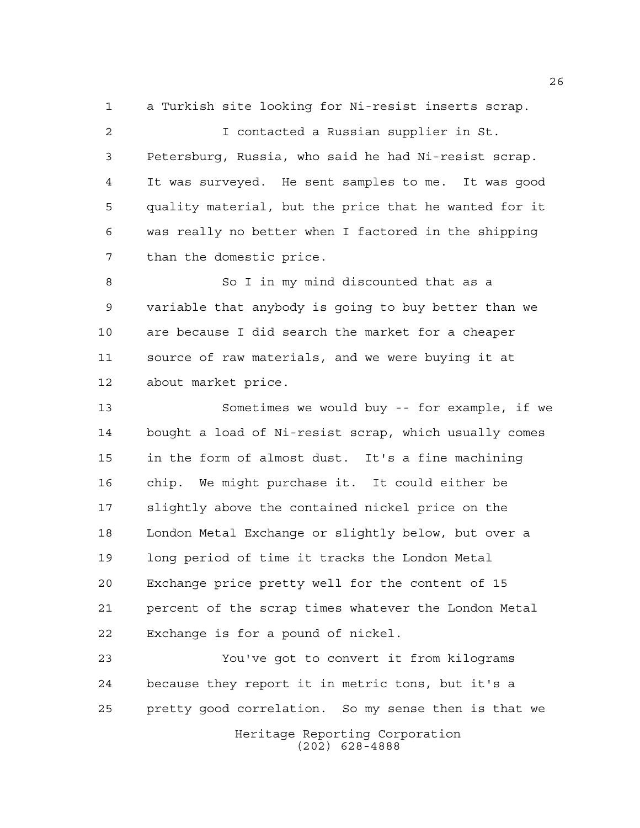a Turkish site looking for Ni-resist inserts scrap.

 I contacted a Russian supplier in St. Petersburg, Russia, who said he had Ni-resist scrap. It was surveyed. He sent samples to me. It was good quality material, but the price that he wanted for it was really no better when I factored in the shipping than the domestic price.

8 So I in my mind discounted that as a variable that anybody is going to buy better than we are because I did search the market for a cheaper source of raw materials, and we were buying it at about market price.

 Sometimes we would buy -- for example, if we bought a load of Ni-resist scrap, which usually comes in the form of almost dust. It's a fine machining chip. We might purchase it. It could either be slightly above the contained nickel price on the London Metal Exchange or slightly below, but over a long period of time it tracks the London Metal Exchange price pretty well for the content of 15 percent of the scrap times whatever the London Metal Exchange is for a pound of nickel.

Heritage Reporting Corporation (202) 628-4888 You've got to convert it from kilograms because they report it in metric tons, but it's a pretty good correlation. So my sense then is that we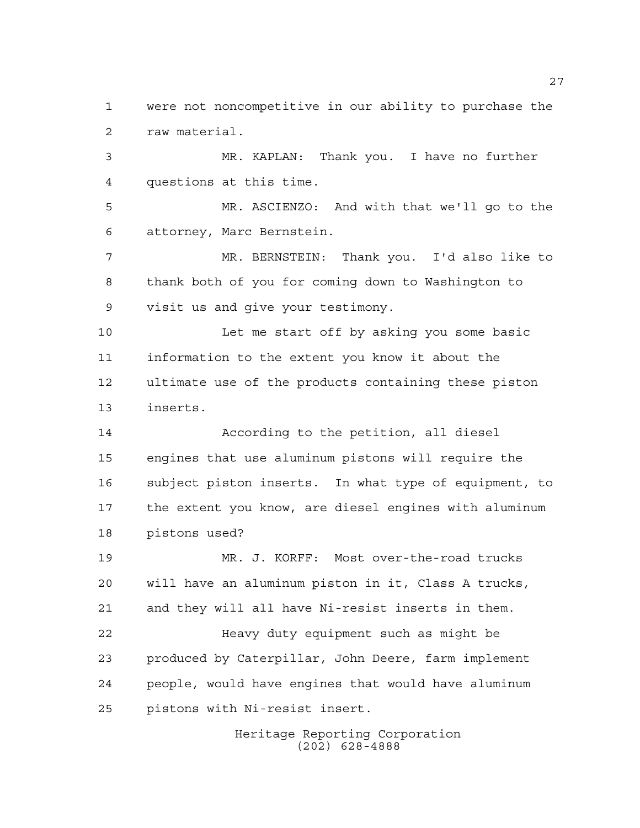were not noncompetitive in our ability to purchase the raw material.

 MR. KAPLAN: Thank you. I have no further questions at this time.

 MR. ASCIENZO: And with that we'll go to the attorney, Marc Bernstein.

 MR. BERNSTEIN: Thank you. I'd also like to thank both of you for coming down to Washington to visit us and give your testimony.

 Let me start off by asking you some basic information to the extent you know it about the ultimate use of the products containing these piston inserts.

 According to the petition, all diesel engines that use aluminum pistons will require the subject piston inserts. In what type of equipment, to the extent you know, are diesel engines with aluminum pistons used?

 MR. J. KORFF: Most over-the-road trucks will have an aluminum piston in it, Class A trucks, and they will all have Ni-resist inserts in them. Heavy duty equipment such as might be produced by Caterpillar, John Deere, farm implement people, would have engines that would have aluminum

pistons with Ni-resist insert.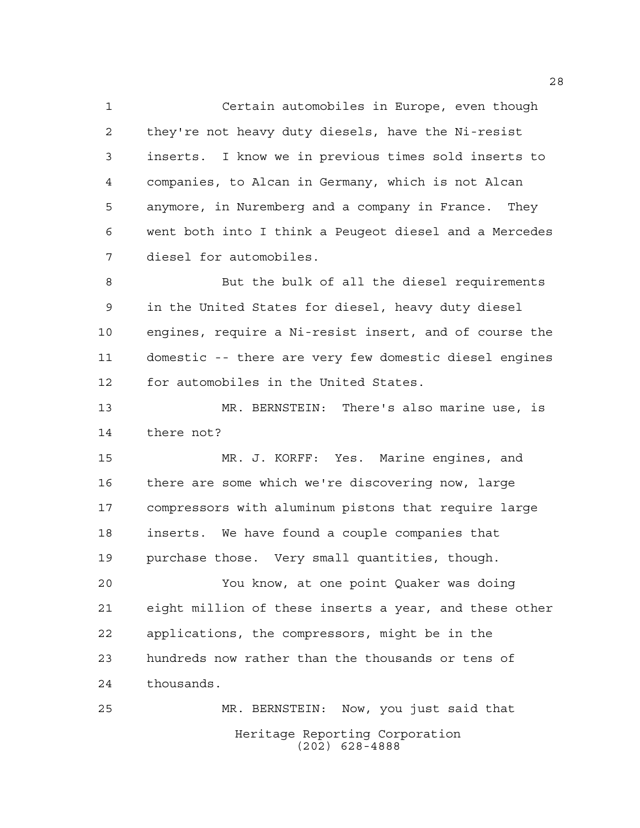Certain automobiles in Europe, even though they're not heavy duty diesels, have the Ni-resist inserts. I know we in previous times sold inserts to companies, to Alcan in Germany, which is not Alcan anymore, in Nuremberg and a company in France. They went both into I think a Peugeot diesel and a Mercedes diesel for automobiles.

 But the bulk of all the diesel requirements in the United States for diesel, heavy duty diesel engines, require a Ni-resist insert, and of course the domestic -- there are very few domestic diesel engines for automobiles in the United States.

 MR. BERNSTEIN: There's also marine use, is there not?

 MR. J. KORFF: Yes. Marine engines, and there are some which we're discovering now, large compressors with aluminum pistons that require large inserts. We have found a couple companies that purchase those. Very small quantities, though.

 You know, at one point Quaker was doing eight million of these inserts a year, and these other applications, the compressors, might be in the hundreds now rather than the thousands or tens of thousands.

Heritage Reporting Corporation (202) 628-4888 MR. BERNSTEIN: Now, you just said that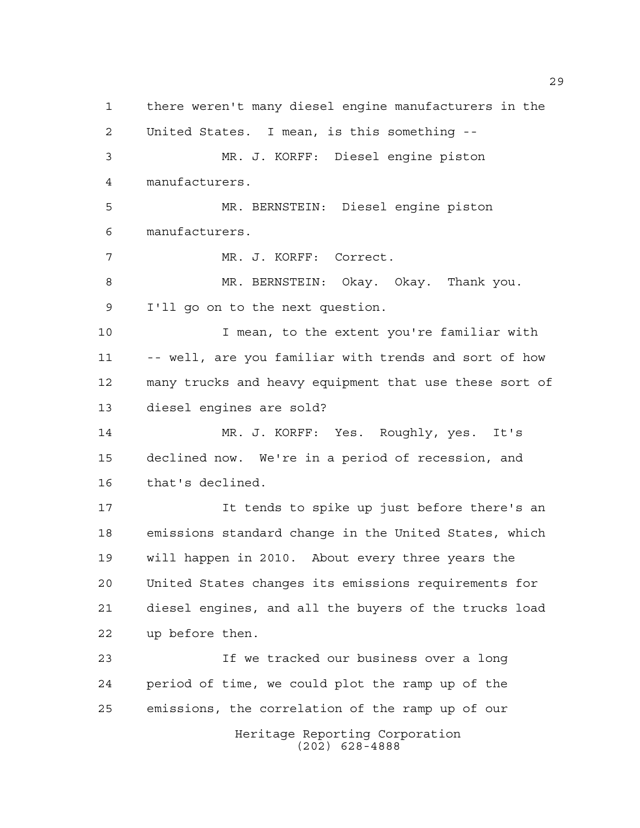Heritage Reporting Corporation (202) 628-4888 there weren't many diesel engine manufacturers in the United States. I mean, is this something -- MR. J. KORFF: Diesel engine piston manufacturers. MR. BERNSTEIN: Diesel engine piston manufacturers. MR. J. KORFF: Correct. MR. BERNSTEIN: Okay. Okay. Thank you. I'll go on to the next question. I mean, to the extent you're familiar with -- well, are you familiar with trends and sort of how many trucks and heavy equipment that use these sort of diesel engines are sold? MR. J. KORFF: Yes. Roughly, yes. It's declined now. We're in a period of recession, and that's declined. It tends to spike up just before there's an emissions standard change in the United States, which will happen in 2010. About every three years the United States changes its emissions requirements for diesel engines, and all the buyers of the trucks load up before then. If we tracked our business over a long period of time, we could plot the ramp up of the emissions, the correlation of the ramp up of our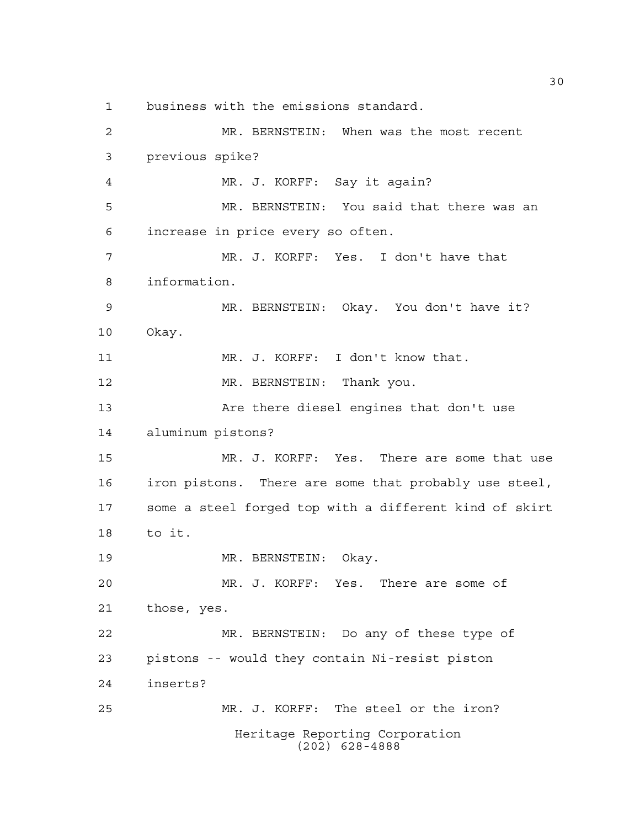business with the emissions standard.

Heritage Reporting Corporation (202) 628-4888 MR. BERNSTEIN: When was the most recent previous spike? MR. J. KORFF: Say it again? MR. BERNSTEIN: You said that there was an increase in price every so often. MR. J. KORFF: Yes. I don't have that information. MR. BERNSTEIN: Okay. You don't have it? Okay. MR. J. KORFF: I don't know that. 12 MR. BERNSTEIN: Thank you. Are there diesel engines that don't use aluminum pistons? MR. J. KORFF: Yes. There are some that use iron pistons. There are some that probably use steel, some a steel forged top with a different kind of skirt to it. MR. BERNSTEIN: Okay. MR. J. KORFF: Yes. There are some of those, yes. MR. BERNSTEIN: Do any of these type of pistons -- would they contain Ni-resist piston inserts? MR. J. KORFF: The steel or the iron?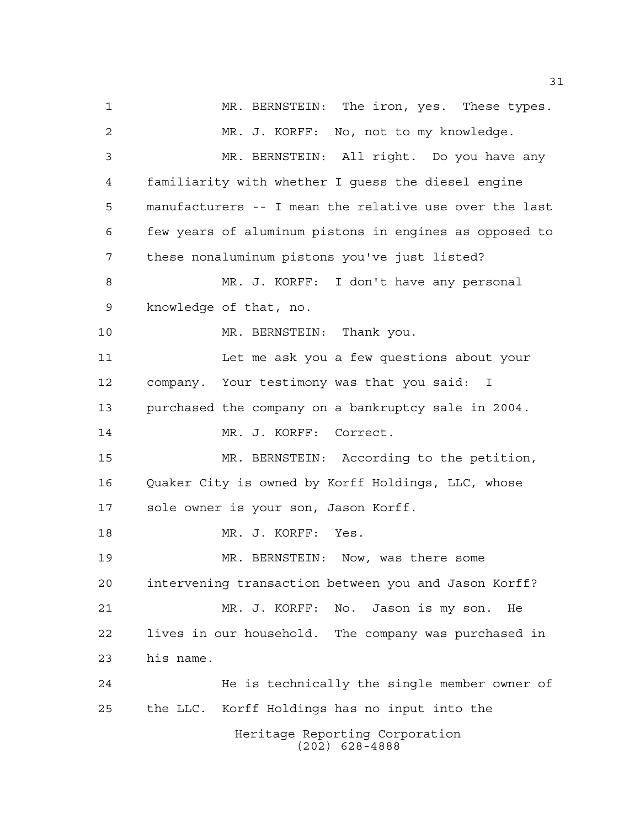Heritage Reporting Corporation (202) 628-4888 MR. BERNSTEIN: The iron, yes. These types. MR. J. KORFF: No, not to my knowledge. MR. BERNSTEIN: All right. Do you have any familiarity with whether I guess the diesel engine manufacturers -- I mean the relative use over the last few years of aluminum pistons in engines as opposed to these nonaluminum pistons you've just listed? MR. J. KORFF: I don't have any personal knowledge of that, no. 10 MR. BERNSTEIN: Thank you. Let me ask you a few questions about your company. Your testimony was that you said: I purchased the company on a bankruptcy sale in 2004. 14 MR. J. KORFF: Correct. MR. BERNSTEIN: According to the petition, Quaker City is owned by Korff Holdings, LLC, whose sole owner is your son, Jason Korff. MR. J. KORFF: Yes. MR. BERNSTEIN: Now, was there some intervening transaction between you and Jason Korff? MR. J. KORFF: No. Jason is my son. He lives in our household. The company was purchased in his name. He is technically the single member owner of the LLC. Korff Holdings has no input into the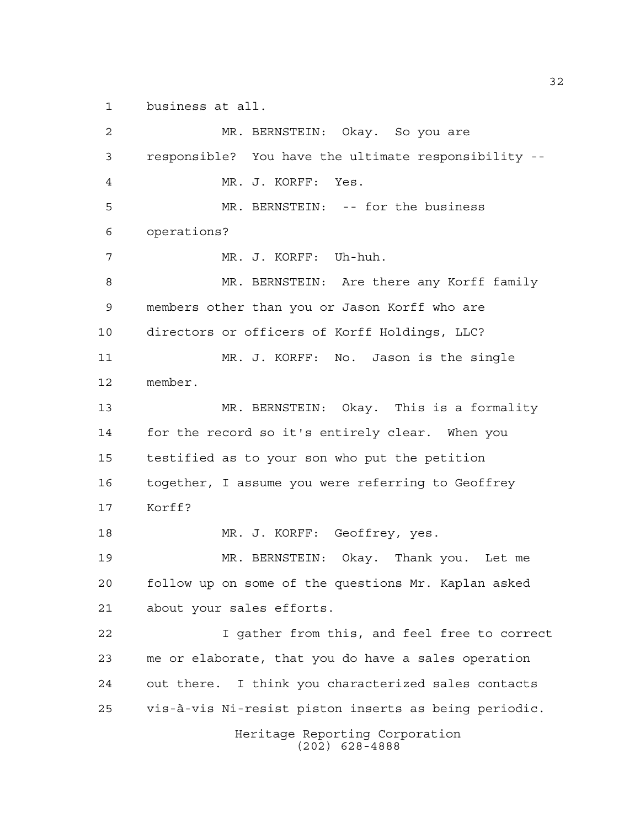business at all.

Heritage Reporting Corporation (202) 628-4888 MR. BERNSTEIN: Okay. So you are responsible? You have the ultimate responsibility -- MR. J. KORFF: Yes. MR. BERNSTEIN: -- for the business operations? MR. J. KORFF: Uh-huh. MR. BERNSTEIN: Are there any Korff family members other than you or Jason Korff who are directors or officers of Korff Holdings, LLC? MR. J. KORFF: No. Jason is the single member. MR. BERNSTEIN: Okay. This is a formality for the record so it's entirely clear. When you testified as to your son who put the petition together, I assume you were referring to Geoffrey Korff? MR. J. KORFF: Geoffrey, yes. MR. BERNSTEIN: Okay. Thank you. Let me follow up on some of the questions Mr. Kaplan asked about your sales efforts. I gather from this, and feel free to correct me or elaborate, that you do have a sales operation out there. I think you characterized sales contacts vis-à-vis Ni-resist piston inserts as being periodic.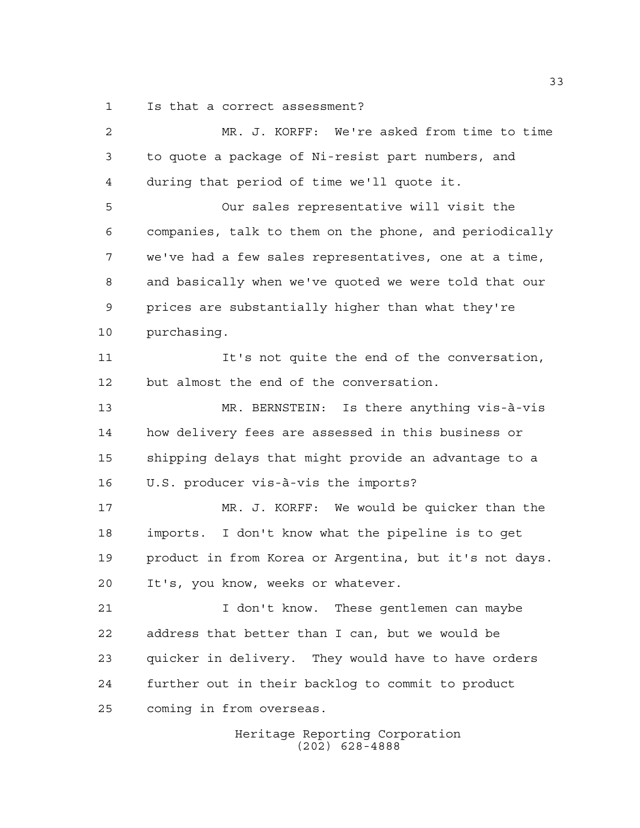Is that a correct assessment?

 MR. J. KORFF: We're asked from time to time to quote a package of Ni-resist part numbers, and during that period of time we'll quote it. Our sales representative will visit the companies, talk to them on the phone, and periodically we've had a few sales representatives, one at a time, and basically when we've quoted we were told that our prices are substantially higher than what they're purchasing. It's not quite the end of the conversation, but almost the end of the conversation. MR. BERNSTEIN: Is there anything vis-à-vis how delivery fees are assessed in this business or shipping delays that might provide an advantage to a U.S. producer vis-à-vis the imports? MR. J. KORFF: We would be quicker than the imports. I don't know what the pipeline is to get product in from Korea or Argentina, but it's not days. It's, you know, weeks or whatever. I don't know. These gentlemen can maybe address that better than I can, but we would be quicker in delivery. They would have to have orders further out in their backlog to commit to product coming in from overseas.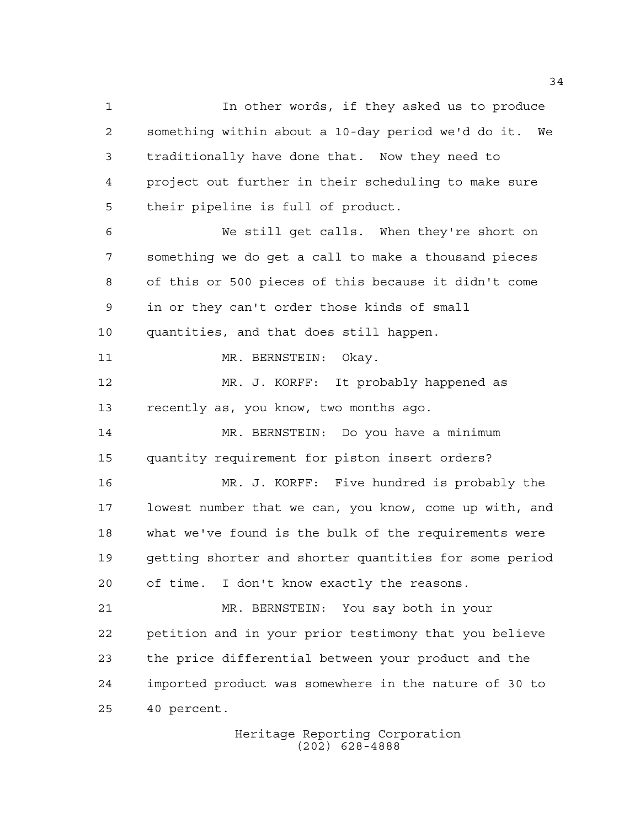In other words, if they asked us to produce something within about a 10-day period we'd do it. We traditionally have done that. Now they need to project out further in their scheduling to make sure their pipeline is full of product. We still get calls. When they're short on something we do get a call to make a thousand pieces of this or 500 pieces of this because it didn't come in or they can't order those kinds of small quantities, and that does still happen. 11 MR. BERNSTEIN: Okay. MR. J. KORFF: It probably happened as recently as, you know, two months ago. MR. BERNSTEIN: Do you have a minimum quantity requirement for piston insert orders? MR. J. KORFF: Five hundred is probably the lowest number that we can, you know, come up with, and what we've found is the bulk of the requirements were getting shorter and shorter quantities for some period of time. I don't know exactly the reasons. MR. BERNSTEIN: You say both in your petition and in your prior testimony that you believe the price differential between your product and the imported product was somewhere in the nature of 30 to 40 percent.

> Heritage Reporting Corporation (202) 628-4888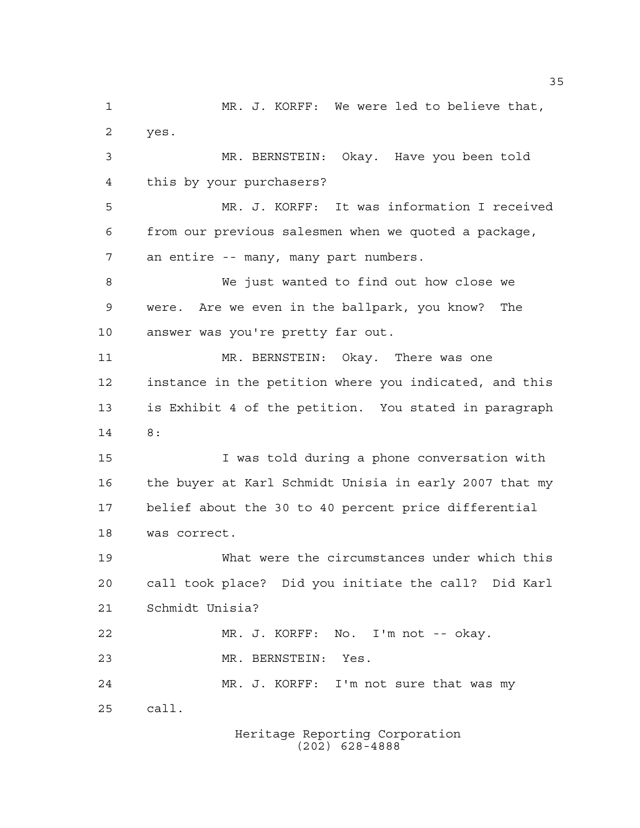MR. J. KORFF: We were led to believe that, yes. MR. BERNSTEIN: Okay. Have you been told this by your purchasers? MR. J. KORFF: It was information I received from our previous salesmen when we quoted a package, an entire -- many, many part numbers. We just wanted to find out how close we were. Are we even in the ballpark, you know? The answer was you're pretty far out. MR. BERNSTEIN: Okay. There was one instance in the petition where you indicated, and this is Exhibit 4 of the petition. You stated in paragraph 8: I was told during a phone conversation with the buyer at Karl Schmidt Unisia in early 2007 that my belief about the 30 to 40 percent price differential was correct. What were the circumstances under which this call took place? Did you initiate the call? Did Karl Schmidt Unisia? MR. J. KORFF: No. I'm not -- okay. MR. BERNSTEIN: Yes. MR. J. KORFF: I'm not sure that was my call.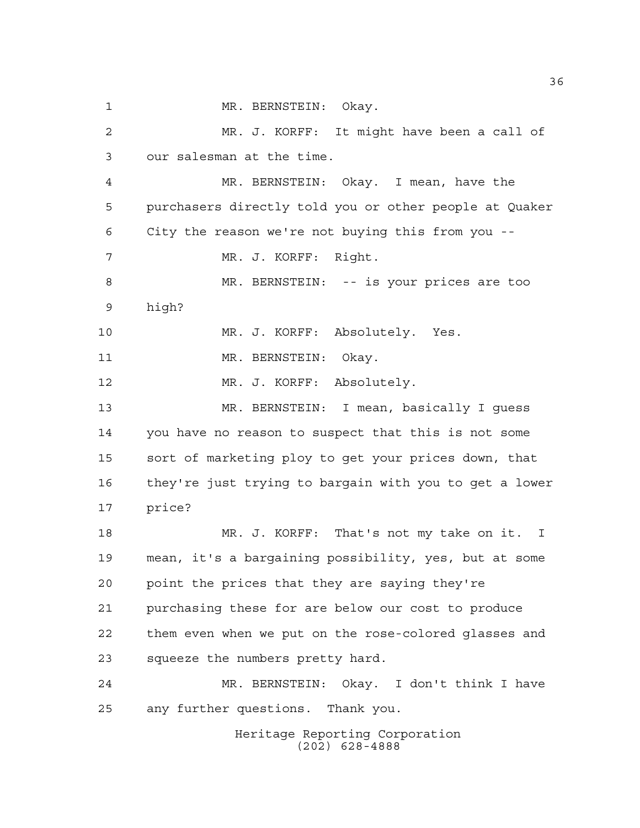Heritage Reporting Corporation MR. BERNSTEIN: Okay. MR. J. KORFF: It might have been a call of our salesman at the time. MR. BERNSTEIN: Okay. I mean, have the purchasers directly told you or other people at Quaker City the reason we're not buying this from you -- MR. J. KORFF: Right. MR. BERNSTEIN: -- is your prices are too high? MR. J. KORFF: Absolutely. Yes. 11 MR. BERNSTEIN: Okay. MR. J. KORFF: Absolutely. MR. BERNSTEIN: I mean, basically I guess you have no reason to suspect that this is not some sort of marketing ploy to get your prices down, that they're just trying to bargain with you to get a lower price? MR. J. KORFF: That's not my take on it. I mean, it's a bargaining possibility, yes, but at some point the prices that they are saying they're purchasing these for are below our cost to produce them even when we put on the rose-colored glasses and squeeze the numbers pretty hard. MR. BERNSTEIN: Okay. I don't think I have any further questions. Thank you.

(202) 628-4888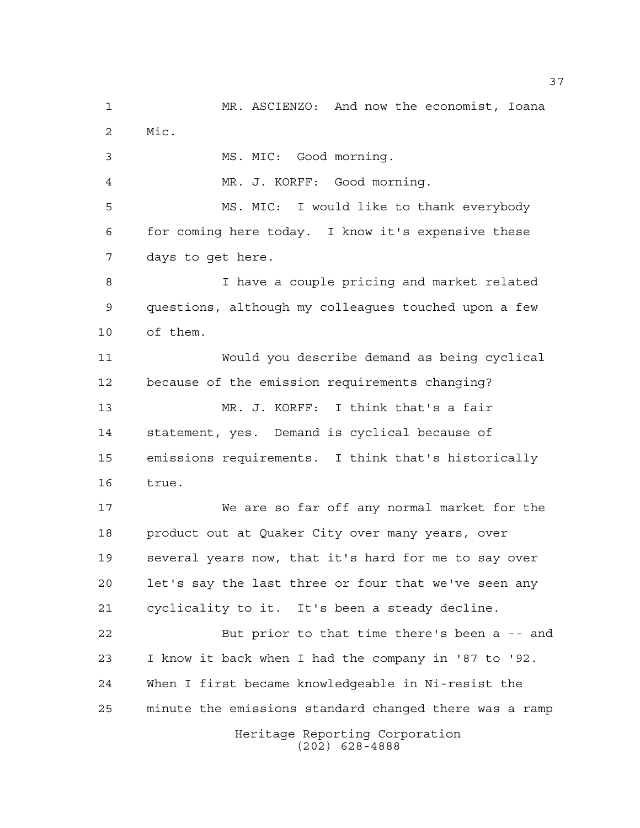Heritage Reporting Corporation (202) 628-4888 MR. ASCIENZO: And now the economist, Ioana Mic. MS. MIC: Good morning. MR. J. KORFF: Good morning. MS. MIC: I would like to thank everybody for coming here today. I know it's expensive these days to get here. I have a couple pricing and market related questions, although my colleagues touched upon a few of them. Would you describe demand as being cyclical because of the emission requirements changing? MR. J. KORFF: I think that's a fair statement, yes. Demand is cyclical because of emissions requirements. I think that's historically true. We are so far off any normal market for the product out at Quaker City over many years, over several years now, that it's hard for me to say over let's say the last three or four that we've seen any cyclicality to it. It's been a steady decline. But prior to that time there's been a -- and I know it back when I had the company in '87 to '92. When I first became knowledgeable in Ni-resist the minute the emissions standard changed there was a ramp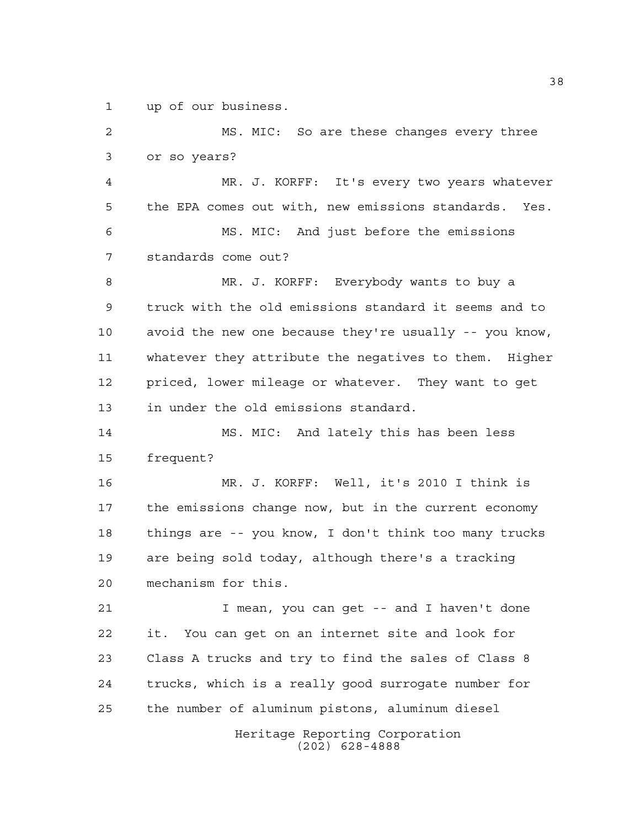up of our business.

Heritage Reporting Corporation (202) 628-4888 MS. MIC: So are these changes every three or so years? MR. J. KORFF: It's every two years whatever the EPA comes out with, new emissions standards. Yes. MS. MIC: And just before the emissions standards come out? MR. J. KORFF: Everybody wants to buy a truck with the old emissions standard it seems and to avoid the new one because they're usually -- you know, whatever they attribute the negatives to them. Higher priced, lower mileage or whatever. They want to get in under the old emissions standard. MS. MIC: And lately this has been less frequent? MR. J. KORFF: Well, it's 2010 I think is the emissions change now, but in the current economy things are -- you know, I don't think too many trucks are being sold today, although there's a tracking mechanism for this. I mean, you can get -- and I haven't done it. You can get on an internet site and look for Class A trucks and try to find the sales of Class 8 trucks, which is a really good surrogate number for the number of aluminum pistons, aluminum diesel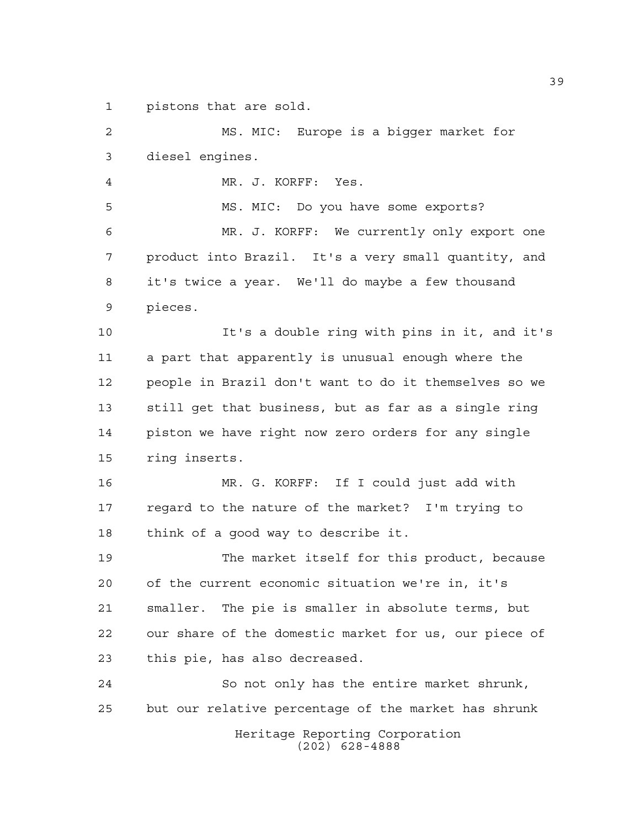pistons that are sold.

Heritage Reporting Corporation (202) 628-4888 MS. MIC: Europe is a bigger market for diesel engines. MR. J. KORFF: Yes. MS. MIC: Do you have some exports? MR. J. KORFF: We currently only export one product into Brazil. It's a very small quantity, and it's twice a year. We'll do maybe a few thousand pieces. It's a double ring with pins in it, and it's a part that apparently is unusual enough where the people in Brazil don't want to do it themselves so we still get that business, but as far as a single ring piston we have right now zero orders for any single ring inserts. MR. G. KORFF: If I could just add with regard to the nature of the market? I'm trying to think of a good way to describe it. The market itself for this product, because of the current economic situation we're in, it's smaller. The pie is smaller in absolute terms, but our share of the domestic market for us, our piece of this pie, has also decreased. So not only has the entire market shrunk, but our relative percentage of the market has shrunk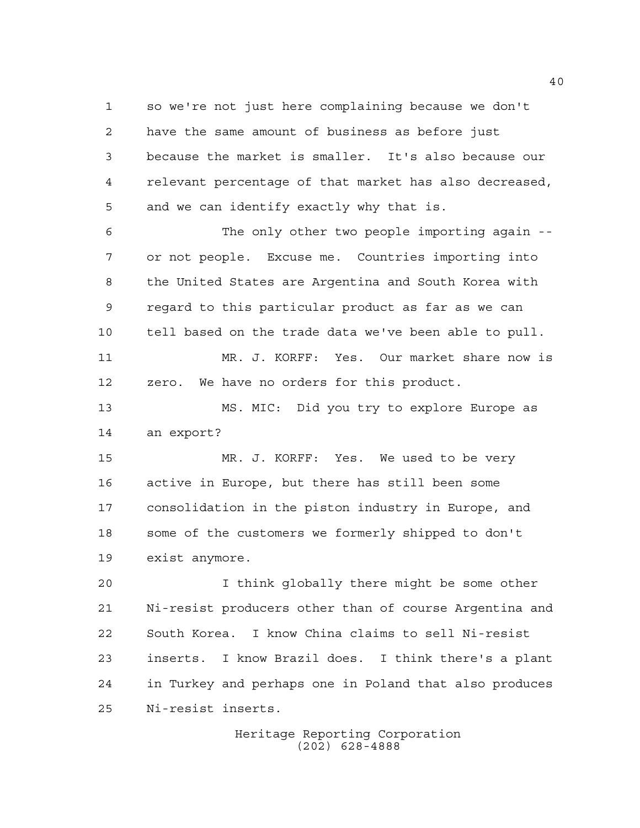so we're not just here complaining because we don't have the same amount of business as before just because the market is smaller. It's also because our relevant percentage of that market has also decreased, and we can identify exactly why that is.

 The only other two people importing again -- or not people. Excuse me. Countries importing into the United States are Argentina and South Korea with regard to this particular product as far as we can tell based on the trade data we've been able to pull. MR. J. KORFF: Yes. Our market share now is

 MS. MIC: Did you try to explore Europe as an export?

zero. We have no orders for this product.

 MR. J. KORFF: Yes. We used to be very active in Europe, but there has still been some consolidation in the piston industry in Europe, and some of the customers we formerly shipped to don't exist anymore.

 I think globally there might be some other Ni-resist producers other than of course Argentina and South Korea. I know China claims to sell Ni-resist inserts. I know Brazil does. I think there's a plant in Turkey and perhaps one in Poland that also produces Ni-resist inserts.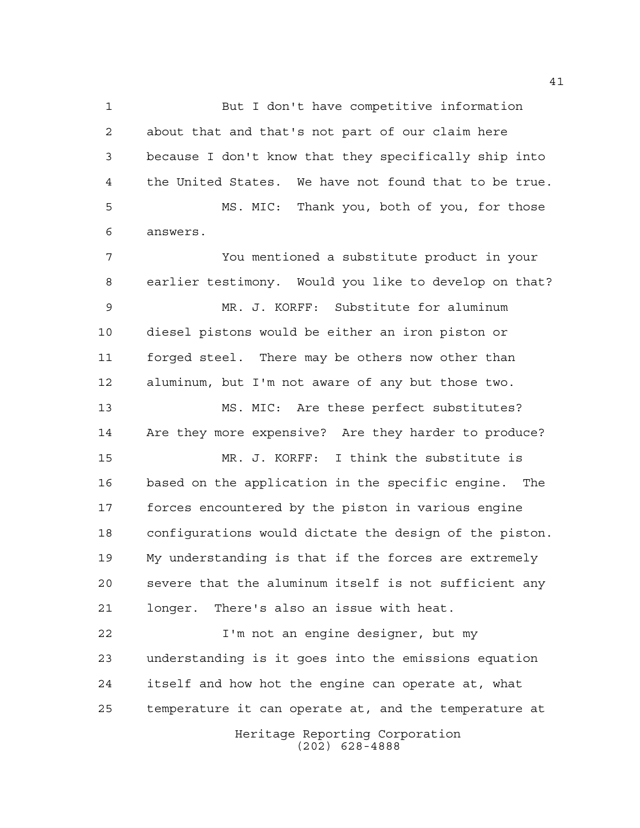Heritage Reporting Corporation (202) 628-4888 But I don't have competitive information about that and that's not part of our claim here because I don't know that they specifically ship into the United States. We have not found that to be true. MS. MIC: Thank you, both of you, for those answers. You mentioned a substitute product in your earlier testimony. Would you like to develop on that? MR. J. KORFF: Substitute for aluminum diesel pistons would be either an iron piston or forged steel. There may be others now other than aluminum, but I'm not aware of any but those two. MS. MIC: Are these perfect substitutes? Are they more expensive? Are they harder to produce? MR. J. KORFF: I think the substitute is based on the application in the specific engine. The forces encountered by the piston in various engine configurations would dictate the design of the piston. My understanding is that if the forces are extremely severe that the aluminum itself is not sufficient any longer. There's also an issue with heat. I'm not an engine designer, but my understanding is it goes into the emissions equation itself and how hot the engine can operate at, what temperature it can operate at, and the temperature at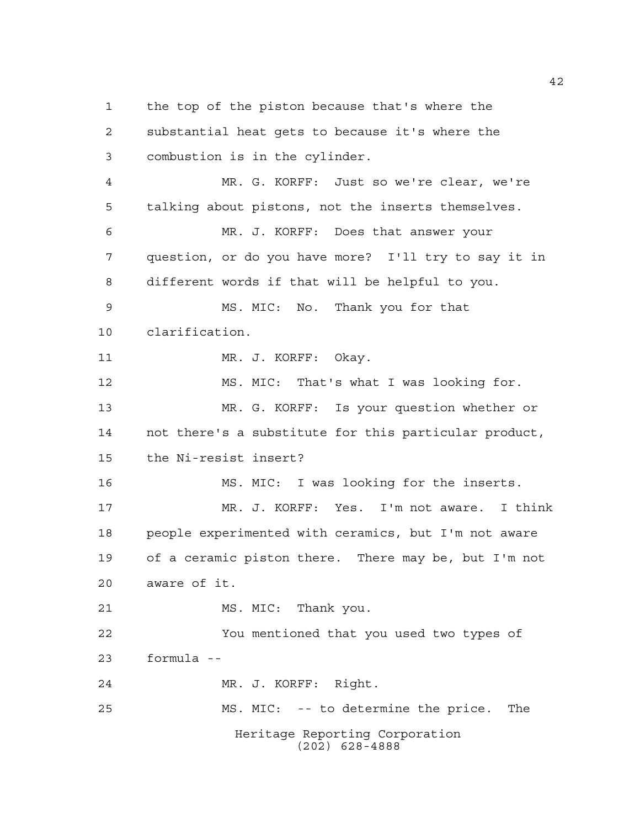Heritage Reporting Corporation (202) 628-4888 the top of the piston because that's where the substantial heat gets to because it's where the combustion is in the cylinder. MR. G. KORFF: Just so we're clear, we're talking about pistons, not the inserts themselves. MR. J. KORFF: Does that answer your question, or do you have more? I'll try to say it in different words if that will be helpful to you. MS. MIC: No. Thank you for that clarification. 11 MR. J. KORFF: Okay. MS. MIC: That's what I was looking for. MR. G. KORFF: Is your question whether or not there's a substitute for this particular product, the Ni-resist insert? MS. MIC: I was looking for the inserts. MR. J. KORFF: Yes. I'm not aware. I think people experimented with ceramics, but I'm not aware of a ceramic piston there. There may be, but I'm not aware of it. MS. MIC: Thank you. You mentioned that you used two types of formula -- MR. J. KORFF: Right. MS. MIC: -- to determine the price. The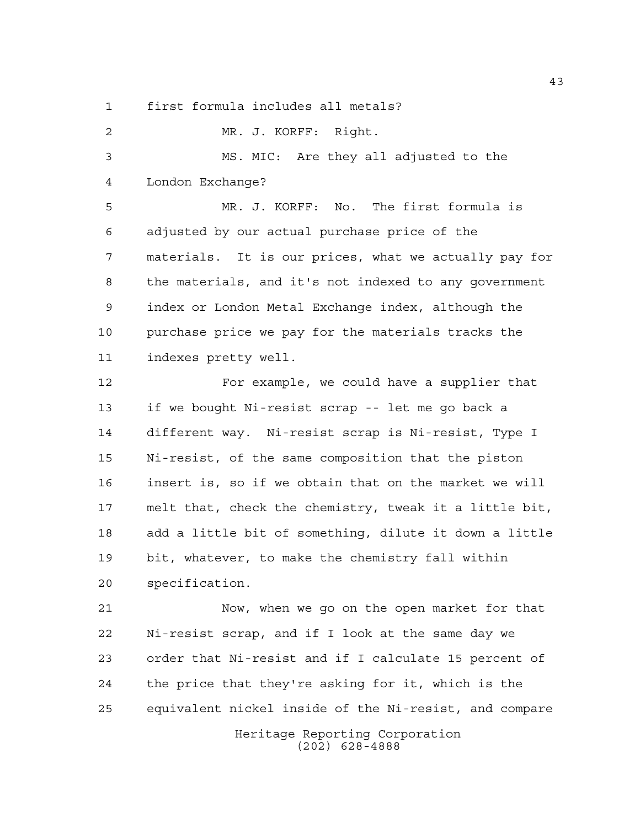first formula includes all metals?

 MR. J. KORFF: Right. MS. MIC: Are they all adjusted to the London Exchange? MR. J. KORFF: No. The first formula is adjusted by our actual purchase price of the materials. It is our prices, what we actually pay for the materials, and it's not indexed to any government index or London Metal Exchange index, although the purchase price we pay for the materials tracks the indexes pretty well. For example, we could have a supplier that if we bought Ni-resist scrap -- let me go back a different way. Ni-resist scrap is Ni-resist, Type I Ni-resist, of the same composition that the piston insert is, so if we obtain that on the market we will melt that, check the chemistry, tweak it a little bit, add a little bit of something, dilute it down a little bit, whatever, to make the chemistry fall within specification. Now, when we go on the open market for that Ni-resist scrap, and if I look at the same day we

Heritage Reporting Corporation order that Ni-resist and if I calculate 15 percent of the price that they're asking for it, which is the equivalent nickel inside of the Ni-resist, and compare

(202) 628-4888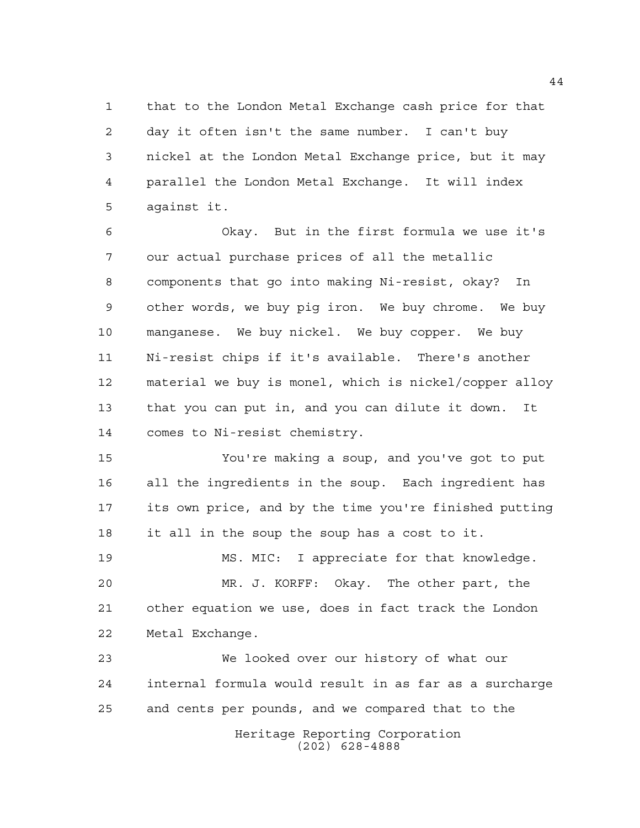that to the London Metal Exchange cash price for that day it often isn't the same number. I can't buy nickel at the London Metal Exchange price, but it may parallel the London Metal Exchange. It will index against it.

 Okay. But in the first formula we use it's our actual purchase prices of all the metallic components that go into making Ni-resist, okay? In other words, we buy pig iron. We buy chrome. We buy manganese. We buy nickel. We buy copper. We buy Ni-resist chips if it's available. There's another material we buy is monel, which is nickel/copper alloy that you can put in, and you can dilute it down. It comes to Ni-resist chemistry.

 You're making a soup, and you've got to put all the ingredients in the soup. Each ingredient has its own price, and by the time you're finished putting it all in the soup the soup has a cost to it.

 MS. MIC: I appreciate for that knowledge. MR. J. KORFF: Okay. The other part, the other equation we use, does in fact track the London Metal Exchange.

Heritage Reporting Corporation We looked over our history of what our internal formula would result in as far as a surcharge and cents per pounds, and we compared that to the

(202) 628-4888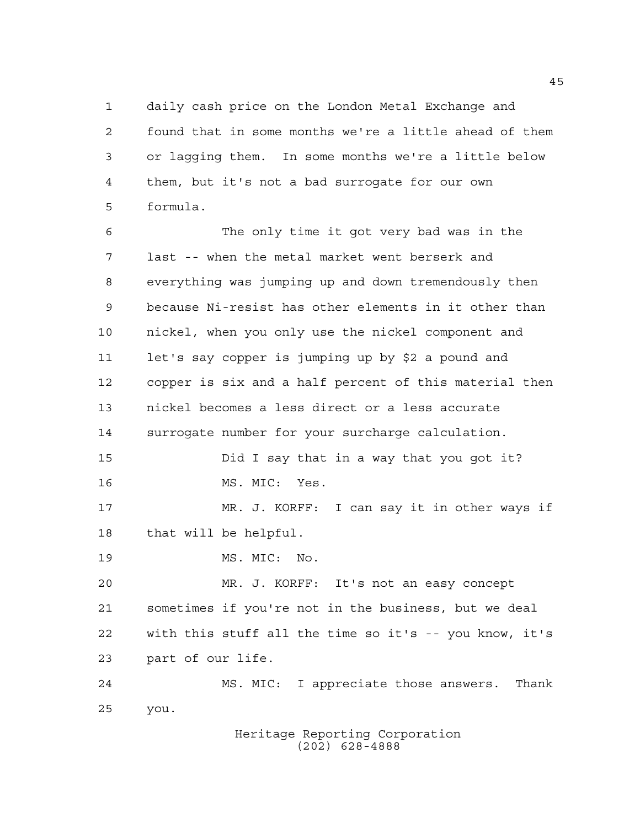daily cash price on the London Metal Exchange and found that in some months we're a little ahead of them or lagging them. In some months we're a little below them, but it's not a bad surrogate for our own formula.

 The only time it got very bad was in the last -- when the metal market went berserk and everything was jumping up and down tremendously then because Ni-resist has other elements in it other than nickel, when you only use the nickel component and let's say copper is jumping up by \$2 a pound and copper is six and a half percent of this material then nickel becomes a less direct or a less accurate surrogate number for your surcharge calculation. Did I say that in a way that you got it? MS. MIC: Yes. MR. J. KORFF: I can say it in other ways if that will be helpful. MS. MIC: No. MR. J. KORFF: It's not an easy concept sometimes if you're not in the business, but we deal with this stuff all the time so it's -- you know, it's part of our life. MS. MIC: I appreciate those answers. Thank you.

> Heritage Reporting Corporation (202) 628-4888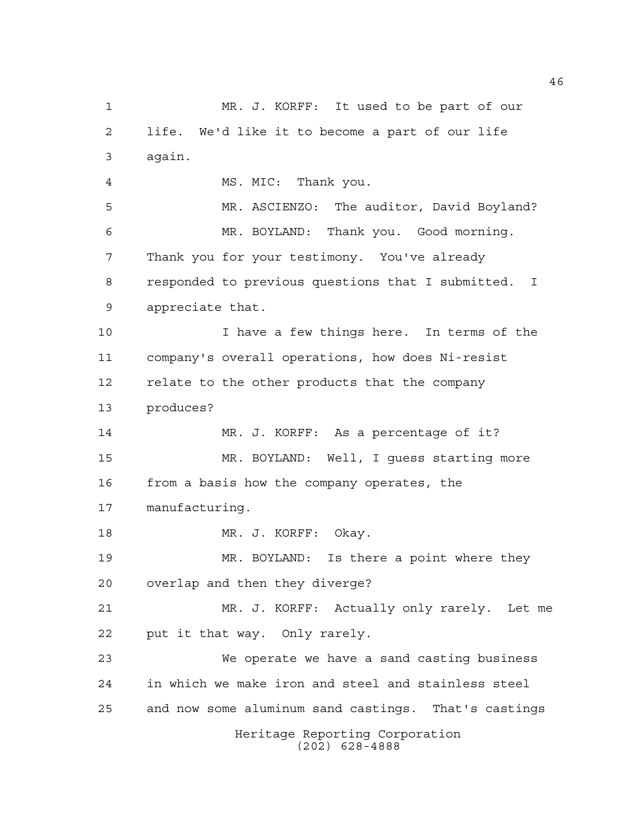Heritage Reporting Corporation (202) 628-4888 MR. J. KORFF: It used to be part of our life. We'd like it to become a part of our life again. MS. MIC: Thank you. MR. ASCIENZO: The auditor, David Boyland? MR. BOYLAND: Thank you. Good morning. Thank you for your testimony. You've already responded to previous questions that I submitted. I appreciate that. I have a few things here. In terms of the company's overall operations, how does Ni-resist relate to the other products that the company produces? MR. J. KORFF: As a percentage of it? MR. BOYLAND: Well, I guess starting more from a basis how the company operates, the manufacturing. 18 MR. J. KORFF: Okay. MR. BOYLAND: Is there a point where they overlap and then they diverge? MR. J. KORFF: Actually only rarely. Let me put it that way. Only rarely. We operate we have a sand casting business in which we make iron and steel and stainless steel and now some aluminum sand castings. That's castings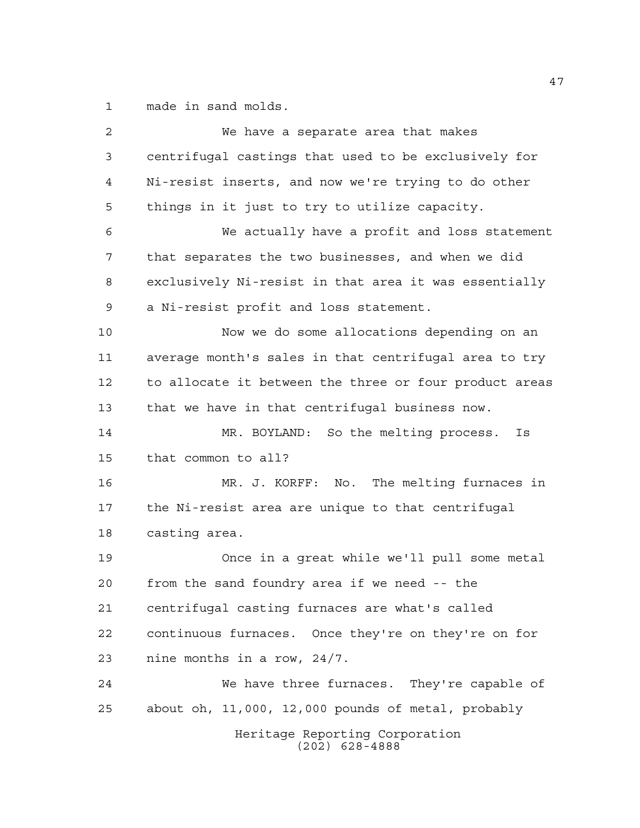made in sand molds.

| 2  | We have a separate area that makes                     |
|----|--------------------------------------------------------|
| 3  | centrifugal castings that used to be exclusively for   |
| 4  | Ni-resist inserts, and now we're trying to do other    |
| 5  | things in it just to try to utilize capacity.          |
| 6  | We actually have a profit and loss statement           |
| 7  | that separates the two businesses, and when we did     |
| 8  | exclusively Ni-resist in that area it was essentially  |
| 9  | a Ni-resist profit and loss statement.                 |
| 10 | Now we do some allocations depending on an             |
| 11 | average month's sales in that centrifugal area to try  |
| 12 | to allocate it between the three or four product areas |
| 13 | that we have in that centrifugal business now.         |
| 14 | MR. BOYLAND: So the melting process.<br>Is             |
| 15 | that common to all?                                    |
| 16 | MR. J. KORFF: No. The melting furnaces in              |
| 17 | the Ni-resist area are unique to that centrifugal      |
| 18 | casting area.                                          |
| 19 | Once in a great while we'll pull some metal            |
| 20 | from the sand foundry area if we need -- the           |
| 21 | centrifugal casting furnaces are what's called         |
| 22 | continuous furnaces. Once they're on they're on for    |
| 23 | nine months in a row, 24/7.                            |
| 24 | We have three furnaces. They're capable of             |
| 25 | about oh, 11,000, 12,000 pounds of metal, probably     |
|    | Heritage Reporting Corporation<br>$(202)$ 628-4888     |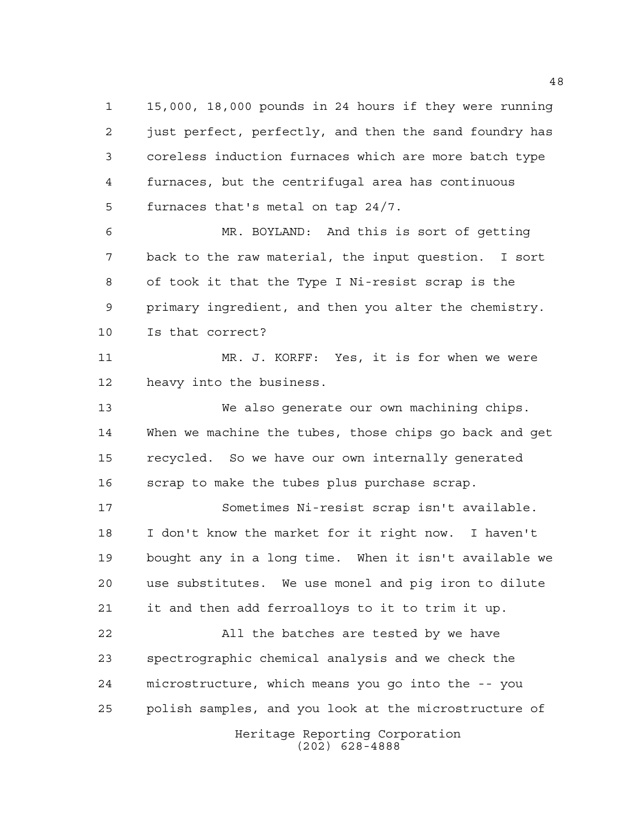15,000, 18,000 pounds in 24 hours if they were running just perfect, perfectly, and then the sand foundry has coreless induction furnaces which are more batch type furnaces, but the centrifugal area has continuous furnaces that's metal on tap 24/7.

 MR. BOYLAND: And this is sort of getting back to the raw material, the input question. I sort of took it that the Type I Ni-resist scrap is the primary ingredient, and then you alter the chemistry. Is that correct?

 MR. J. KORFF: Yes, it is for when we were heavy into the business.

 We also generate our own machining chips. When we machine the tubes, those chips go back and get recycled. So we have our own internally generated scrap to make the tubes plus purchase scrap.

 Sometimes Ni-resist scrap isn't available. I don't know the market for it right now. I haven't bought any in a long time. When it isn't available we use substitutes. We use monel and pig iron to dilute it and then add ferroalloys to it to trim it up.

 All the batches are tested by we have spectrographic chemical analysis and we check the microstructure, which means you go into the -- you polish samples, and you look at the microstructure of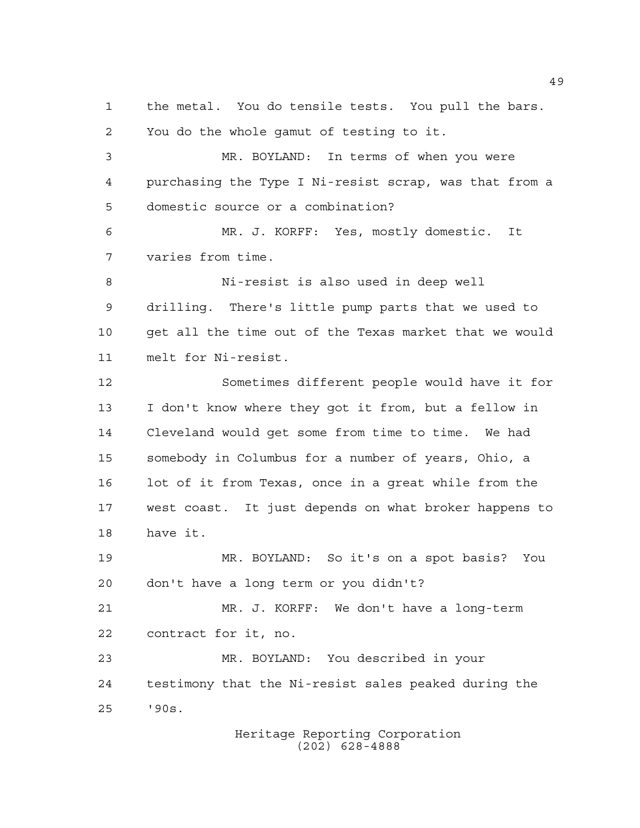Heritage Reporting Corporation the metal. You do tensile tests. You pull the bars. You do the whole gamut of testing to it. MR. BOYLAND: In terms of when you were purchasing the Type I Ni-resist scrap, was that from a domestic source or a combination? MR. J. KORFF: Yes, mostly domestic. It varies from time. Ni-resist is also used in deep well drilling. There's little pump parts that we used to get all the time out of the Texas market that we would melt for Ni-resist. Sometimes different people would have it for I don't know where they got it from, but a fellow in Cleveland would get some from time to time. We had somebody in Columbus for a number of years, Ohio, a lot of it from Texas, once in a great while from the west coast. It just depends on what broker happens to have it. MR. BOYLAND: So it's on a spot basis? You don't have a long term or you didn't? MR. J. KORFF: We don't have a long-term contract for it, no. MR. BOYLAND: You described in your testimony that the Ni-resist sales peaked during the '90s.

(202) 628-4888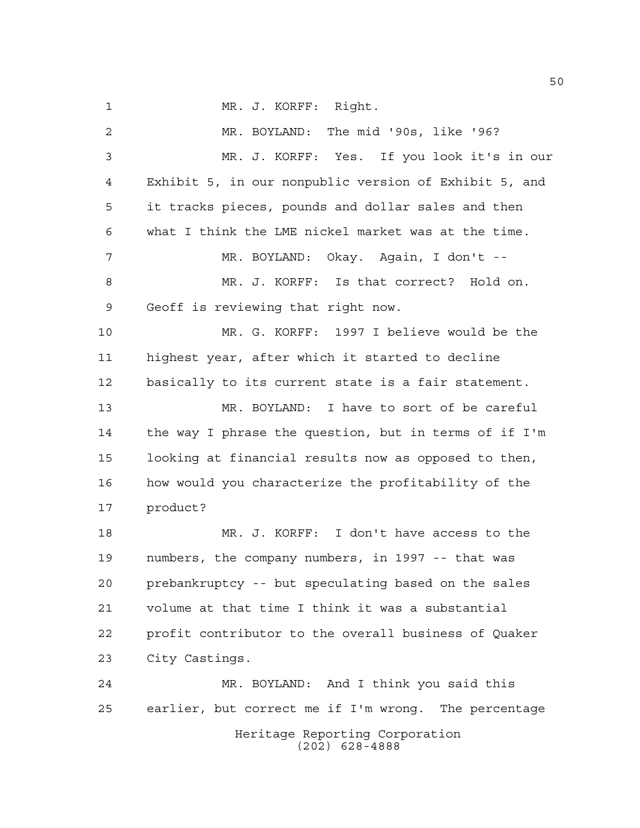MR. J. KORFF: Right. MR. BOYLAND: The mid '90s, like '96? MR. J. KORFF: Yes. If you look it's in our Exhibit 5, in our nonpublic version of Exhibit 5, and it tracks pieces, pounds and dollar sales and then what I think the LME nickel market was at the time. MR. BOYLAND: Okay. Again, I don't -- MR. J. KORFF: Is that correct? Hold on. Geoff is reviewing that right now. MR. G. KORFF: 1997 I believe would be the highest year, after which it started to decline basically to its current state is a fair statement. MR. BOYLAND: I have to sort of be careful the way I phrase the question, but in terms of if I'm looking at financial results now as opposed to then, how would you characterize the profitability of the product? MR. J. KORFF: I don't have access to the numbers, the company numbers, in 1997 -- that was prebankruptcy -- but speculating based on the sales volume at that time I think it was a substantial profit contributor to the overall business of Quaker City Castings. MR. BOYLAND: And I think you said this earlier, but correct me if I'm wrong. The percentage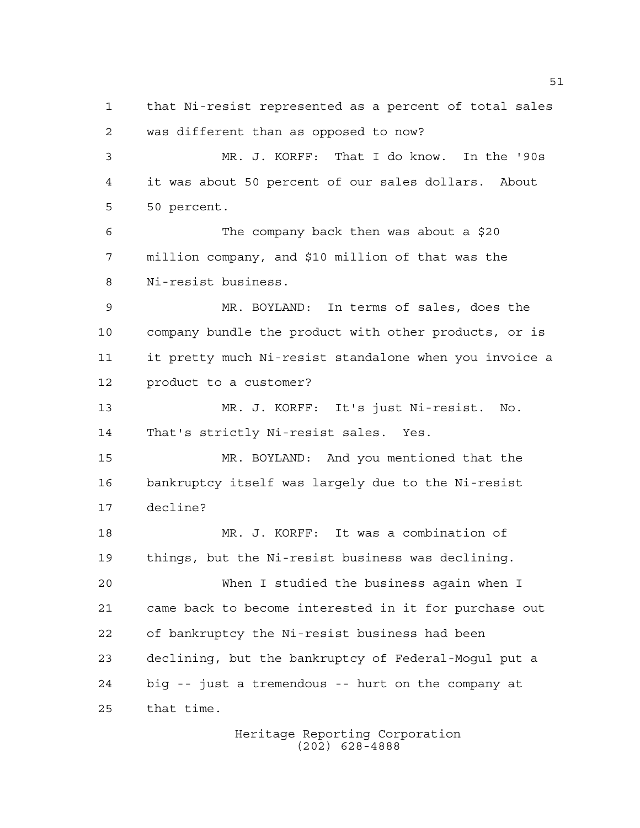that Ni-resist represented as a percent of total sales was different than as opposed to now? MR. J. KORFF: That I do know. In the '90s it was about 50 percent of our sales dollars. About 50 percent. The company back then was about a \$20 million company, and \$10 million of that was the Ni-resist business. MR. BOYLAND: In terms of sales, does the company bundle the product with other products, or is it pretty much Ni-resist standalone when you invoice a product to a customer? MR. J. KORFF: It's just Ni-resist. No. That's strictly Ni-resist sales. Yes. MR. BOYLAND: And you mentioned that the bankruptcy itself was largely due to the Ni-resist decline? MR. J. KORFF: It was a combination of things, but the Ni-resist business was declining. When I studied the business again when I came back to become interested in it for purchase out of bankruptcy the Ni-resist business had been declining, but the bankruptcy of Federal-Mogul put a big -- just a tremendous -- hurt on the company at that time.

Heritage Reporting Corporation (202) 628-4888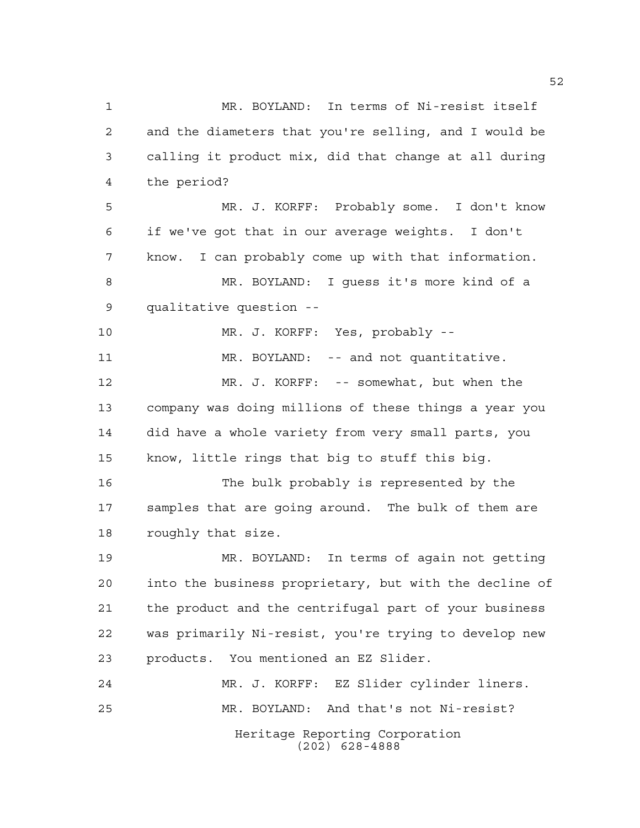Heritage Reporting Corporation (202) 628-4888 MR. BOYLAND: In terms of Ni-resist itself and the diameters that you're selling, and I would be calling it product mix, did that change at all during the period? MR. J. KORFF: Probably some. I don't know if we've got that in our average weights. I don't know. I can probably come up with that information. MR. BOYLAND: I guess it's more kind of a qualitative question -- MR. J. KORFF: Yes, probably -- 11 MR. BOYLAND: -- and not quantitative. MR. J. KORFF: -- somewhat, but when the company was doing millions of these things a year you did have a whole variety from very small parts, you know, little rings that big to stuff this big. The bulk probably is represented by the samples that are going around. The bulk of them are roughly that size. MR. BOYLAND: In terms of again not getting into the business proprietary, but with the decline of the product and the centrifugal part of your business was primarily Ni-resist, you're trying to develop new products. You mentioned an EZ Slider. MR. J. KORFF: EZ Slider cylinder liners. MR. BOYLAND: And that's not Ni-resist?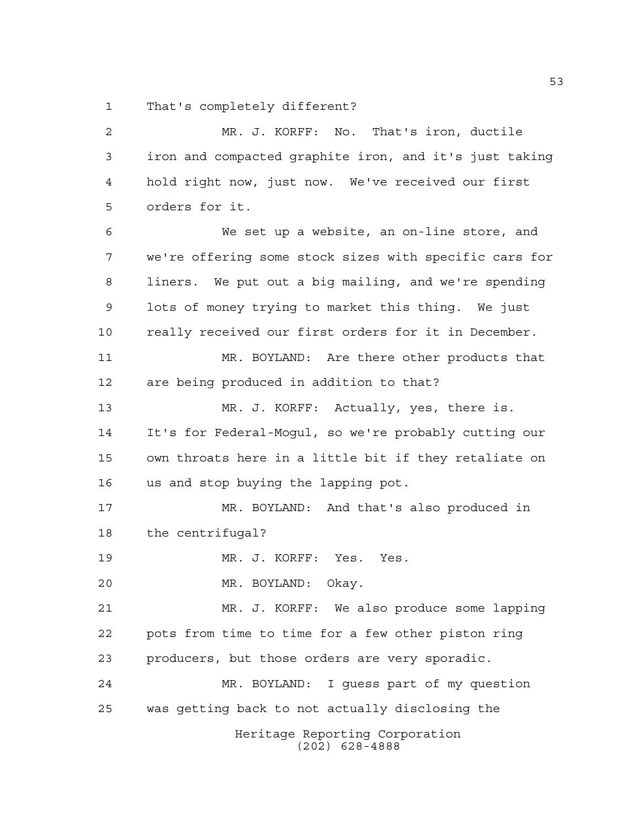That's completely different?

Heritage Reporting Corporation (202) 628-4888 MR. J. KORFF: No. That's iron, ductile iron and compacted graphite iron, and it's just taking hold right now, just now. We've received our first orders for it. We set up a website, an on-line store, and we're offering some stock sizes with specific cars for liners. We put out a big mailing, and we're spending lots of money trying to market this thing. We just really received our first orders for it in December. MR. BOYLAND: Are there other products that are being produced in addition to that? MR. J. KORFF: Actually, yes, there is. It's for Federal-Mogul, so we're probably cutting our own throats here in a little bit if they retaliate on us and stop buying the lapping pot. MR. BOYLAND: And that's also produced in the centrifugal? MR. J. KORFF: Yes. Yes. MR. BOYLAND: Okay. MR. J. KORFF: We also produce some lapping pots from time to time for a few other piston ring producers, but those orders are very sporadic. MR. BOYLAND: I guess part of my question was getting back to not actually disclosing the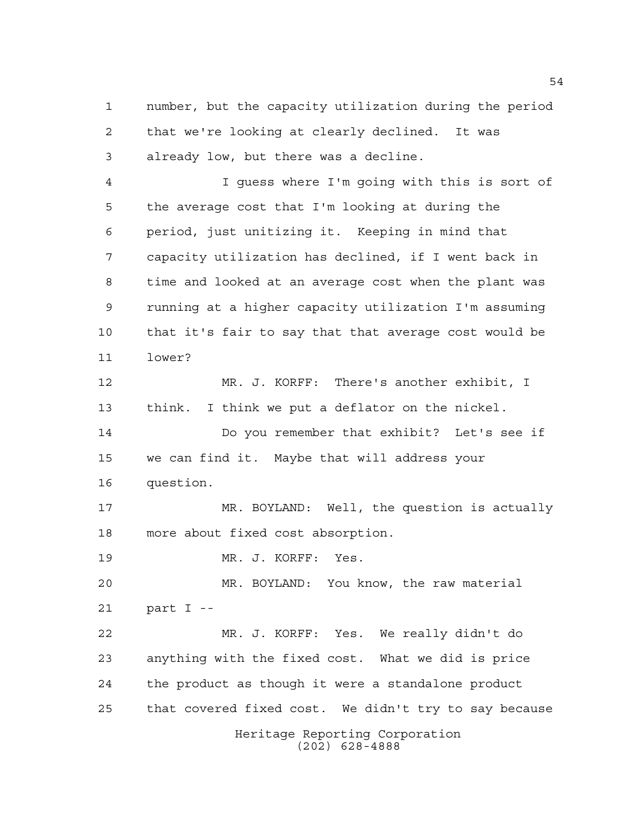number, but the capacity utilization during the period that we're looking at clearly declined. It was already low, but there was a decline.

 I guess where I'm going with this is sort of the average cost that I'm looking at during the period, just unitizing it. Keeping in mind that capacity utilization has declined, if I went back in time and looked at an average cost when the plant was running at a higher capacity utilization I'm assuming that it's fair to say that that average cost would be lower?

 MR. J. KORFF: There's another exhibit, I think. I think we put a deflator on the nickel. Do you remember that exhibit? Let's see if we can find it. Maybe that will address your question. MR. BOYLAND: Well, the question is actually

more about fixed cost absorption.

MR. J. KORFF: Yes.

 MR. BOYLAND: You know, the raw material part I --

Heritage Reporting Corporation (202) 628-4888 MR. J. KORFF: Yes. We really didn't do anything with the fixed cost. What we did is price the product as though it were a standalone product that covered fixed cost. We didn't try to say because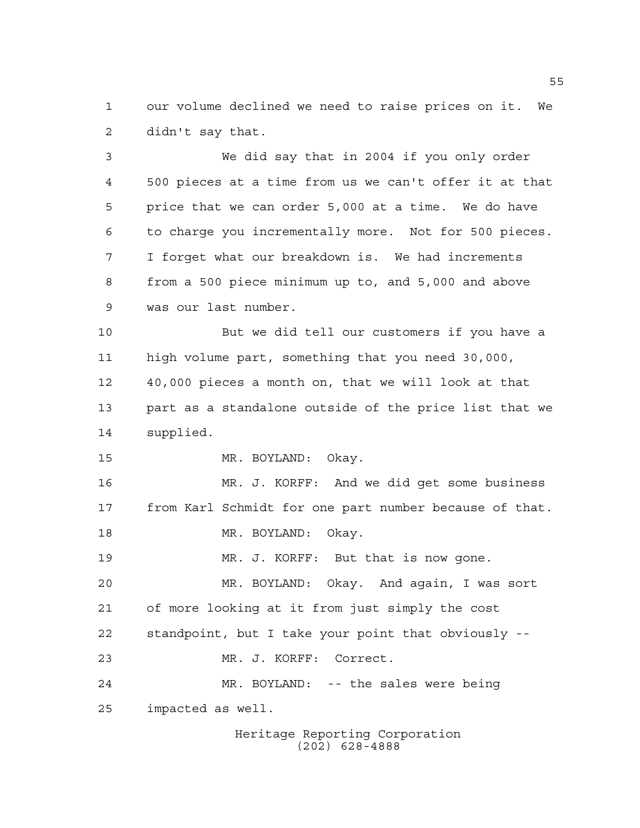our volume declined we need to raise prices on it. We didn't say that.

 We did say that in 2004 if you only order 500 pieces at a time from us we can't offer it at that price that we can order 5,000 at a time. We do have to charge you incrementally more. Not for 500 pieces. I forget what our breakdown is. We had increments from a 500 piece minimum up to, and 5,000 and above was our last number.

 But we did tell our customers if you have a high volume part, something that you need 30,000, 40,000 pieces a month on, that we will look at that part as a standalone outside of the price list that we supplied.

MR. BOYLAND: Okay.

 MR. J. KORFF: And we did get some business from Karl Schmidt for one part number because of that. 18 MR. BOYLAND: Okay.

MR. J. KORFF: But that is now gone.

 MR. BOYLAND: Okay. And again, I was sort of more looking at it from just simply the cost standpoint, but I take your point that obviously -- MR. J. KORFF: Correct. MR. BOYLAND: -- the sales were being

impacted as well.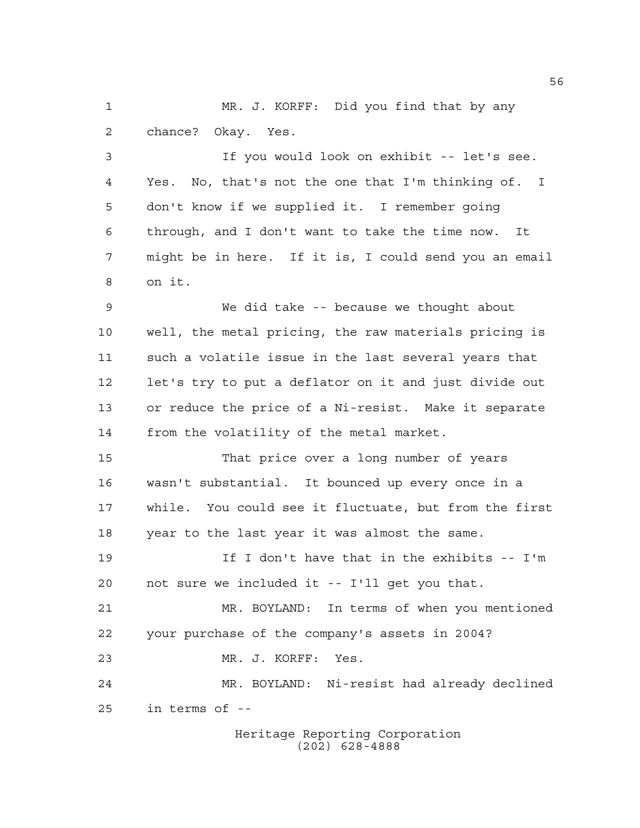MR. J. KORFF: Did you find that by any chance? Okay. Yes.

 If you would look on exhibit -- let's see. Yes. No, that's not the one that I'm thinking of. I don't know if we supplied it. I remember going through, and I don't want to take the time now. It might be in here. If it is, I could send you an email on it.

 We did take -- because we thought about well, the metal pricing, the raw materials pricing is such a volatile issue in the last several years that let's try to put a deflator on it and just divide out or reduce the price of a Ni-resist. Make it separate from the volatility of the metal market.

 That price over a long number of years wasn't substantial. It bounced up every once in a while. You could see it fluctuate, but from the first year to the last year it was almost the same.

 If I don't have that in the exhibits -- I'm not sure we included it -- I'll get you that.

 MR. BOYLAND: In terms of when you mentioned your purchase of the company's assets in 2004? MR. J. KORFF: Yes.

 MR. BOYLAND: Ni-resist had already declined in terms of --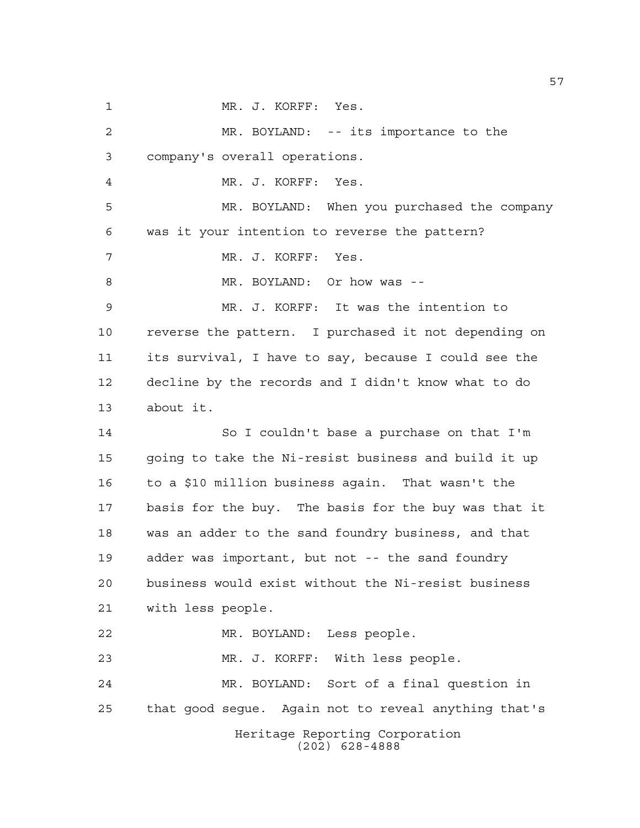Heritage Reporting Corporation (202) 628-4888 MR. J. KORFF: Yes. MR. BOYLAND: -- its importance to the company's overall operations. MR. J. KORFF: Yes. MR. BOYLAND: When you purchased the company was it your intention to reverse the pattern? MR. J. KORFF: Yes. MR. BOYLAND: Or how was -- MR. J. KORFF: It was the intention to reverse the pattern. I purchased it not depending on its survival, I have to say, because I could see the decline by the records and I didn't know what to do about it. So I couldn't base a purchase on that I'm going to take the Ni-resist business and build it up to a \$10 million business again. That wasn't the basis for the buy. The basis for the buy was that it was an adder to the sand foundry business, and that adder was important, but not -- the sand foundry business would exist without the Ni-resist business with less people. MR. BOYLAND: Less people. MR. J. KORFF: With less people. MR. BOYLAND: Sort of a final question in that good segue. Again not to reveal anything that's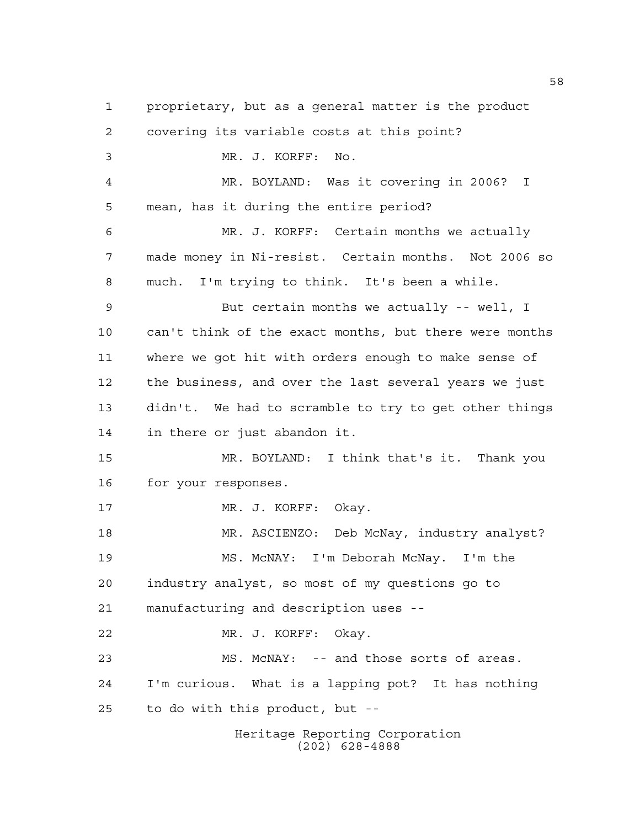Heritage Reporting Corporation proprietary, but as a general matter is the product covering its variable costs at this point? MR. J. KORFF: No. MR. BOYLAND: Was it covering in 2006? I mean, has it during the entire period? MR. J. KORFF: Certain months we actually made money in Ni-resist. Certain months. Not 2006 so much. I'm trying to think. It's been a while. But certain months we actually -- well, I can't think of the exact months, but there were months where we got hit with orders enough to make sense of the business, and over the last several years we just didn't. We had to scramble to try to get other things in there or just abandon it. MR. BOYLAND: I think that's it. Thank you for your responses. MR. J. KORFF: Okay. MR. ASCIENZO: Deb McNay, industry analyst? MS. McNAY: I'm Deborah McNay. I'm the industry analyst, so most of my questions go to manufacturing and description uses -- MR. J. KORFF: Okay. MS. McNAY: -- and those sorts of areas. I'm curious. What is a lapping pot? It has nothing to do with this product, but --

(202) 628-4888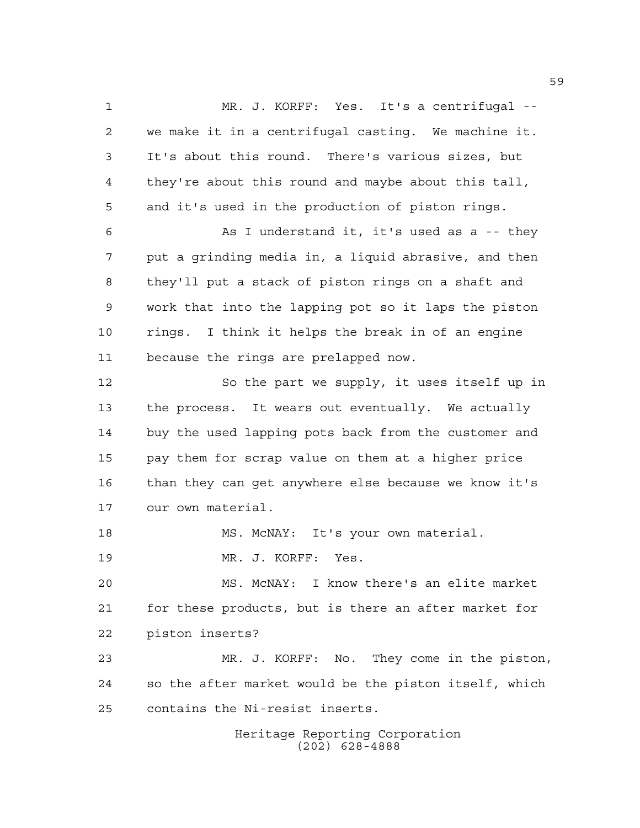Heritage Reporting Corporation (202) 628-4888 MR. J. KORFF: Yes. It's a centrifugal -- we make it in a centrifugal casting. We machine it. It's about this round. There's various sizes, but they're about this round and maybe about this tall, and it's used in the production of piston rings. As I understand it, it's used as a -- they put a grinding media in, a liquid abrasive, and then they'll put a stack of piston rings on a shaft and work that into the lapping pot so it laps the piston rings. I think it helps the break in of an engine because the rings are prelapped now. So the part we supply, it uses itself up in the process. It wears out eventually. We actually buy the used lapping pots back from the customer and pay them for scrap value on them at a higher price than they can get anywhere else because we know it's our own material. 18 MS. McNAY: It's your own material. MR. J. KORFF: Yes. MS. McNAY: I know there's an elite market for these products, but is there an after market for piston inserts? MR. J. KORFF: No. They come in the piston, so the after market would be the piston itself, which contains the Ni-resist inserts.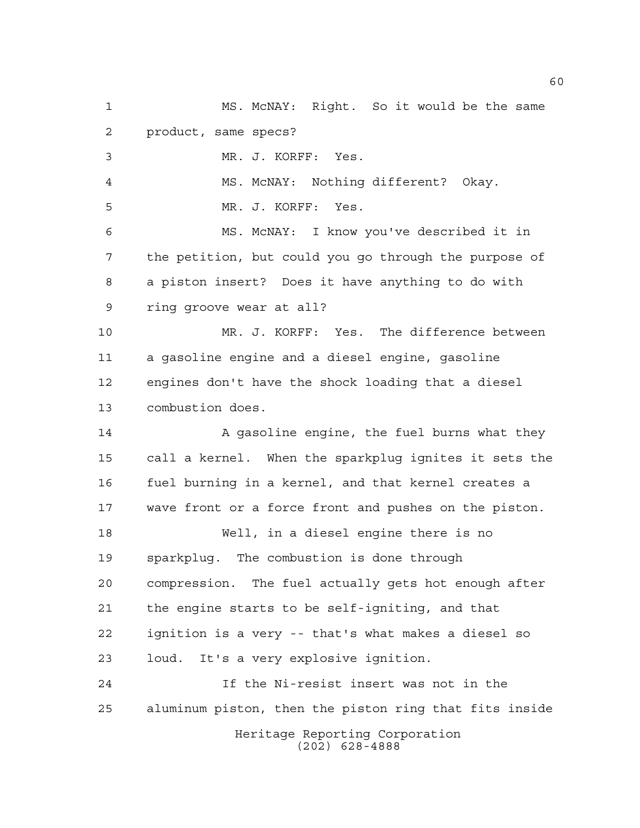Heritage Reporting Corporation (202) 628-4888 MS. McNAY: Right. So it would be the same product, same specs? MR. J. KORFF: Yes. MS. McNAY: Nothing different? Okay. MR. J. KORFF: Yes. MS. McNAY: I know you've described it in the petition, but could you go through the purpose of a piston insert? Does it have anything to do with ring groove wear at all? MR. J. KORFF: Yes. The difference between a gasoline engine and a diesel engine, gasoline engines don't have the shock loading that a diesel combustion does. 14 A gasoline engine, the fuel burns what they call a kernel. When the sparkplug ignites it sets the fuel burning in a kernel, and that kernel creates a wave front or a force front and pushes on the piston. Well, in a diesel engine there is no sparkplug. The combustion is done through compression. The fuel actually gets hot enough after the engine starts to be self-igniting, and that ignition is a very -- that's what makes a diesel so loud. It's a very explosive ignition. If the Ni-resist insert was not in the aluminum piston, then the piston ring that fits inside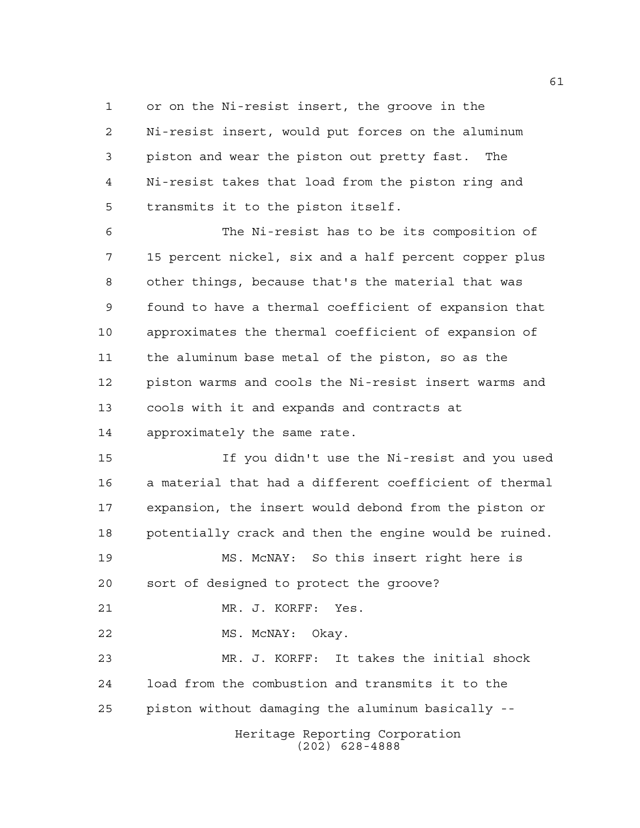or on the Ni-resist insert, the groove in the Ni-resist insert, would put forces on the aluminum piston and wear the piston out pretty fast. The Ni-resist takes that load from the piston ring and transmits it to the piston itself.

 The Ni-resist has to be its composition of 15 percent nickel, six and a half percent copper plus other things, because that's the material that was found to have a thermal coefficient of expansion that approximates the thermal coefficient of expansion of the aluminum base metal of the piston, so as the piston warms and cools the Ni-resist insert warms and cools with it and expands and contracts at approximately the same rate.

 If you didn't use the Ni-resist and you used a material that had a different coefficient of thermal expansion, the insert would debond from the piston or potentially crack and then the engine would be ruined.

 MS. McNAY: So this insert right here is sort of designed to protect the groove?

MR. J. KORFF: Yes.

22 MS. McNAY: Okay.

 MR. J. KORFF: It takes the initial shock load from the combustion and transmits it to the piston without damaging the aluminum basically --

> Heritage Reporting Corporation (202) 628-4888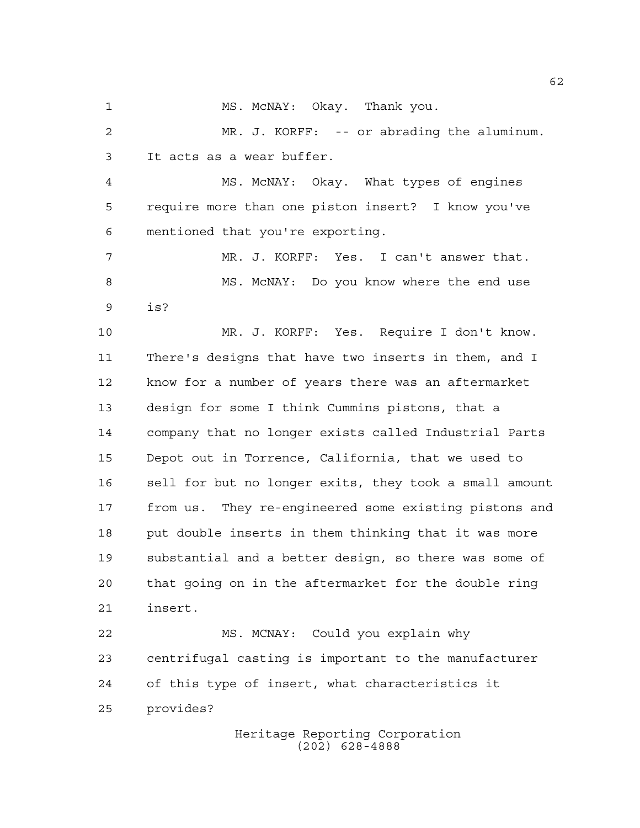1 MS. McNAY: Okay. Thank you.

 MR. J. KORFF: -- or abrading the aluminum. It acts as a wear buffer.

 MS. McNAY: Okay. What types of engines require more than one piston insert? I know you've mentioned that you're exporting.

 MR. J. KORFF: Yes. I can't answer that. MS. McNAY: Do you know where the end use is?

 MR. J. KORFF: Yes. Require I don't know. There's designs that have two inserts in them, and I know for a number of years there was an aftermarket design for some I think Cummins pistons, that a company that no longer exists called Industrial Parts Depot out in Torrence, California, that we used to sell for but no longer exits, they took a small amount from us. They re-engineered some existing pistons and put double inserts in them thinking that it was more substantial and a better design, so there was some of that going on in the aftermarket for the double ring insert.

 MS. MCNAY: Could you explain why centrifugal casting is important to the manufacturer of this type of insert, what characteristics it provides?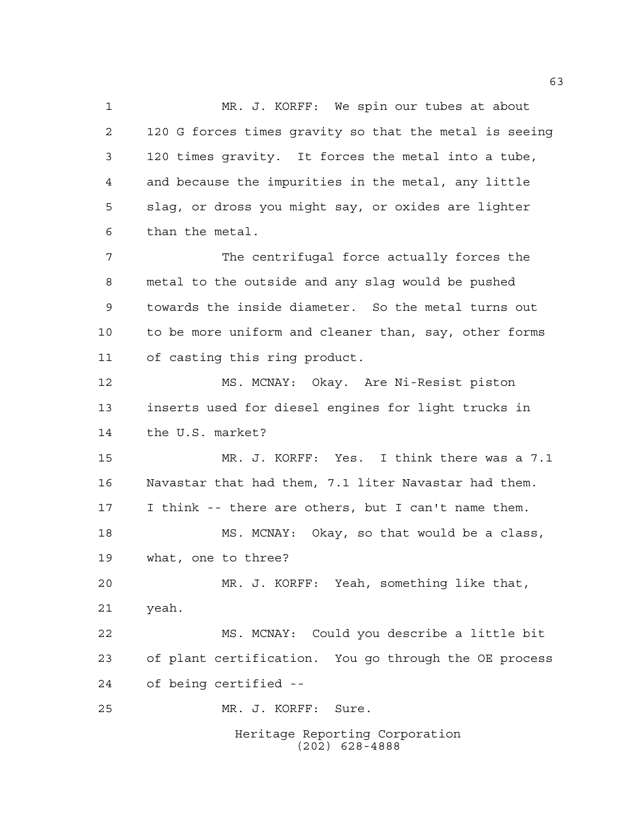Heritage Reporting Corporation (202) 628-4888 MR. J. KORFF: We spin our tubes at about 120 G forces times gravity so that the metal is seeing 120 times gravity. It forces the metal into a tube, and because the impurities in the metal, any little slag, or dross you might say, or oxides are lighter than the metal. The centrifugal force actually forces the metal to the outside and any slag would be pushed towards the inside diameter. So the metal turns out to be more uniform and cleaner than, say, other forms of casting this ring product. MS. MCNAY: Okay. Are Ni-Resist piston inserts used for diesel engines for light trucks in the U.S. market? MR. J. KORFF: Yes. I think there was a 7.1 Navastar that had them, 7.1 liter Navastar had them. I think -- there are others, but I can't name them. MS. MCNAY: Okay, so that would be a class, what, one to three? MR. J. KORFF: Yeah, something like that, yeah. MS. MCNAY: Could you describe a little bit of plant certification. You go through the OE process of being certified -- MR. J. KORFF: Sure.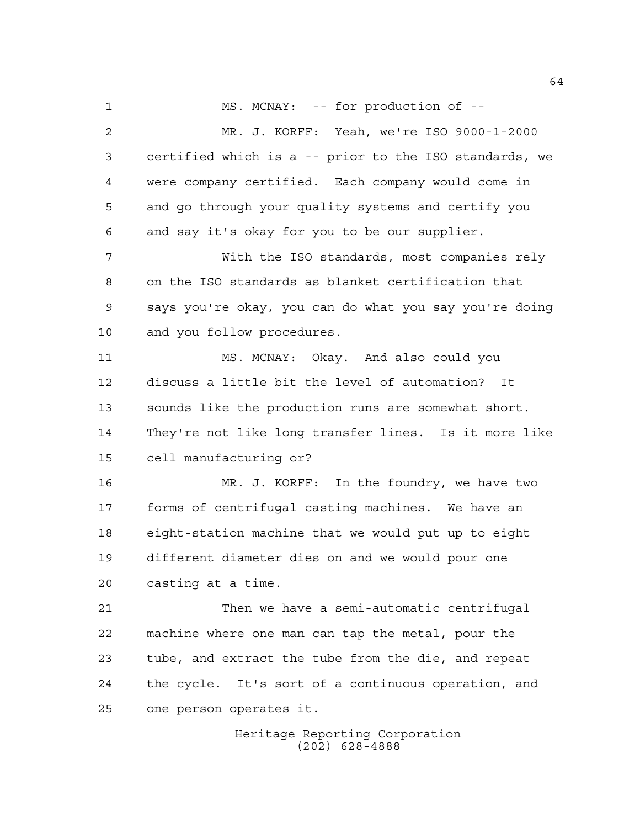1 MS. MCNAY: -- for production of -- MR. J. KORFF: Yeah, we're ISO 9000-1-2000 certified which is a -- prior to the ISO standards, we were company certified. Each company would come in and go through your quality systems and certify you and say it's okay for you to be our supplier. With the ISO standards, most companies rely on the ISO standards as blanket certification that says you're okay, you can do what you say you're doing and you follow procedures. MS. MCNAY: Okay. And also could you discuss a little bit the level of automation? It sounds like the production runs are somewhat short. They're not like long transfer lines. Is it more like cell manufacturing or? MR. J. KORFF: In the foundry, we have two forms of centrifugal casting machines. We have an eight-station machine that we would put up to eight different diameter dies on and we would pour one casting at a time. Then we have a semi-automatic centrifugal machine where one man can tap the metal, pour the tube, and extract the tube from the die, and repeat the cycle. It's sort of a continuous operation, and one person operates it.

> Heritage Reporting Corporation (202) 628-4888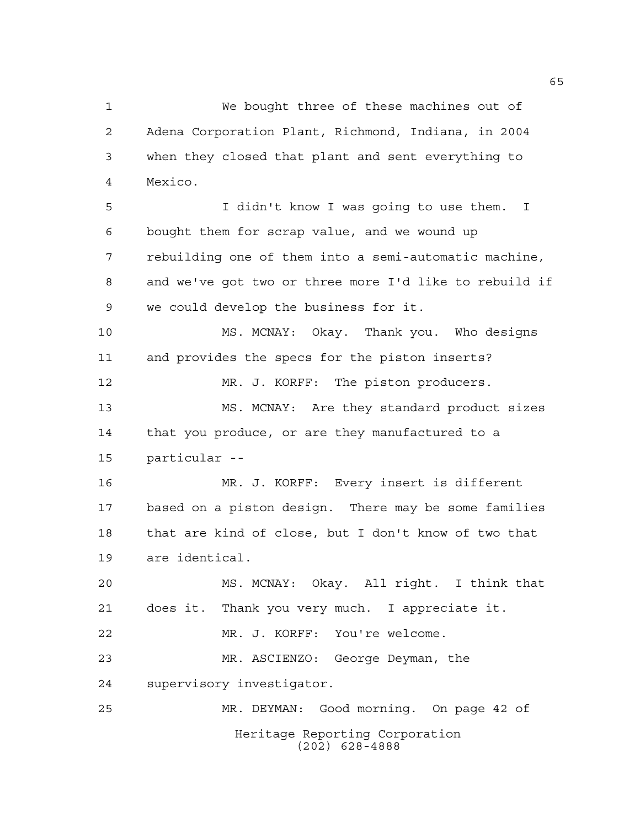We bought three of these machines out of Adena Corporation Plant, Richmond, Indiana, in 2004 when they closed that plant and sent everything to Mexico. I didn't know I was going to use them. I bought them for scrap value, and we wound up rebuilding one of them into a semi-automatic machine, and we've got two or three more I'd like to rebuild if we could develop the business for it. MS. MCNAY: Okay. Thank you. Who designs and provides the specs for the piston inserts? MR. J. KORFF: The piston producers. MS. MCNAY: Are they standard product sizes that you produce, or are they manufactured to a particular -- MR. J. KORFF: Every insert is different based on a piston design. There may be some families that are kind of close, but I don't know of two that are identical. MS. MCNAY: Okay. All right. I think that does it. Thank you very much. I appreciate it. MR. J. KORFF: You're welcome. MR. ASCIENZO: George Deyman, the supervisory investigator. MR. DEYMAN: Good morning. On page 42 of

> Heritage Reporting Corporation (202) 628-4888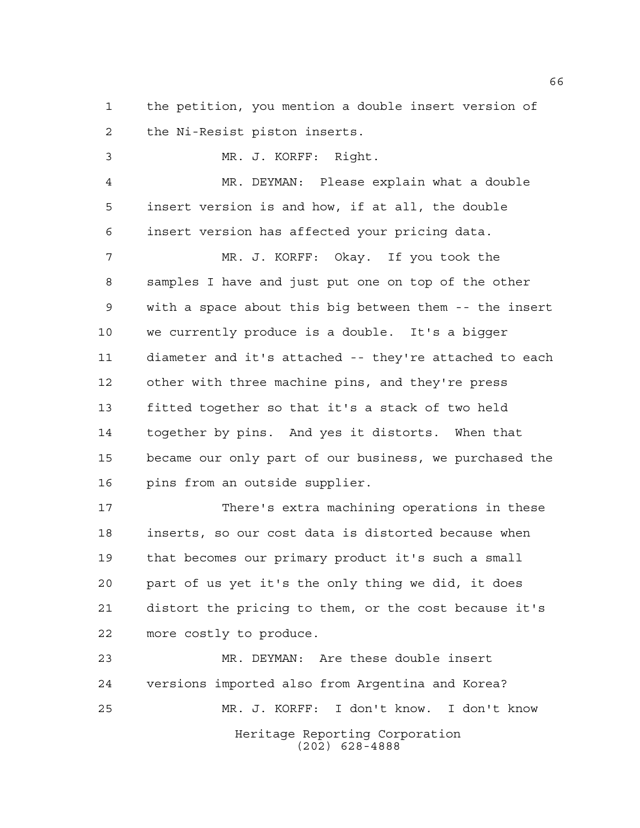the petition, you mention a double insert version of the Ni-Resist piston inserts.

 MR. J. KORFF: Right. MR. DEYMAN: Please explain what a double insert version is and how, if at all, the double insert version has affected your pricing data. MR. J. KORFF: Okay. If you took the samples I have and just put one on top of the other with a space about this big between them -- the insert we currently produce is a double. It's a bigger diameter and it's attached -- they're attached to each other with three machine pins, and they're press fitted together so that it's a stack of two held together by pins. And yes it distorts. When that became our only part of our business, we purchased the pins from an outside supplier.

 There's extra machining operations in these inserts, so our cost data is distorted because when that becomes our primary product it's such a small part of us yet it's the only thing we did, it does distort the pricing to them, or the cost because it's more costly to produce.

Heritage Reporting Corporation (202) 628-4888 MR. DEYMAN: Are these double insert versions imported also from Argentina and Korea? MR. J. KORFF: I don't know. I don't know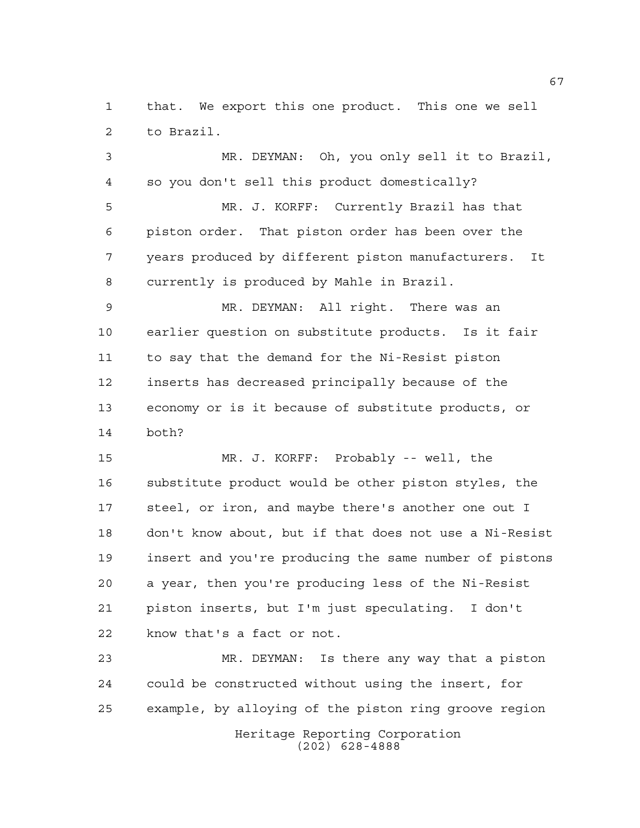that. We export this one product. This one we sell to Brazil.

 MR. DEYMAN: Oh, you only sell it to Brazil, so you don't sell this product domestically?

 MR. J. KORFF: Currently Brazil has that piston order. That piston order has been over the years produced by different piston manufacturers. It currently is produced by Mahle in Brazil.

 MR. DEYMAN: All right. There was an earlier question on substitute products. Is it fair to say that the demand for the Ni-Resist piston inserts has decreased principally because of the economy or is it because of substitute products, or both?

 MR. J. KORFF: Probably -- well, the substitute product would be other piston styles, the steel, or iron, and maybe there's another one out I don't know about, but if that does not use a Ni-Resist insert and you're producing the same number of pistons a year, then you're producing less of the Ni-Resist piston inserts, but I'm just speculating. I don't know that's a fact or not.

 MR. DEYMAN: Is there any way that a piston could be constructed without using the insert, for example, by alloying of the piston ring groove region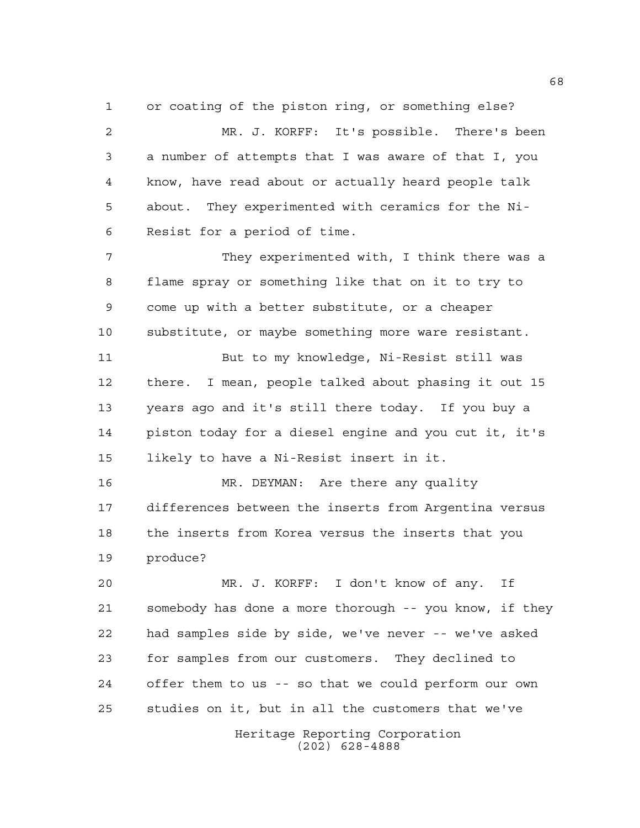or coating of the piston ring, or something else? MR. J. KORFF: It's possible. There's been a number of attempts that I was aware of that I, you know, have read about or actually heard people talk about. They experimented with ceramics for the Ni-Resist for a period of time.

 They experimented with, I think there was a flame spray or something like that on it to try to come up with a better substitute, or a cheaper substitute, or maybe something more ware resistant. But to my knowledge, Ni-Resist still was

 there. I mean, people talked about phasing it out 15 years ago and it's still there today. If you buy a piston today for a diesel engine and you cut it, it's likely to have a Ni-Resist insert in it.

 MR. DEYMAN: Are there any quality differences between the inserts from Argentina versus the inserts from Korea versus the inserts that you produce?

 MR. J. KORFF: I don't know of any. If somebody has done a more thorough -- you know, if they had samples side by side, we've never -- we've asked for samples from our customers. They declined to offer them to us -- so that we could perform our own studies on it, but in all the customers that we've

Heritage Reporting Corporation (202) 628-4888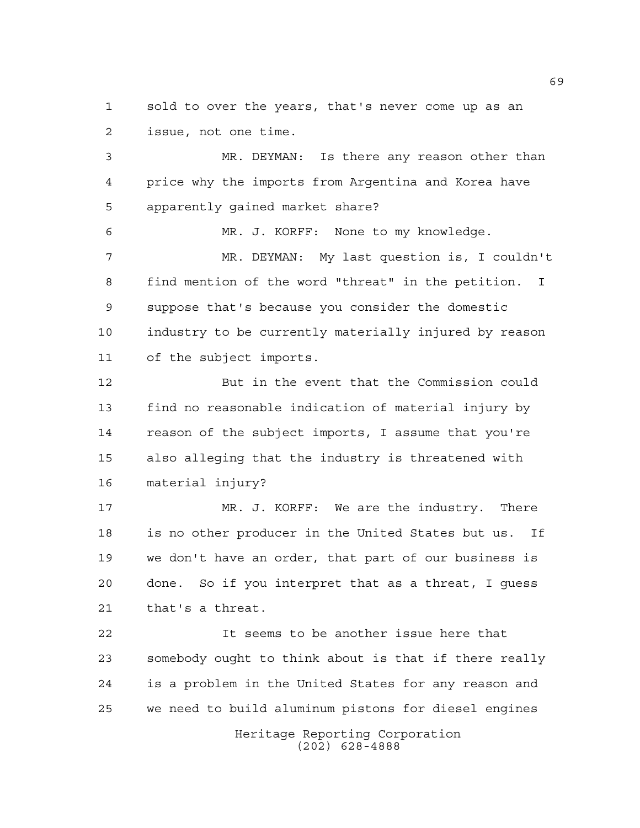sold to over the years, that's never come up as an issue, not one time.

 MR. DEYMAN: Is there any reason other than price why the imports from Argentina and Korea have apparently gained market share? MR. J. KORFF: None to my knowledge. MR. DEYMAN: My last question is, I couldn't find mention of the word "threat" in the petition. I suppose that's because you consider the domestic industry to be currently materially injured by reason

of the subject imports.

 But in the event that the Commission could find no reasonable indication of material injury by reason of the subject imports, I assume that you're also alleging that the industry is threatened with material injury?

 MR. J. KORFF: We are the industry. There is no other producer in the United States but us. If we don't have an order, that part of our business is done. So if you interpret that as a threat, I guess that's a threat.

 It seems to be another issue here that somebody ought to think about is that if there really is a problem in the United States for any reason and we need to build aluminum pistons for diesel engines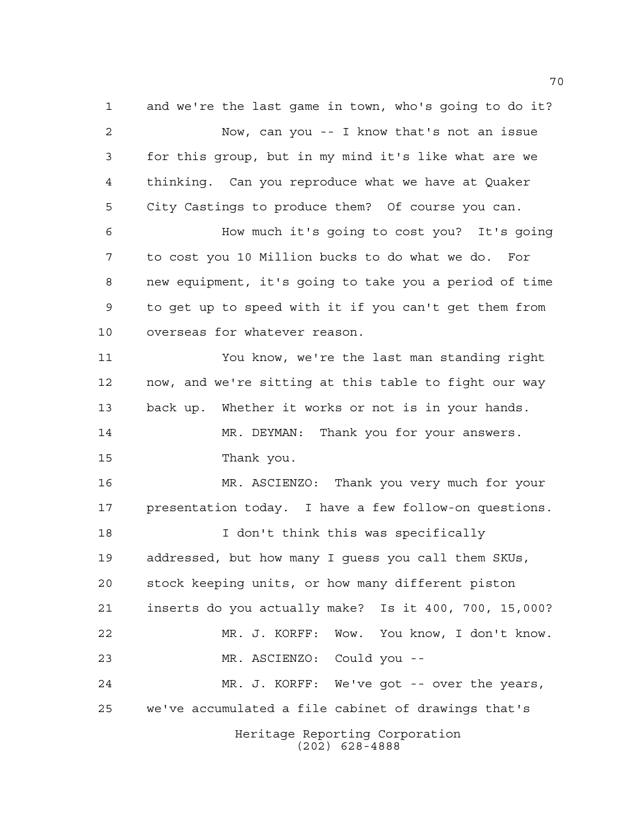Heritage Reporting Corporation (202) 628-4888 and we're the last game in town, who's going to do it? Now, can you -- I know that's not an issue for this group, but in my mind it's like what are we thinking. Can you reproduce what we have at Quaker City Castings to produce them? Of course you can. How much it's going to cost you? It's going to cost you 10 Million bucks to do what we do. For new equipment, it's going to take you a period of time to get up to speed with it if you can't get them from overseas for whatever reason. You know, we're the last man standing right now, and we're sitting at this table to fight our way back up. Whether it works or not is in your hands. MR. DEYMAN: Thank you for your answers. Thank you. MR. ASCIENZO: Thank you very much for your presentation today. I have a few follow-on questions. **I** don't think this was specifically addressed, but how many I guess you call them SKUs, stock keeping units, or how many different piston inserts do you actually make? Is it 400, 700, 15,000? MR. J. KORFF: Wow. You know, I don't know. MR. ASCIENZO: Could you -- MR. J. KORFF: We've got -- over the years, we've accumulated a file cabinet of drawings that's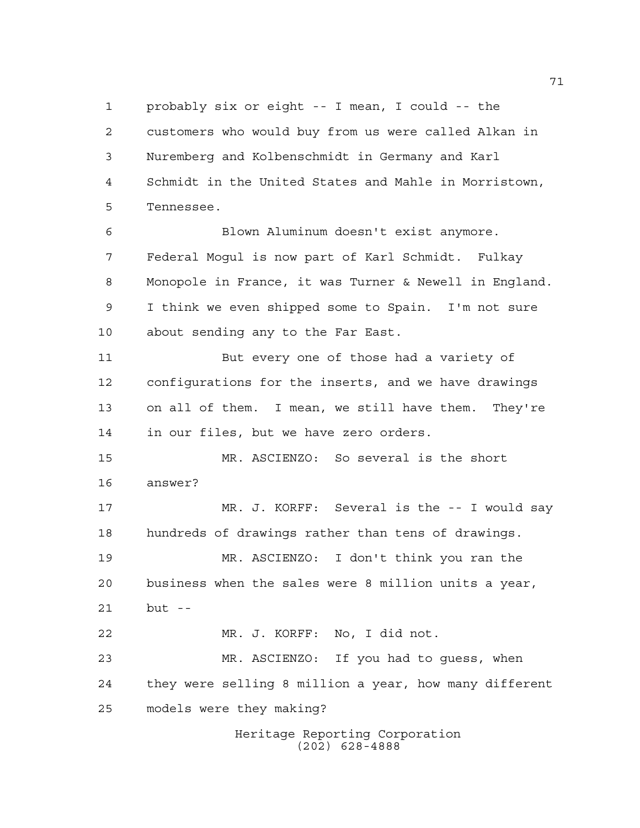probably six or eight -- I mean, I could -- the customers who would buy from us were called Alkan in Nuremberg and Kolbenschmidt in Germany and Karl Schmidt in the United States and Mahle in Morristown, Tennessee. Blown Aluminum doesn't exist anymore.

 Federal Mogul is now part of Karl Schmidt. Fulkay Monopole in France, it was Turner & Newell in England. I think we even shipped some to Spain. I'm not sure about sending any to the Far East.

 But every one of those had a variety of configurations for the inserts, and we have drawings on all of them. I mean, we still have them. They're in our files, but we have zero orders.

 MR. ASCIENZO: So several is the short answer?

 MR. J. KORFF: Several is the -- I would say hundreds of drawings rather than tens of drawings.

 MR. ASCIENZO: I don't think you ran the business when the sales were 8 million units a year, but --

 MR. J. KORFF: No, I did not. MR. ASCIENZO: If you had to guess, when they were selling 8 million a year, how many different models were they making?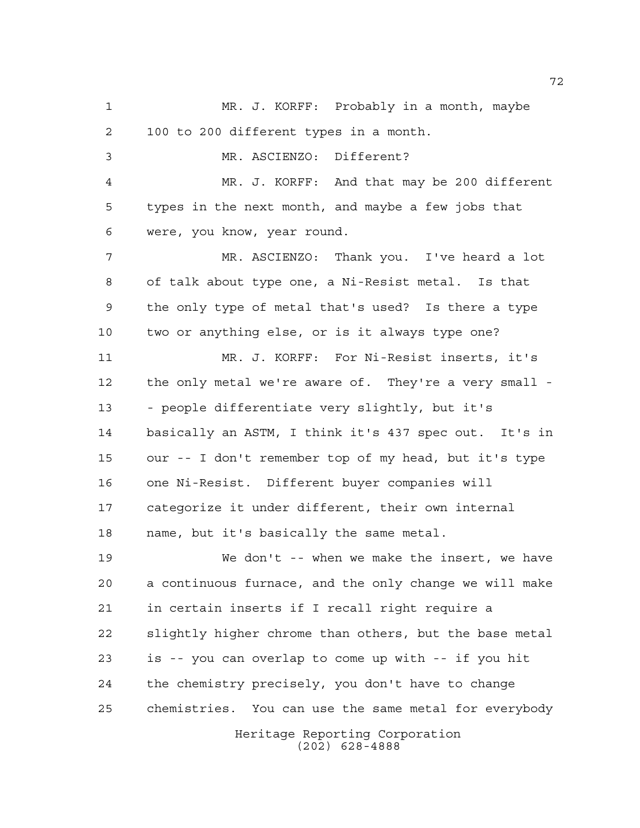Heritage Reporting Corporation (202) 628-4888 MR. J. KORFF: Probably in a month, maybe 100 to 200 different types in a month. MR. ASCIENZO: Different? MR. J. KORFF: And that may be 200 different types in the next month, and maybe a few jobs that were, you know, year round. MR. ASCIENZO: Thank you. I've heard a lot of talk about type one, a Ni-Resist metal. Is that the only type of metal that's used? Is there a type two or anything else, or is it always type one? MR. J. KORFF: For Ni-Resist inserts, it's the only metal we're aware of. They're a very small - - people differentiate very slightly, but it's basically an ASTM, I think it's 437 spec out. It's in our -- I don't remember top of my head, but it's type one Ni-Resist. Different buyer companies will categorize it under different, their own internal name, but it's basically the same metal. We don't -- when we make the insert, we have a continuous furnace, and the only change we will make in certain inserts if I recall right require a slightly higher chrome than others, but the base metal is -- you can overlap to come up with -- if you hit the chemistry precisely, you don't have to change chemistries. You can use the same metal for everybody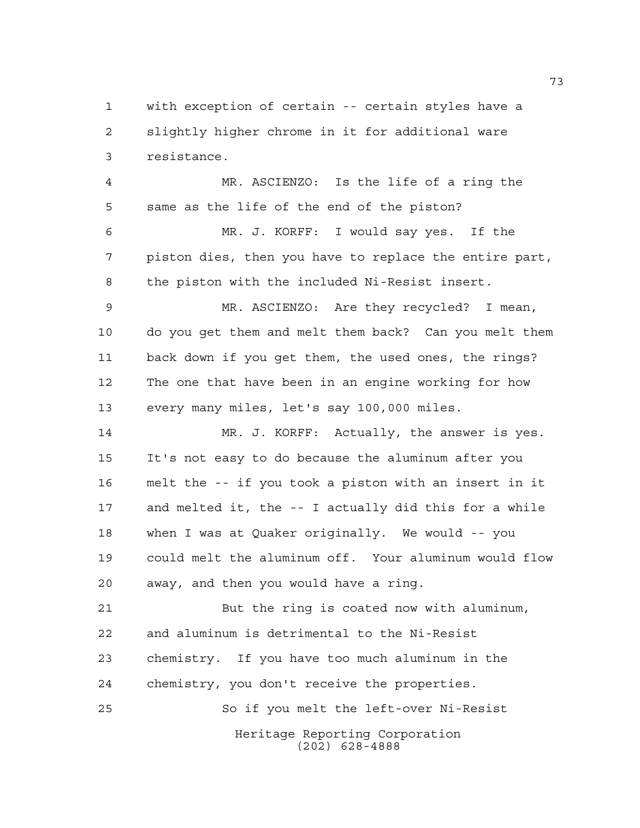with exception of certain -- certain styles have a slightly higher chrome in it for additional ware resistance.

 MR. ASCIENZO: Is the life of a ring the same as the life of the end of the piston? MR. J. KORFF: I would say yes. If the piston dies, then you have to replace the entire part, the piston with the included Ni-Resist insert. MR. ASCIENZO: Are they recycled? I mean, do you get them and melt them back? Can you melt them back down if you get them, the used ones, the rings?

 The one that have been in an engine working for how every many miles, let's say 100,000 miles.

 MR. J. KORFF: Actually, the answer is yes. It's not easy to do because the aluminum after you melt the -- if you took a piston with an insert in it and melted it, the -- I actually did this for a while when I was at Quaker originally. We would -- you could melt the aluminum off. Your aluminum would flow away, and then you would have a ring.

 But the ring is coated now with aluminum, and aluminum is detrimental to the Ni-Resist chemistry. If you have too much aluminum in the chemistry, you don't receive the properties. So if you melt the left-over Ni-Resist

> Heritage Reporting Corporation (202) 628-4888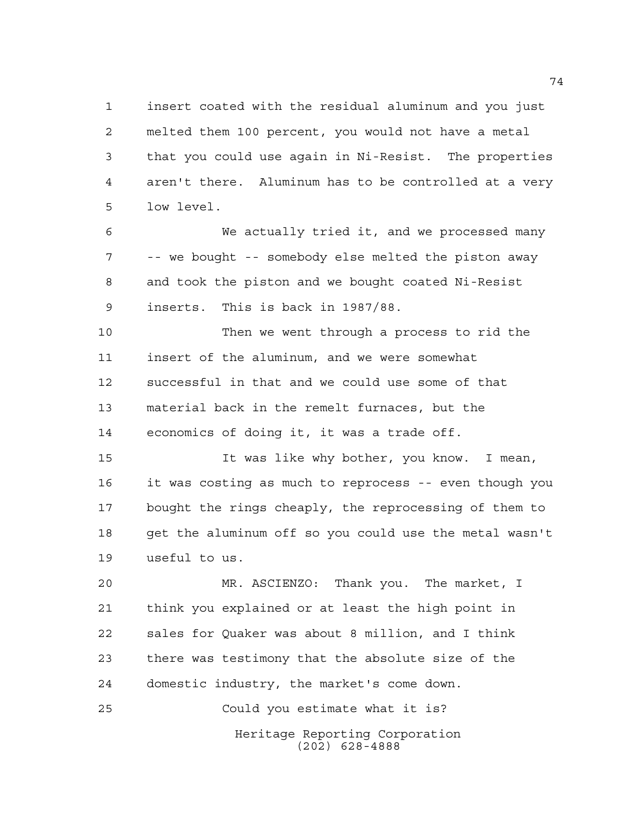insert coated with the residual aluminum and you just melted them 100 percent, you would not have a metal that you could use again in Ni-Resist. The properties aren't there. Aluminum has to be controlled at a very low level.

 We actually tried it, and we processed many -- we bought -- somebody else melted the piston away and took the piston and we bought coated Ni-Resist inserts. This is back in 1987/88.

 Then we went through a process to rid the insert of the aluminum, and we were somewhat successful in that and we could use some of that material back in the remelt furnaces, but the economics of doing it, it was a trade off.

 It was like why bother, you know. I mean, it was costing as much to reprocess -- even though you bought the rings cheaply, the reprocessing of them to get the aluminum off so you could use the metal wasn't useful to us.

 MR. ASCIENZO: Thank you. The market, I think you explained or at least the high point in sales for Quaker was about 8 million, and I think there was testimony that the absolute size of the domestic industry, the market's come down.

Heritage Reporting Corporation (202) 628-4888 Could you estimate what it is?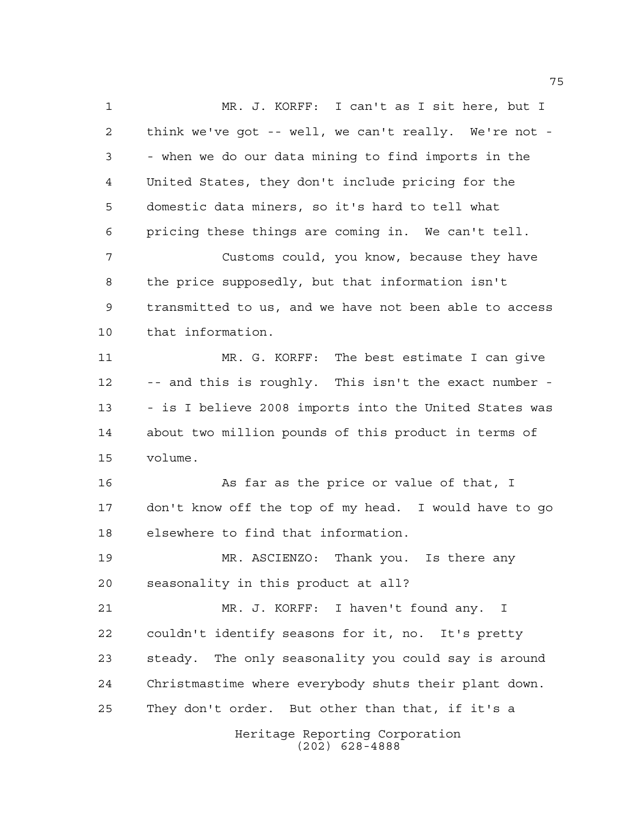Heritage Reporting Corporation (202) 628-4888 MR. J. KORFF: I can't as I sit here, but I think we've got -- well, we can't really. We're not - - when we do our data mining to find imports in the United States, they don't include pricing for the domestic data miners, so it's hard to tell what pricing these things are coming in. We can't tell. Customs could, you know, because they have the price supposedly, but that information isn't transmitted to us, and we have not been able to access that information. MR. G. KORFF: The best estimate I can give -- and this is roughly. This isn't the exact number - - is I believe 2008 imports into the United States was about two million pounds of this product in terms of volume. 16 As far as the price or value of that, I don't know off the top of my head. I would have to go elsewhere to find that information. MR. ASCIENZO: Thank you. Is there any seasonality in this product at all? MR. J. KORFF: I haven't found any. I couldn't identify seasons for it, no. It's pretty steady. The only seasonality you could say is around Christmastime where everybody shuts their plant down. They don't order. But other than that, if it's a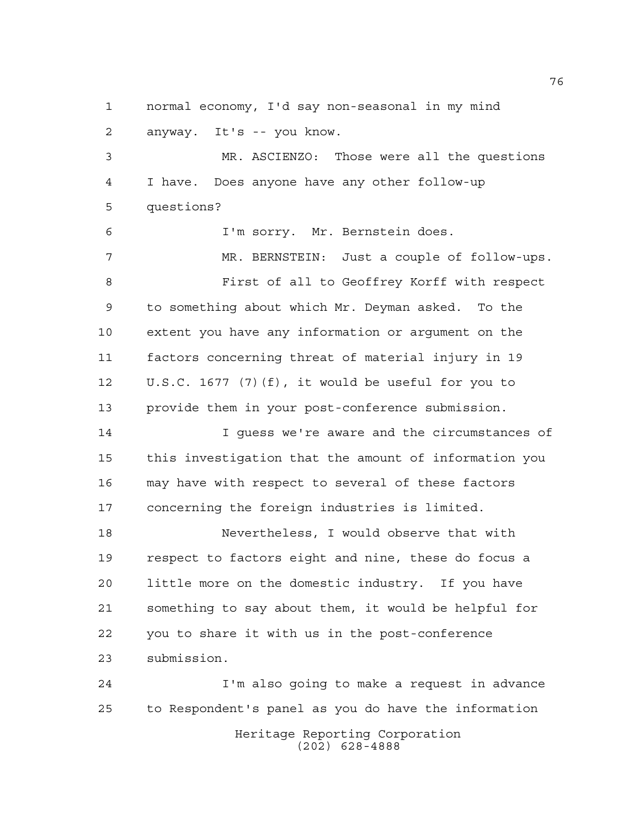normal economy, I'd say non-seasonal in my mind anyway. It's -- you know.

 MR. ASCIENZO: Those were all the questions I have. Does anyone have any other follow-up questions?

I'm sorry. Mr. Bernstein does.

 MR. BERNSTEIN: Just a couple of follow-ups. First of all to Geoffrey Korff with respect to something about which Mr. Deyman asked. To the extent you have any information or argument on the factors concerning threat of material injury in 19 U.S.C. 1677 (7)(f), it would be useful for you to provide them in your post-conference submission.

 I guess we're aware and the circumstances of this investigation that the amount of information you may have with respect to several of these factors concerning the foreign industries is limited.

 Nevertheless, I would observe that with respect to factors eight and nine, these do focus a little more on the domestic industry. If you have something to say about them, it would be helpful for you to share it with us in the post-conference submission.

Heritage Reporting Corporation (202) 628-4888 I'm also going to make a request in advance to Respondent's panel as you do have the information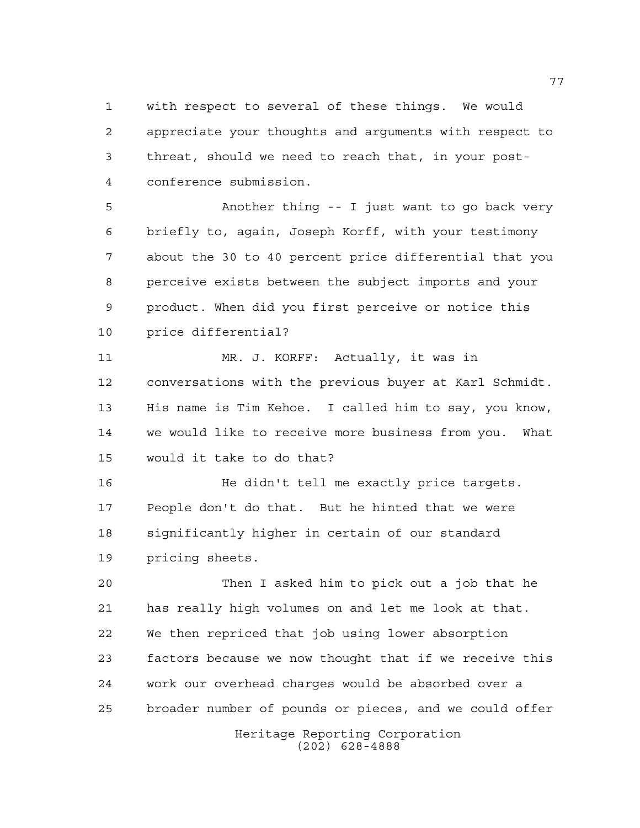with respect to several of these things. We would appreciate your thoughts and arguments with respect to threat, should we need to reach that, in your post-conference submission.

 Another thing -- I just want to go back very briefly to, again, Joseph Korff, with your testimony about the 30 to 40 percent price differential that you perceive exists between the subject imports and your product. When did you first perceive or notice this price differential?

 MR. J. KORFF: Actually, it was in conversations with the previous buyer at Karl Schmidt. His name is Tim Kehoe. I called him to say, you know, we would like to receive more business from you. What would it take to do that?

 He didn't tell me exactly price targets. People don't do that. But he hinted that we were significantly higher in certain of our standard pricing sheets.

 Then I asked him to pick out a job that he has really high volumes on and let me look at that. We then repriced that job using lower absorption factors because we now thought that if we receive this work our overhead charges would be absorbed over a broader number of pounds or pieces, and we could offer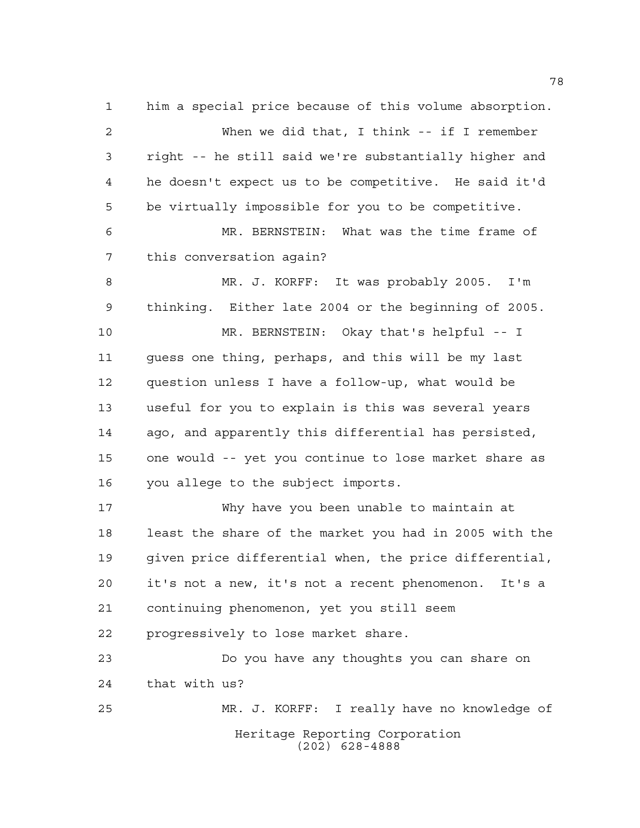Heritage Reporting Corporation (202) 628-4888 him a special price because of this volume absorption. When we did that, I think -- if I remember right -- he still said we're substantially higher and he doesn't expect us to be competitive. He said it'd be virtually impossible for you to be competitive. MR. BERNSTEIN: What was the time frame of this conversation again? MR. J. KORFF: It was probably 2005. I'm thinking. Either late 2004 or the beginning of 2005. MR. BERNSTEIN: Okay that's helpful -- I guess one thing, perhaps, and this will be my last question unless I have a follow-up, what would be useful for you to explain is this was several years ago, and apparently this differential has persisted, one would -- yet you continue to lose market share as you allege to the subject imports. Why have you been unable to maintain at least the share of the market you had in 2005 with the given price differential when, the price differential, it's not a new, it's not a recent phenomenon. It's a continuing phenomenon, yet you still seem progressively to lose market share. Do you have any thoughts you can share on that with us? MR. J. KORFF: I really have no knowledge of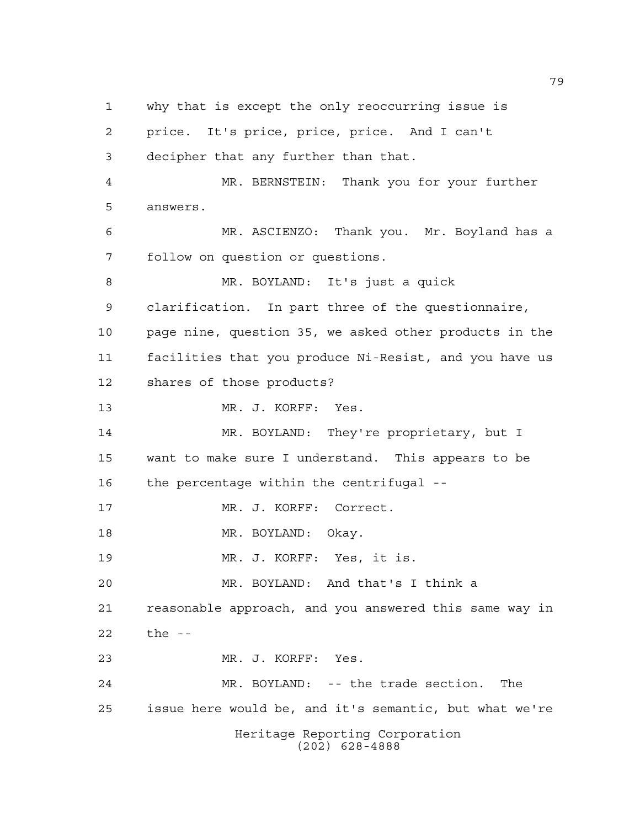Heritage Reporting Corporation (202) 628-4888 why that is except the only reoccurring issue is price. It's price, price, price. And I can't decipher that any further than that. MR. BERNSTEIN: Thank you for your further answers. MR. ASCIENZO: Thank you. Mr. Boyland has a follow on question or questions. MR. BOYLAND: It's just a quick clarification. In part three of the questionnaire, page nine, question 35, we asked other products in the facilities that you produce Ni-Resist, and you have us shares of those products? MR. J. KORFF: Yes. MR. BOYLAND: They're proprietary, but I want to make sure I understand. This appears to be the percentage within the centrifugal -- MR. J. KORFF: Correct. 18 MR. BOYLAND: Okay. MR. J. KORFF: Yes, it is. MR. BOYLAND: And that's I think a reasonable approach, and you answered this same way in the -- MR. J. KORFF: Yes. MR. BOYLAND: -- the trade section. The issue here would be, and it's semantic, but what we're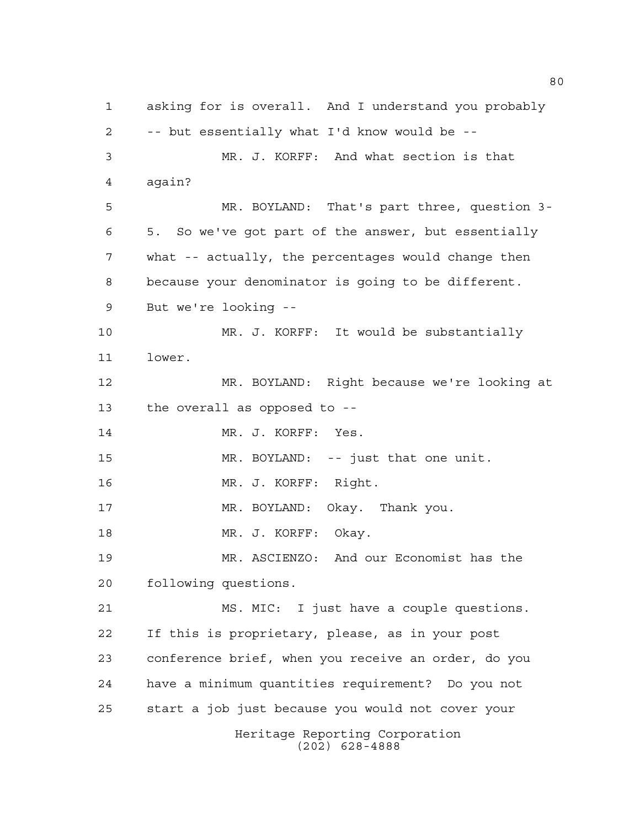Heritage Reporting Corporation (202) 628-4888 asking for is overall. And I understand you probably -- but essentially what I'd know would be -- MR. J. KORFF: And what section is that again? MR. BOYLAND: That's part three, question 3- 5. So we've got part of the answer, but essentially what -- actually, the percentages would change then because your denominator is going to be different. But we're looking -- MR. J. KORFF: It would be substantially lower. MR. BOYLAND: Right because we're looking at the overall as opposed to -- MR. J. KORFF: Yes. MR. BOYLAND: -- just that one unit. MR. J. KORFF: Right. MR. BOYLAND: Okay. Thank you. 18 MR. J. KORFF: Okay. MR. ASCIENZO: And our Economist has the following questions. MS. MIC: I just have a couple questions. If this is proprietary, please, as in your post conference brief, when you receive an order, do you have a minimum quantities requirement? Do you not start a job just because you would not cover your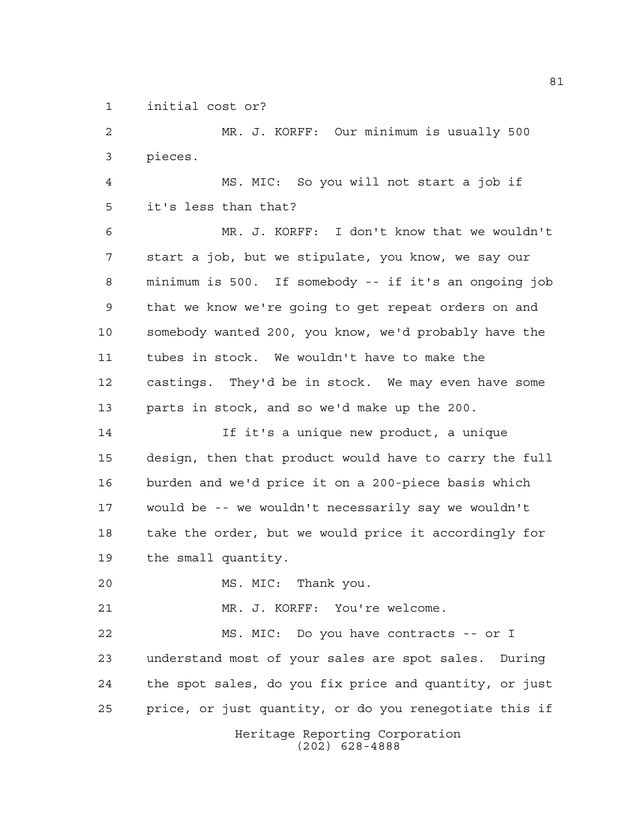initial cost or?

Heritage Reporting Corporation MR. J. KORFF: Our minimum is usually 500 pieces. MS. MIC: So you will not start a job if it's less than that? MR. J. KORFF: I don't know that we wouldn't start a job, but we stipulate, you know, we say our minimum is 500. If somebody -- if it's an ongoing job that we know we're going to get repeat orders on and somebody wanted 200, you know, we'd probably have the tubes in stock. We wouldn't have to make the castings. They'd be in stock. We may even have some parts in stock, and so we'd make up the 200. If it's a unique new product, a unique design, then that product would have to carry the full burden and we'd price it on a 200-piece basis which would be -- we wouldn't necessarily say we wouldn't 18 take the order, but we would price it accordingly for the small quantity. MS. MIC: Thank you. MR. J. KORFF: You're welcome. MS. MIC: Do you have contracts -- or I understand most of your sales are spot sales. During the spot sales, do you fix price and quantity, or just price, or just quantity, or do you renegotiate this if

(202) 628-4888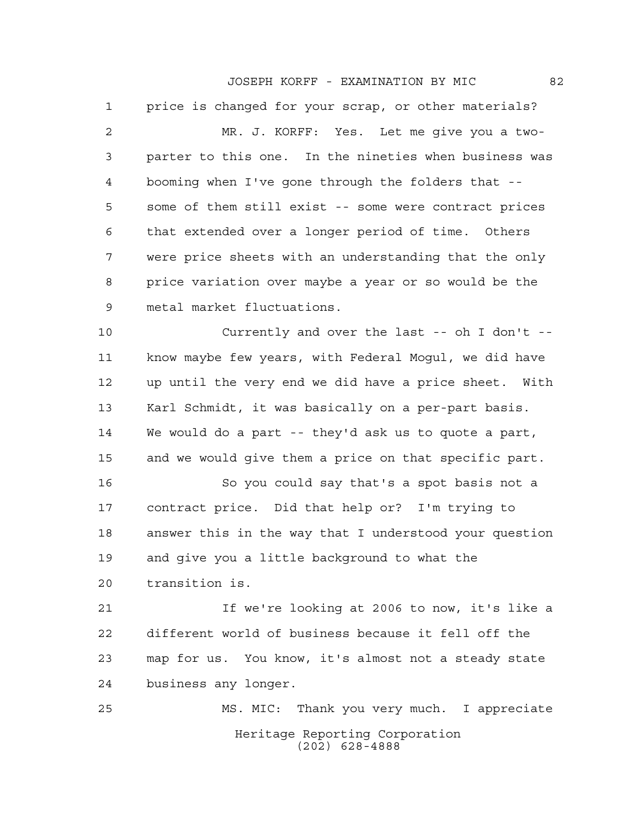JOSEPH KORFF - EXAMINATION BY MIC 82

 price is changed for your scrap, or other materials? MR. J. KORFF: Yes. Let me give you a two- parter to this one. In the nineties when business was booming when I've gone through the folders that -- some of them still exist -- some were contract prices that extended over a longer period of time. Others were price sheets with an understanding that the only price variation over maybe a year or so would be the metal market fluctuations.

 Currently and over the last -- oh I don't -- know maybe few years, with Federal Mogul, we did have up until the very end we did have a price sheet. With Karl Schmidt, it was basically on a per-part basis. We would do a part -- they'd ask us to quote a part, and we would give them a price on that specific part.

 So you could say that's a spot basis not a contract price. Did that help or? I'm trying to answer this in the way that I understood your question and give you a little background to what the transition is.

 If we're looking at 2006 to now, it's like a different world of business because it fell off the map for us. You know, it's almost not a steady state business any longer.

Heritage Reporting Corporation (202) 628-4888 MS. MIC: Thank you very much. I appreciate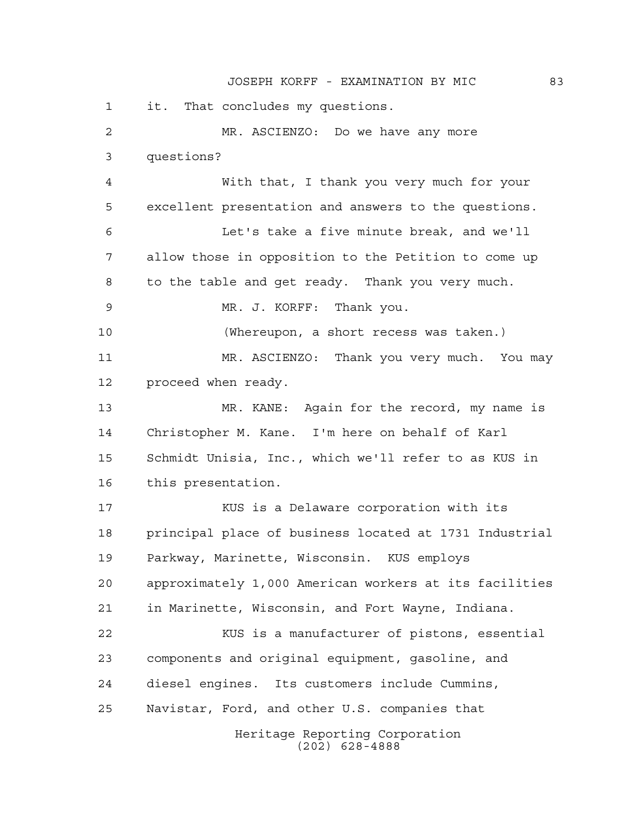JOSEPH KORFF - EXAMINATION BY MIC 83

Heritage Reporting Corporation (202) 628-4888 it. That concludes my questions. MR. ASCIENZO: Do we have any more questions? With that, I thank you very much for your excellent presentation and answers to the questions. Let's take a five minute break, and we'll allow those in opposition to the Petition to come up to the table and get ready. Thank you very much. MR. J. KORFF: Thank you. (Whereupon, a short recess was taken.) MR. ASCIENZO: Thank you very much. You may proceed when ready. MR. KANE: Again for the record, my name is Christopher M. Kane. I'm here on behalf of Karl Schmidt Unisia, Inc., which we'll refer to as KUS in this presentation. KUS is a Delaware corporation with its principal place of business located at 1731 Industrial Parkway, Marinette, Wisconsin. KUS employs approximately 1,000 American workers at its facilities in Marinette, Wisconsin, and Fort Wayne, Indiana. KUS is a manufacturer of pistons, essential components and original equipment, gasoline, and diesel engines. Its customers include Cummins, Navistar, Ford, and other U.S. companies that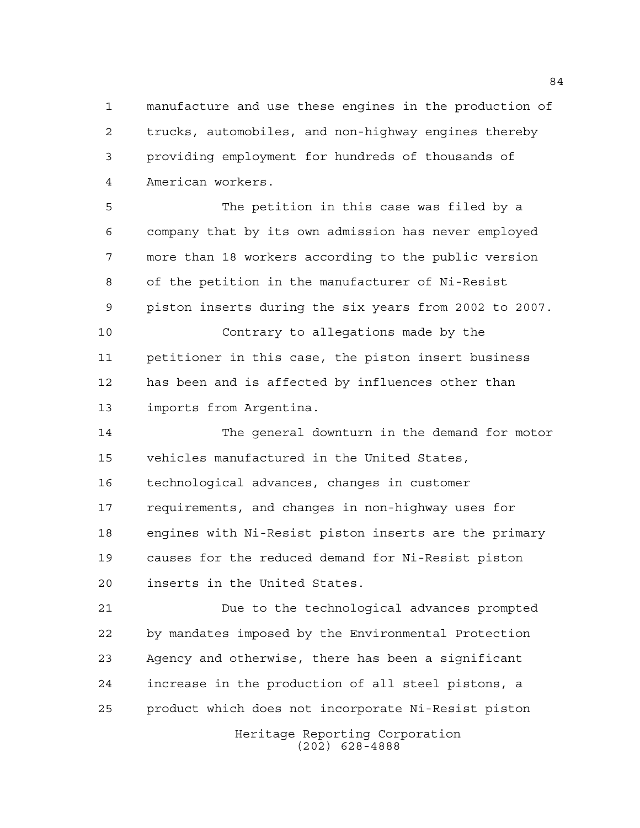manufacture and use these engines in the production of trucks, automobiles, and non-highway engines thereby providing employment for hundreds of thousands of American workers.

 The petition in this case was filed by a company that by its own admission has never employed more than 18 workers according to the public version of the petition in the manufacturer of Ni-Resist piston inserts during the six years from 2002 to 2007. Contrary to allegations made by the

 petitioner in this case, the piston insert business has been and is affected by influences other than imports from Argentina.

 The general downturn in the demand for motor vehicles manufactured in the United States, technological advances, changes in customer requirements, and changes in non-highway uses for engines with Ni-Resist piston inserts are the primary causes for the reduced demand for Ni-Resist piston inserts in the United States.

 Due to the technological advances prompted by mandates imposed by the Environmental Protection Agency and otherwise, there has been a significant increase in the production of all steel pistons, a product which does not incorporate Ni-Resist piston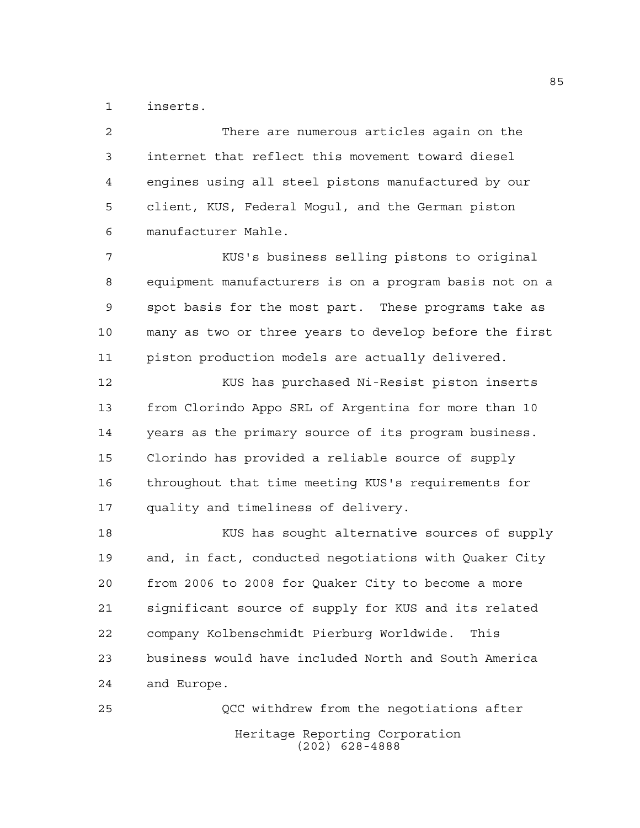inserts.

 There are numerous articles again on the internet that reflect this movement toward diesel engines using all steel pistons manufactured by our client, KUS, Federal Mogul, and the German piston manufacturer Mahle.

 KUS's business selling pistons to original equipment manufacturers is on a program basis not on a spot basis for the most part. These programs take as many as two or three years to develop before the first piston production models are actually delivered.

 KUS has purchased Ni-Resist piston inserts from Clorindo Appo SRL of Argentina for more than 10 years as the primary source of its program business. Clorindo has provided a reliable source of supply throughout that time meeting KUS's requirements for quality and timeliness of delivery.

 KUS has sought alternative sources of supply and, in fact, conducted negotiations with Quaker City from 2006 to 2008 for Quaker City to become a more significant source of supply for KUS and its related company Kolbenschmidt Pierburg Worldwide. This business would have included North and South America and Europe.

Heritage Reporting Corporation (202) 628-4888 QCC withdrew from the negotiations after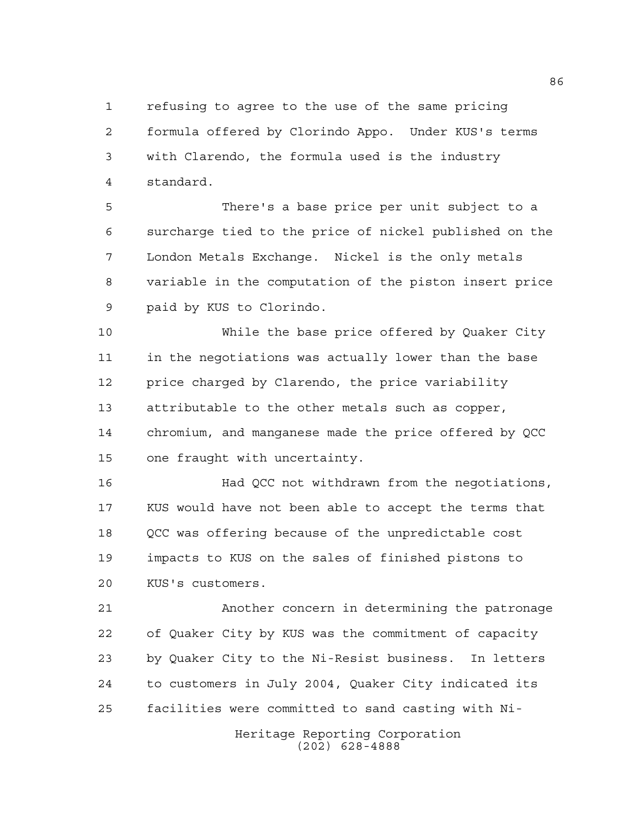refusing to agree to the use of the same pricing formula offered by Clorindo Appo. Under KUS's terms with Clarendo, the formula used is the industry standard.

 There's a base price per unit subject to a surcharge tied to the price of nickel published on the London Metals Exchange. Nickel is the only metals variable in the computation of the piston insert price paid by KUS to Clorindo.

 While the base price offered by Quaker City in the negotiations was actually lower than the base price charged by Clarendo, the price variability attributable to the other metals such as copper, chromium, and manganese made the price offered by QCC one fraught with uncertainty.

 Had QCC not withdrawn from the negotiations, KUS would have not been able to accept the terms that QCC was offering because of the unpredictable cost impacts to KUS on the sales of finished pistons to KUS's customers.

 Another concern in determining the patronage of Quaker City by KUS was the commitment of capacity by Quaker City to the Ni-Resist business. In letters to customers in July 2004, Quaker City indicated its facilities were committed to sand casting with Ni-

> Heritage Reporting Corporation (202) 628-4888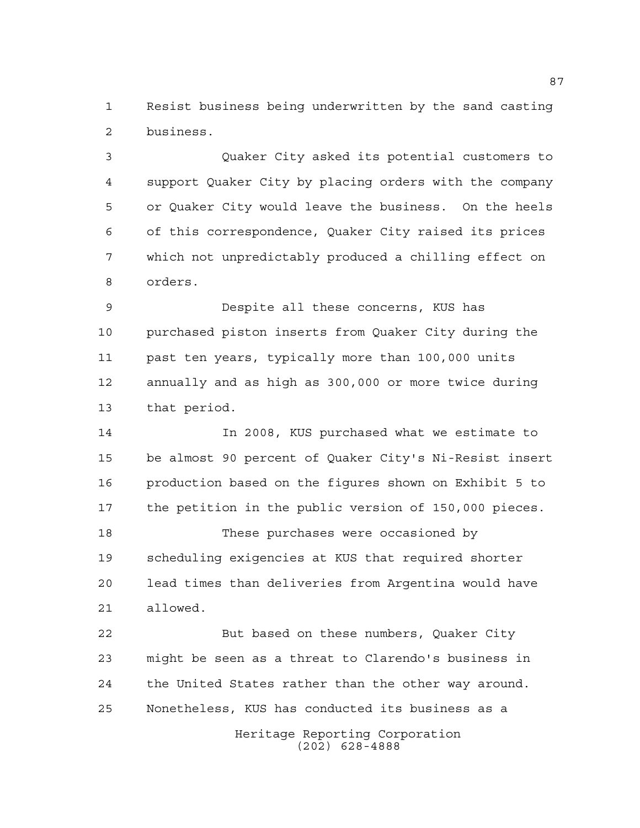Resist business being underwritten by the sand casting business.

 Quaker City asked its potential customers to support Quaker City by placing orders with the company or Quaker City would leave the business. On the heels of this correspondence, Quaker City raised its prices which not unpredictably produced a chilling effect on orders.

 Despite all these concerns, KUS has purchased piston inserts from Quaker City during the past ten years, typically more than 100,000 units annually and as high as 300,000 or more twice during that period.

 In 2008, KUS purchased what we estimate to be almost 90 percent of Quaker City's Ni-Resist insert production based on the figures shown on Exhibit 5 to the petition in the public version of 150,000 pieces.

 These purchases were occasioned by scheduling exigencies at KUS that required shorter lead times than deliveries from Argentina would have allowed.

 But based on these numbers, Quaker City might be seen as a threat to Clarendo's business in the United States rather than the other way around. Nonetheless, KUS has conducted its business as a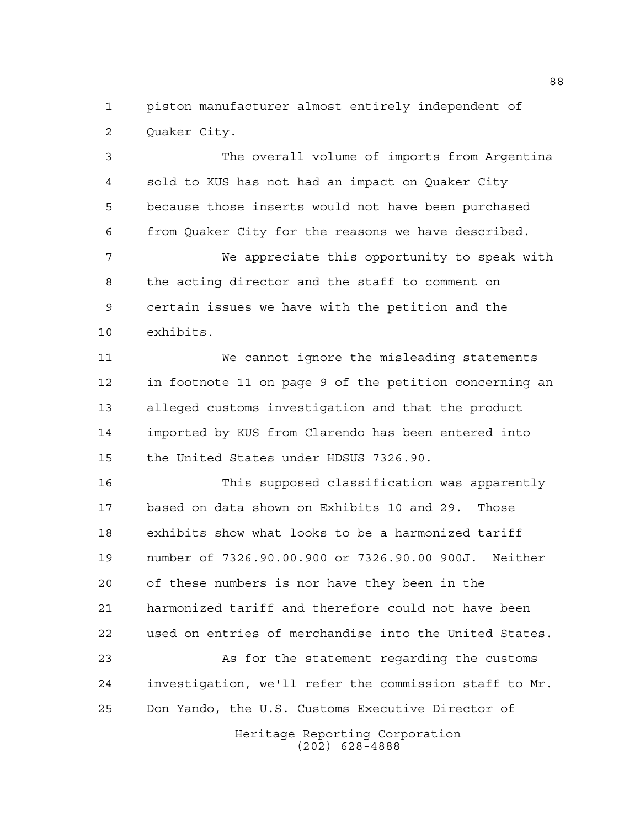piston manufacturer almost entirely independent of Quaker City.

 The overall volume of imports from Argentina sold to KUS has not had an impact on Quaker City because those inserts would not have been purchased from Quaker City for the reasons we have described.

 We appreciate this opportunity to speak with the acting director and the staff to comment on certain issues we have with the petition and the exhibits.

 We cannot ignore the misleading statements in footnote 11 on page 9 of the petition concerning an alleged customs investigation and that the product imported by KUS from Clarendo has been entered into the United States under HDSUS 7326.90.

 This supposed classification was apparently based on data shown on Exhibits 10 and 29. Those exhibits show what looks to be a harmonized tariff number of 7326.90.00.900 or 7326.90.00 900J. Neither of these numbers is nor have they been in the harmonized tariff and therefore could not have been used on entries of merchandise into the United States.

 As for the statement regarding the customs investigation, we'll refer the commission staff to Mr. Don Yando, the U.S. Customs Executive Director of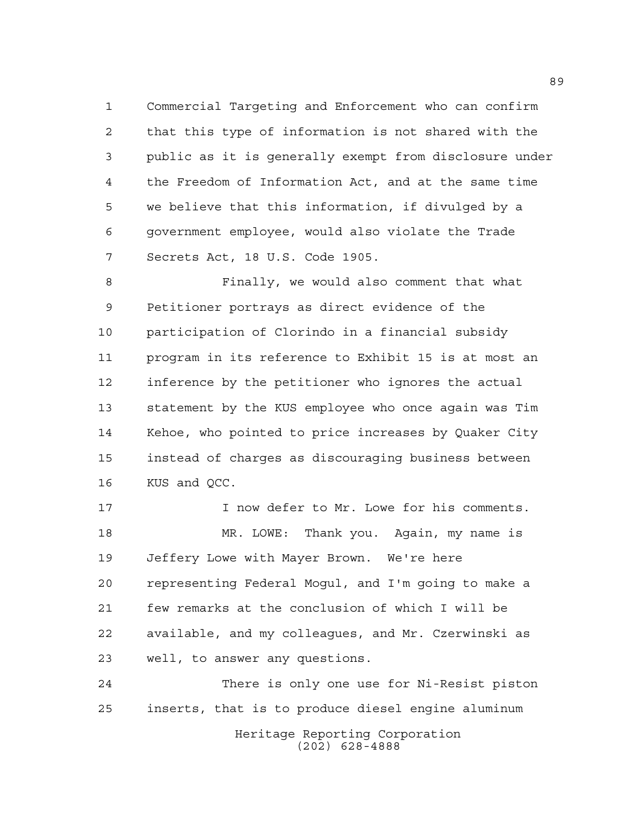Commercial Targeting and Enforcement who can confirm that this type of information is not shared with the public as it is generally exempt from disclosure under the Freedom of Information Act, and at the same time we believe that this information, if divulged by a government employee, would also violate the Trade Secrets Act, 18 U.S. Code 1905.

 Finally, we would also comment that what Petitioner portrays as direct evidence of the participation of Clorindo in a financial subsidy program in its reference to Exhibit 15 is at most an inference by the petitioner who ignores the actual statement by the KUS employee who once again was Tim Kehoe, who pointed to price increases by Quaker City instead of charges as discouraging business between KUS and QCC.

 I now defer to Mr. Lowe for his comments. MR. LOWE: Thank you. Again, my name is Jeffery Lowe with Mayer Brown. We're here representing Federal Mogul, and I'm going to make a few remarks at the conclusion of which I will be available, and my colleagues, and Mr. Czerwinski as well, to answer any questions.

 There is only one use for Ni-Resist piston inserts, that is to produce diesel engine aluminum

> Heritage Reporting Corporation (202) 628-4888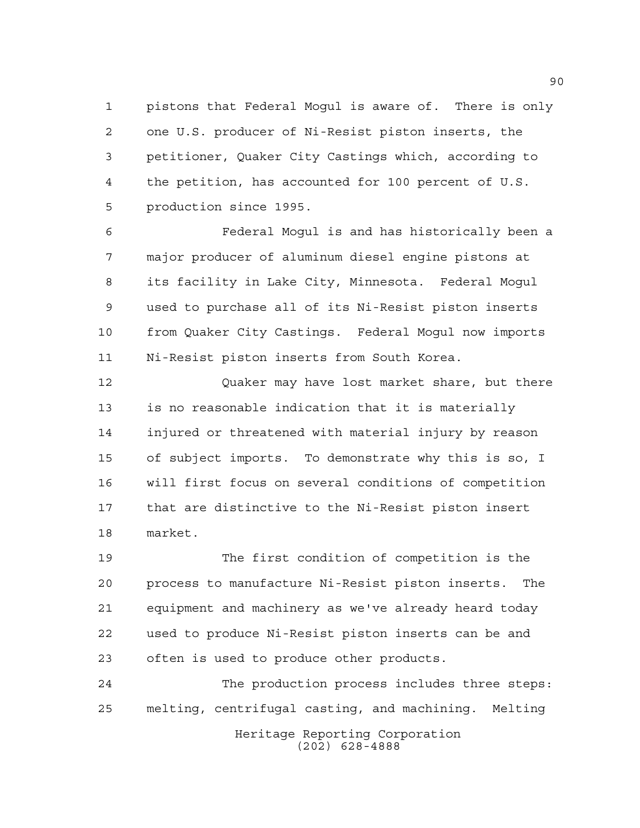pistons that Federal Mogul is aware of. There is only one U.S. producer of Ni-Resist piston inserts, the petitioner, Quaker City Castings which, according to the petition, has accounted for 100 percent of U.S. production since 1995.

 Federal Mogul is and has historically been a major producer of aluminum diesel engine pistons at its facility in Lake City, Minnesota. Federal Mogul used to purchase all of its Ni-Resist piston inserts from Quaker City Castings. Federal Mogul now imports Ni-Resist piston inserts from South Korea.

 Quaker may have lost market share, but there is no reasonable indication that it is materially injured or threatened with material injury by reason of subject imports. To demonstrate why this is so, I will first focus on several conditions of competition that are distinctive to the Ni-Resist piston insert market.

 The first condition of competition is the process to manufacture Ni-Resist piston inserts. The equipment and machinery as we've already heard today used to produce Ni-Resist piston inserts can be and often is used to produce other products.

Heritage Reporting Corporation The production process includes three steps: melting, centrifugal casting, and machining. Melting

(202) 628-4888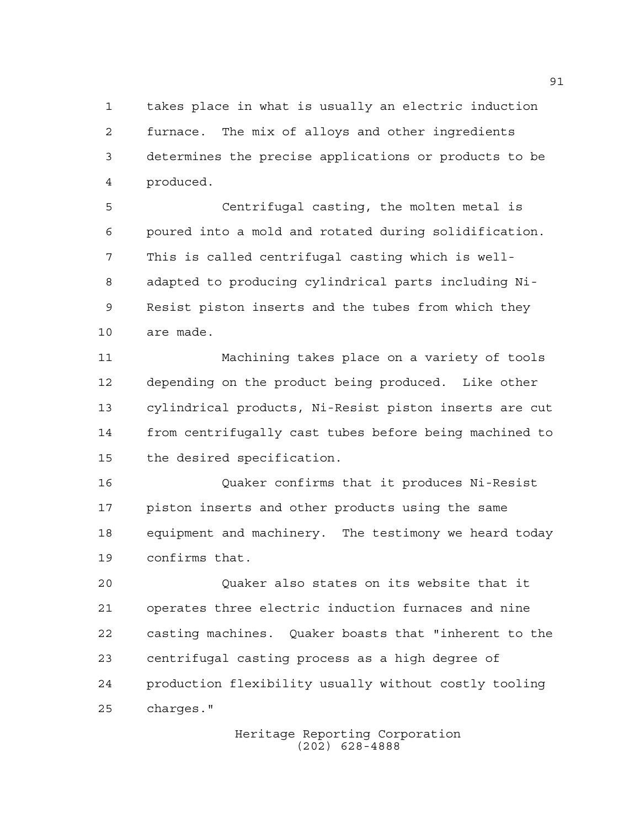takes place in what is usually an electric induction furnace. The mix of alloys and other ingredients determines the precise applications or products to be produced.

 Centrifugal casting, the molten metal is poured into a mold and rotated during solidification. This is called centrifugal casting which is well- adapted to producing cylindrical parts including Ni- Resist piston inserts and the tubes from which they are made.

 Machining takes place on a variety of tools depending on the product being produced. Like other cylindrical products, Ni-Resist piston inserts are cut from centrifugally cast tubes before being machined to the desired specification.

 Quaker confirms that it produces Ni-Resist piston inserts and other products using the same equipment and machinery. The testimony we heard today confirms that.

 Quaker also states on its website that it operates three electric induction furnaces and nine casting machines. Quaker boasts that "inherent to the centrifugal casting process as a high degree of production flexibility usually without costly tooling charges."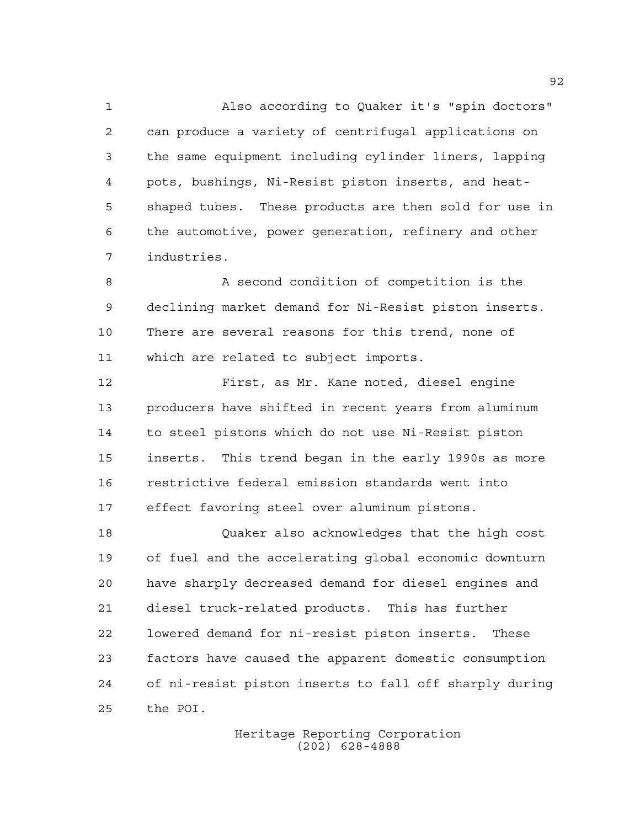Also according to Quaker it's "spin doctors" can produce a variety of centrifugal applications on the same equipment including cylinder liners, lapping pots, bushings, Ni-Resist piston inserts, and heat- shaped tubes. These products are then sold for use in the automotive, power generation, refinery and other industries.

 A second condition of competition is the declining market demand for Ni-Resist piston inserts. There are several reasons for this trend, none of which are related to subject imports.

 First, as Mr. Kane noted, diesel engine producers have shifted in recent years from aluminum to steel pistons which do not use Ni-Resist piston inserts. This trend began in the early 1990s as more restrictive federal emission standards went into effect favoring steel over aluminum pistons.

 Quaker also acknowledges that the high cost of fuel and the accelerating global economic downturn have sharply decreased demand for diesel engines and diesel truck-related products. This has further lowered demand for ni-resist piston inserts. These factors have caused the apparent domestic consumption of ni-resist piston inserts to fall off sharply during the POI.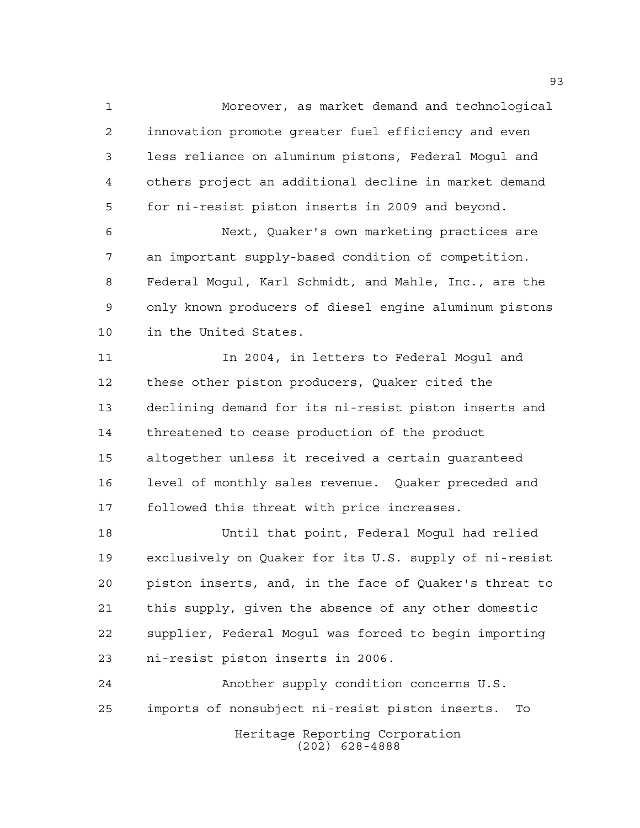Moreover, as market demand and technological innovation promote greater fuel efficiency and even less reliance on aluminum pistons, Federal Mogul and others project an additional decline in market demand for ni-resist piston inserts in 2009 and beyond.

 Next, Quaker's own marketing practices are an important supply-based condition of competition. Federal Mogul, Karl Schmidt, and Mahle, Inc., are the only known producers of diesel engine aluminum pistons in the United States.

11 11 In 2004, in letters to Federal Moqul and these other piston producers, Quaker cited the declining demand for its ni-resist piston inserts and threatened to cease production of the product altogether unless it received a certain guaranteed level of monthly sales revenue. Quaker preceded and followed this threat with price increases.

 Until that point, Federal Mogul had relied exclusively on Quaker for its U.S. supply of ni-resist piston inserts, and, in the face of Quaker's threat to this supply, given the absence of any other domestic supplier, Federal Mogul was forced to begin importing ni-resist piston inserts in 2006.

Heritage Reporting Corporation (202) 628-4888 Another supply condition concerns U.S. imports of nonsubject ni-resist piston inserts. To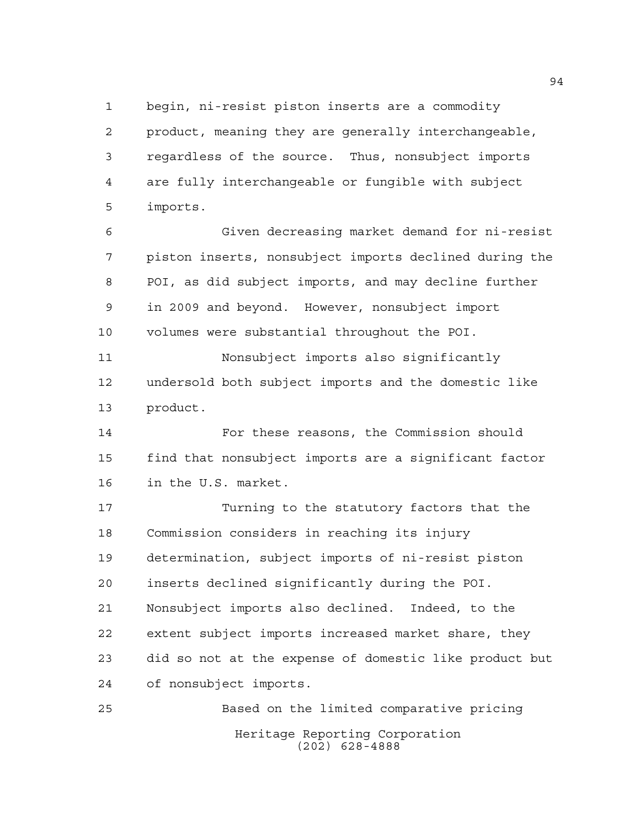begin, ni-resist piston inserts are a commodity

 product, meaning they are generally interchangeable, regardless of the source. Thus, nonsubject imports are fully interchangeable or fungible with subject imports.

 Given decreasing market demand for ni-resist piston inserts, nonsubject imports declined during the POI, as did subject imports, and may decline further in 2009 and beyond. However, nonsubject import volumes were substantial throughout the POI.

 Nonsubject imports also significantly undersold both subject imports and the domestic like product.

 For these reasons, the Commission should find that nonsubject imports are a significant factor in the U.S. market.

 Turning to the statutory factors that the Commission considers in reaching its injury determination, subject imports of ni-resist piston inserts declined significantly during the POI. Nonsubject imports also declined. Indeed, to the extent subject imports increased market share, they did so not at the expense of domestic like product but of nonsubject imports.

Heritage Reporting Corporation (202) 628-4888 Based on the limited comparative pricing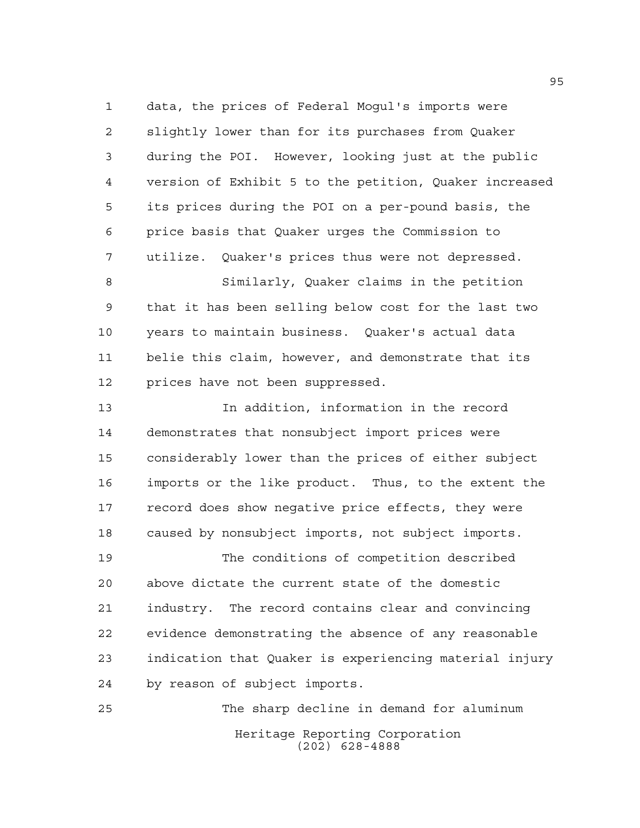data, the prices of Federal Mogul's imports were slightly lower than for its purchases from Quaker during the POI. However, looking just at the public version of Exhibit 5 to the petition, Quaker increased its prices during the POI on a per-pound basis, the price basis that Quaker urges the Commission to utilize. Quaker's prices thus were not depressed.

 Similarly, Quaker claims in the petition that it has been selling below cost for the last two years to maintain business. Quaker's actual data belie this claim, however, and demonstrate that its prices have not been suppressed.

 In addition, information in the record demonstrates that nonsubject import prices were considerably lower than the prices of either subject imports or the like product. Thus, to the extent the record does show negative price effects, they were caused by nonsubject imports, not subject imports.

 The conditions of competition described above dictate the current state of the domestic industry. The record contains clear and convincing evidence demonstrating the absence of any reasonable indication that Quaker is experiencing material injury by reason of subject imports.

Heritage Reporting Corporation (202) 628-4888 The sharp decline in demand for aluminum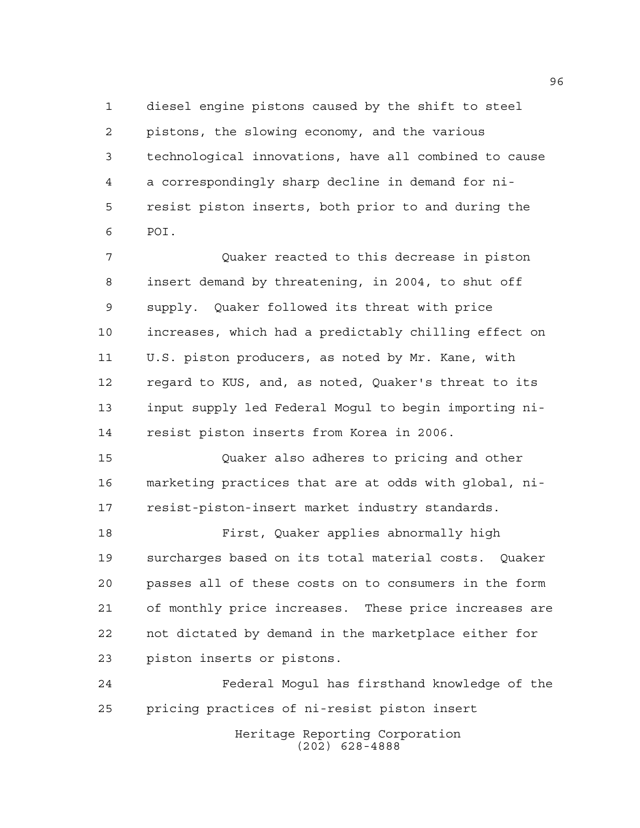diesel engine pistons caused by the shift to steel pistons, the slowing economy, and the various technological innovations, have all combined to cause a correspondingly sharp decline in demand for ni- resist piston inserts, both prior to and during the POI.

 Quaker reacted to this decrease in piston insert demand by threatening, in 2004, to shut off supply. Quaker followed its threat with price increases, which had a predictably chilling effect on U.S. piston producers, as noted by Mr. Kane, with regard to KUS, and, as noted, Quaker's threat to its input supply led Federal Mogul to begin importing ni-resist piston inserts from Korea in 2006.

 Quaker also adheres to pricing and other marketing practices that are at odds with global, ni-resist-piston-insert market industry standards.

 First, Quaker applies abnormally high surcharges based on its total material costs. Quaker passes all of these costs on to consumers in the form of monthly price increases. These price increases are not dictated by demand in the marketplace either for piston inserts or pistons.

Heritage Reporting Corporation Federal Mogul has firsthand knowledge of the pricing practices of ni-resist piston insert

(202) 628-4888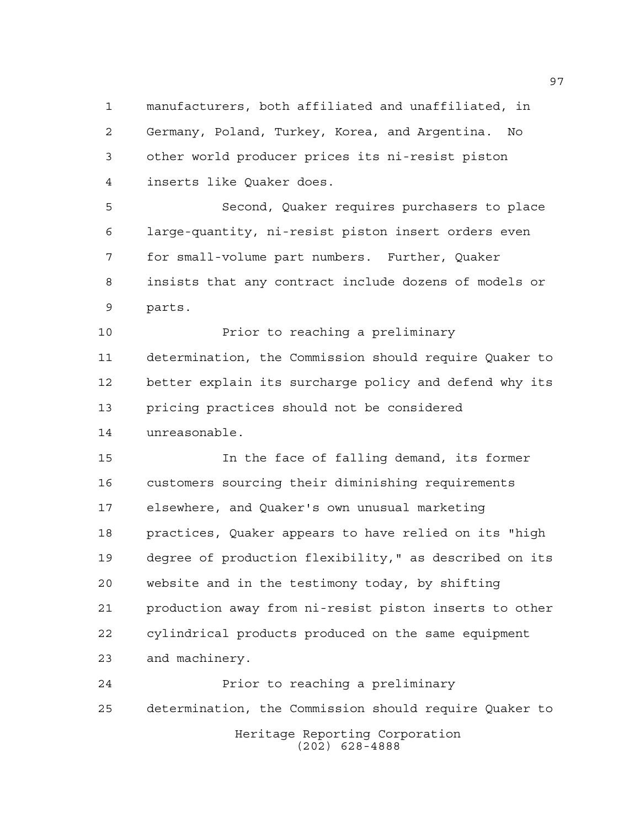manufacturers, both affiliated and unaffiliated, in Germany, Poland, Turkey, Korea, and Argentina. No other world producer prices its ni-resist piston inserts like Quaker does.

 Second, Quaker requires purchasers to place large-quantity, ni-resist piston insert orders even for small-volume part numbers. Further, Quaker insists that any contract include dozens of models or parts.

 Prior to reaching a preliminary determination, the Commission should require Quaker to better explain its surcharge policy and defend why its pricing practices should not be considered unreasonable.

 In the face of falling demand, its former customers sourcing their diminishing requirements elsewhere, and Quaker's own unusual marketing practices, Quaker appears to have relied on its "high degree of production flexibility," as described on its website and in the testimony today, by shifting production away from ni-resist piston inserts to other cylindrical products produced on the same equipment and machinery.

Heritage Reporting Corporation (202) 628-4888 Prior to reaching a preliminary determination, the Commission should require Quaker to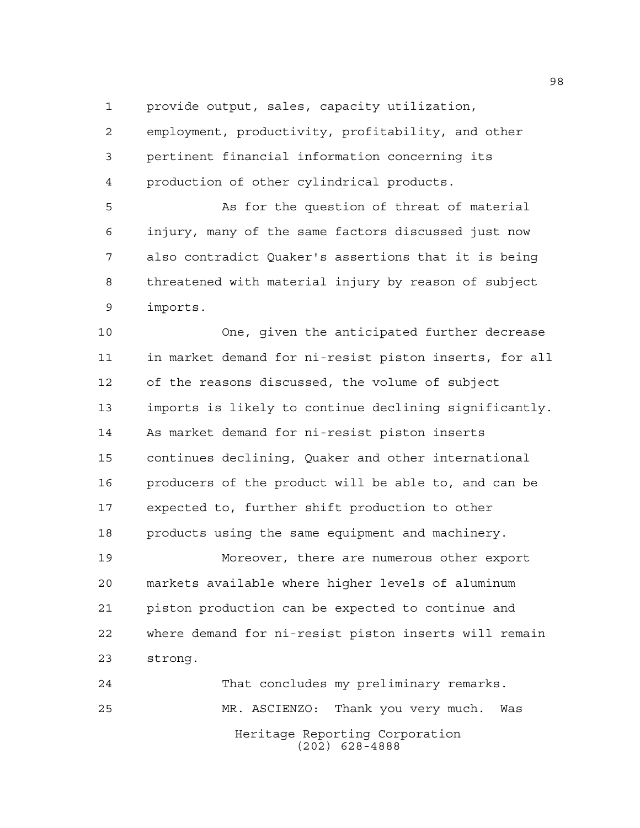provide output, sales, capacity utilization,

 employment, productivity, profitability, and other pertinent financial information concerning its production of other cylindrical products.

 As for the question of threat of material injury, many of the same factors discussed just now also contradict Quaker's assertions that it is being threatened with material injury by reason of subject imports.

 One, given the anticipated further decrease in market demand for ni-resist piston inserts, for all of the reasons discussed, the volume of subject imports is likely to continue declining significantly. As market demand for ni-resist piston inserts continues declining, Quaker and other international producers of the product will be able to, and can be expected to, further shift production to other products using the same equipment and machinery.

 Moreover, there are numerous other export markets available where higher levels of aluminum piston production can be expected to continue and where demand for ni-resist piston inserts will remain strong.

Heritage Reporting Corporation (202) 628-4888 That concludes my preliminary remarks. MR. ASCIENZO: Thank you very much. Was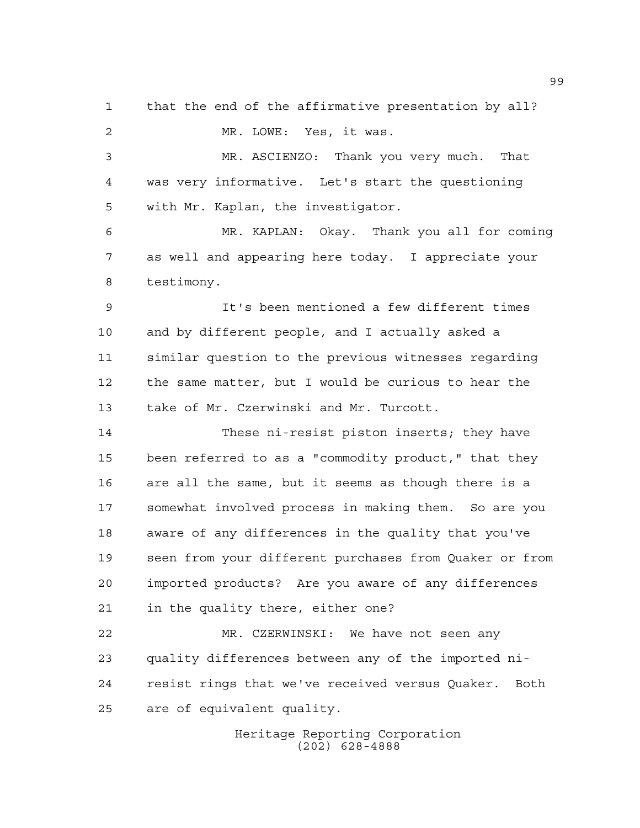that the end of the affirmative presentation by all? MR. LOWE: Yes, it was. MR. ASCIENZO: Thank you very much. That was very informative. Let's start the questioning with Mr. Kaplan, the investigator. MR. KAPLAN: Okay. Thank you all for coming as well and appearing here today. I appreciate your testimony. It's been mentioned a few different times and by different people, and I actually asked a similar question to the previous witnesses regarding the same matter, but I would be curious to hear the take of Mr. Czerwinski and Mr. Turcott. These ni-resist piston inserts; they have been referred to as a "commodity product," that they are all the same, but it seems as though there is a somewhat involved process in making them. So are you aware of any differences in the quality that you've seen from your different purchases from Quaker or from imported products? Are you aware of any differences in the quality there, either one? MR. CZERWINSKI: We have not seen any quality differences between any of the imported ni- resist rings that we've received versus Quaker. Both are of equivalent quality.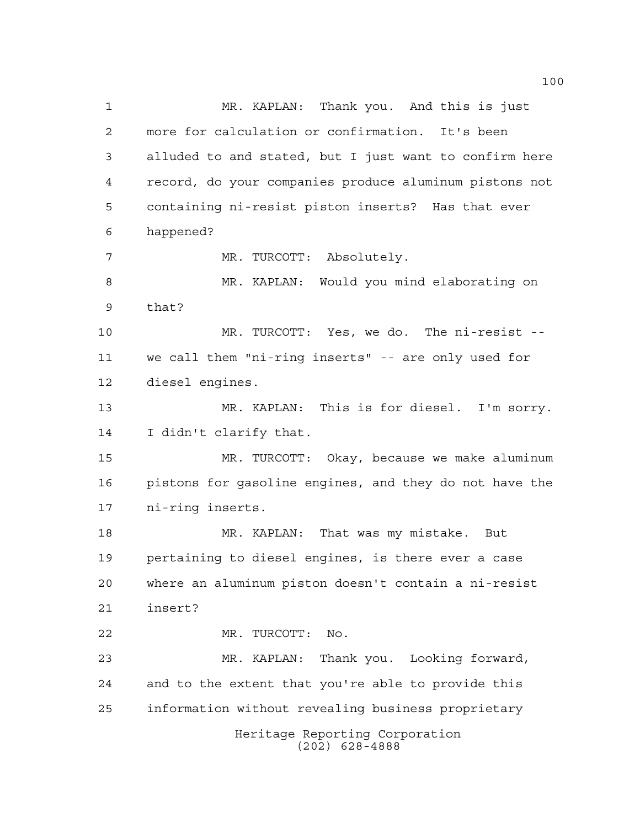Heritage Reporting Corporation (202) 628-4888 MR. KAPLAN: Thank you. And this is just more for calculation or confirmation. It's been alluded to and stated, but I just want to confirm here record, do your companies produce aluminum pistons not containing ni-resist piston inserts? Has that ever happened? MR. TURCOTT: Absolutely. MR. KAPLAN: Would you mind elaborating on that? MR. TURCOTT: Yes, we do. The ni-resist -- we call them "ni-ring inserts" -- are only used for diesel engines. MR. KAPLAN: This is for diesel. I'm sorry. I didn't clarify that. MR. TURCOTT: Okay, because we make aluminum pistons for gasoline engines, and they do not have the ni-ring inserts. MR. KAPLAN: That was my mistake. But pertaining to diesel engines, is there ever a case where an aluminum piston doesn't contain a ni-resist insert? MR. TURCOTT: No. MR. KAPLAN: Thank you. Looking forward, and to the extent that you're able to provide this information without revealing business proprietary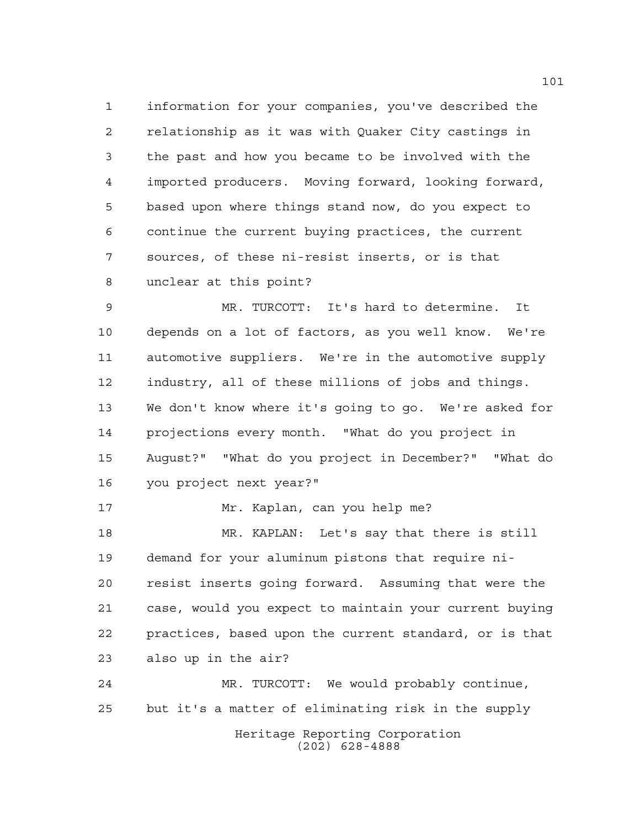information for your companies, you've described the relationship as it was with Quaker City castings in the past and how you became to be involved with the imported producers. Moving forward, looking forward, based upon where things stand now, do you expect to continue the current buying practices, the current sources, of these ni-resist inserts, or is that unclear at this point?

 MR. TURCOTT: It's hard to determine. It depends on a lot of factors, as you well know. We're automotive suppliers. We're in the automotive supply industry, all of these millions of jobs and things. We don't know where it's going to go. We're asked for projections every month. "What do you project in August?" "What do you project in December?" "What do you project next year?"

Mr. Kaplan, can you help me?

 MR. KAPLAN: Let's say that there is still demand for your aluminum pistons that require ni- resist inserts going forward. Assuming that were the case, would you expect to maintain your current buying practices, based upon the current standard, or is that also up in the air?

Heritage Reporting Corporation MR. TURCOTT: We would probably continue, but it's a matter of eliminating risk in the supply

(202) 628-4888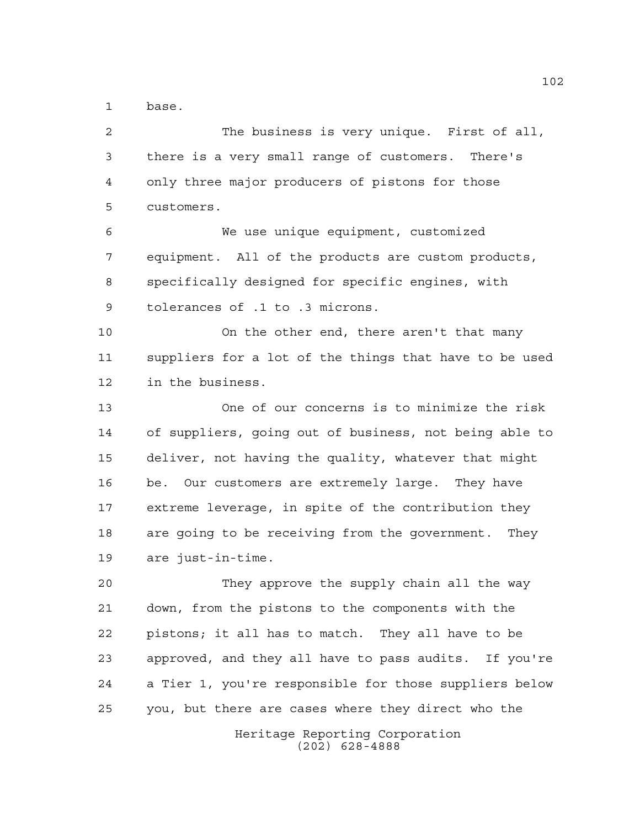base.

Heritage Reporting Corporation The business is very unique. First of all, there is a very small range of customers. There's only three major producers of pistons for those customers. We use unique equipment, customized equipment. All of the products are custom products, specifically designed for specific engines, with tolerances of .1 to .3 microns. On the other end, there aren't that many suppliers for a lot of the things that have to be used in the business. One of our concerns is to minimize the risk of suppliers, going out of business, not being able to deliver, not having the quality, whatever that might be. Our customers are extremely large. They have extreme leverage, in spite of the contribution they are going to be receiving from the government. They are just-in-time. They approve the supply chain all the way down, from the pistons to the components with the pistons; it all has to match. They all have to be approved, and they all have to pass audits. If you're a Tier 1, you're responsible for those suppliers below you, but there are cases where they direct who the

(202) 628-4888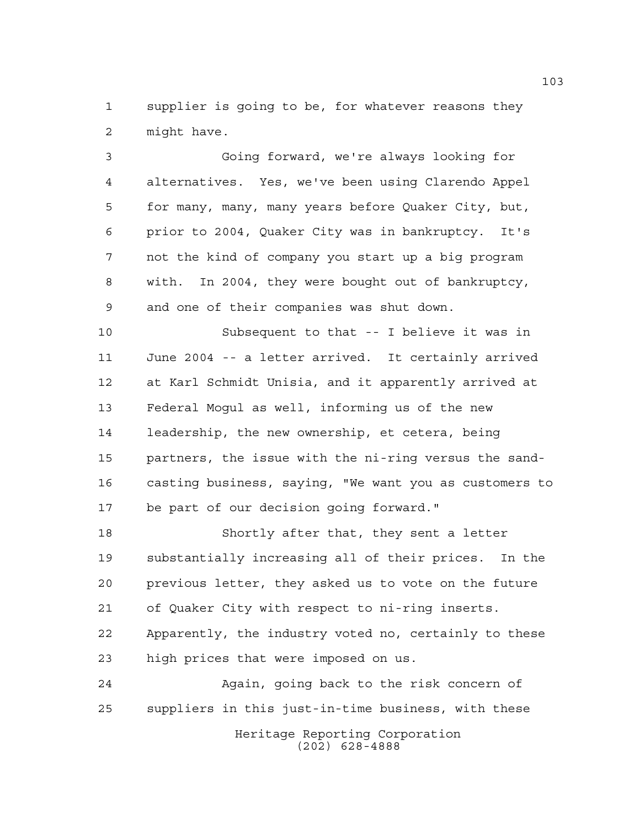supplier is going to be, for whatever reasons they might have.

 Going forward, we're always looking for alternatives. Yes, we've been using Clarendo Appel for many, many, many years before Quaker City, but, prior to 2004, Quaker City was in bankruptcy. It's not the kind of company you start up a big program with. In 2004, they were bought out of bankruptcy, and one of their companies was shut down.

 Subsequent to that -- I believe it was in June 2004 -- a letter arrived. It certainly arrived at Karl Schmidt Unisia, and it apparently arrived at Federal Mogul as well, informing us of the new leadership, the new ownership, et cetera, being partners, the issue with the ni-ring versus the sand- casting business, saying, "We want you as customers to be part of our decision going forward."

 Shortly after that, they sent a letter substantially increasing all of their prices. In the previous letter, they asked us to vote on the future of Quaker City with respect to ni-ring inserts. Apparently, the industry voted no, certainly to these high prices that were imposed on us.

Heritage Reporting Corporation (202) 628-4888 Again, going back to the risk concern of suppliers in this just-in-time business, with these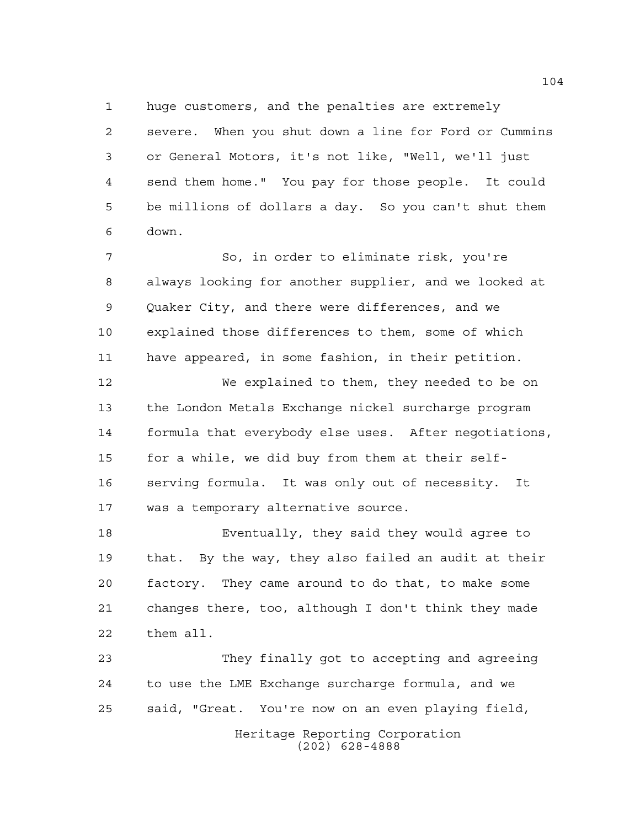huge customers, and the penalties are extremely

 severe. When you shut down a line for Ford or Cummins or General Motors, it's not like, "Well, we'll just send them home." You pay for those people. It could be millions of dollars a day. So you can't shut them down.

 So, in order to eliminate risk, you're always looking for another supplier, and we looked at Quaker City, and there were differences, and we explained those differences to them, some of which have appeared, in some fashion, in their petition.

 We explained to them, they needed to be on the London Metals Exchange nickel surcharge program formula that everybody else uses. After negotiations, for a while, we did buy from them at their self- serving formula. It was only out of necessity. It was a temporary alternative source.

 Eventually, they said they would agree to that. By the way, they also failed an audit at their factory. They came around to do that, to make some changes there, too, although I don't think they made them all.

 They finally got to accepting and agreeing to use the LME Exchange surcharge formula, and we said, "Great. You're now on an even playing field,

> Heritage Reporting Corporation (202) 628-4888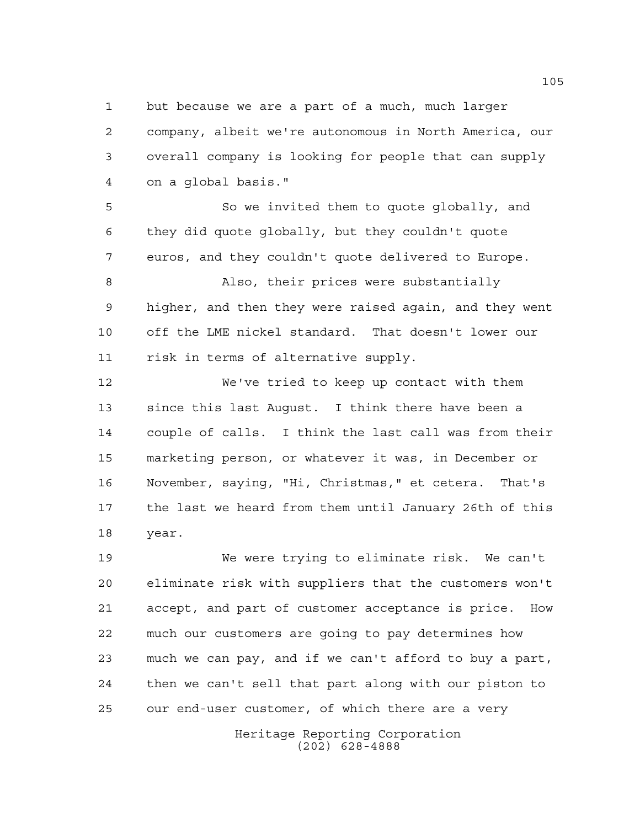but because we are a part of a much, much larger company, albeit we're autonomous in North America, our overall company is looking for people that can supply on a global basis."

 So we invited them to quote globally, and they did quote globally, but they couldn't quote euros, and they couldn't quote delivered to Europe.

 Also, their prices were substantially higher, and then they were raised again, and they went off the LME nickel standard. That doesn't lower our risk in terms of alternative supply.

 We've tried to keep up contact with them since this last August. I think there have been a couple of calls. I think the last call was from their marketing person, or whatever it was, in December or November, saying, "Hi, Christmas," et cetera. That's the last we heard from them until January 26th of this year.

 We were trying to eliminate risk. We can't eliminate risk with suppliers that the customers won't accept, and part of customer acceptance is price. How much our customers are going to pay determines how much we can pay, and if we can't afford to buy a part, then we can't sell that part along with our piston to our end-user customer, of which there are a very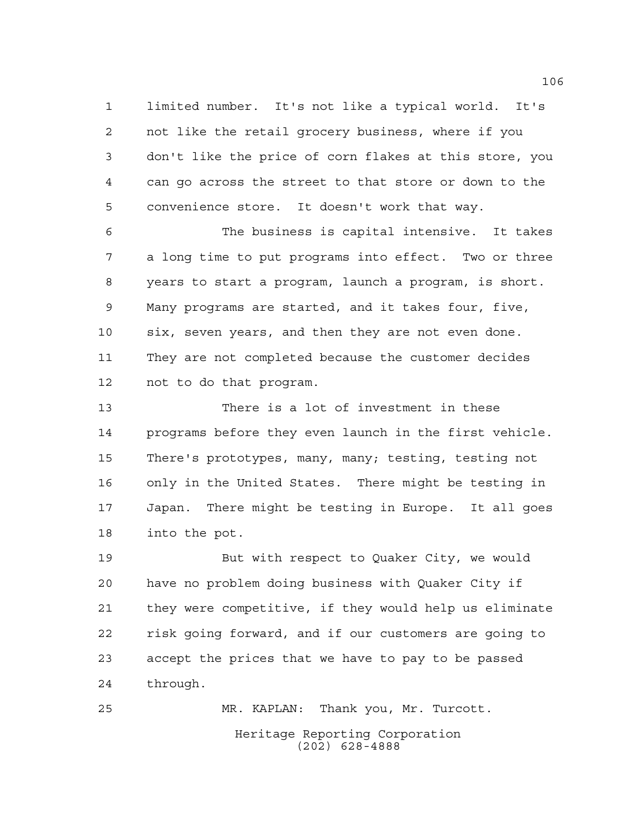limited number. It's not like a typical world. It's not like the retail grocery business, where if you don't like the price of corn flakes at this store, you can go across the street to that store or down to the convenience store. It doesn't work that way.

 The business is capital intensive. It takes a long time to put programs into effect. Two or three years to start a program, launch a program, is short. Many programs are started, and it takes four, five, six, seven years, and then they are not even done. They are not completed because the customer decides not to do that program.

 There is a lot of investment in these programs before they even launch in the first vehicle. There's prototypes, many, many; testing, testing not only in the United States. There might be testing in Japan. There might be testing in Europe. It all goes into the pot.

 But with respect to Quaker City, we would have no problem doing business with Quaker City if they were competitive, if they would help us eliminate risk going forward, and if our customers are going to accept the prices that we have to pay to be passed through.

Heritage Reporting Corporation (202) 628-4888 MR. KAPLAN: Thank you, Mr. Turcott.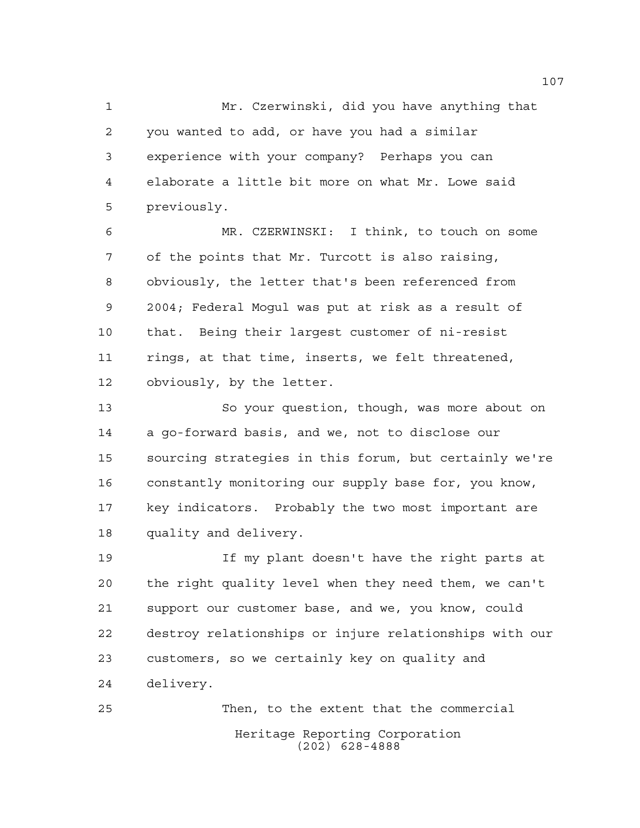Mr. Czerwinski, did you have anything that you wanted to add, or have you had a similar experience with your company? Perhaps you can elaborate a little bit more on what Mr. Lowe said previously.

 MR. CZERWINSKI: I think, to touch on some of the points that Mr. Turcott is also raising, obviously, the letter that's been referenced from 2004; Federal Mogul was put at risk as a result of that. Being their largest customer of ni-resist rings, at that time, inserts, we felt threatened, obviously, by the letter.

 So your question, though, was more about on a go-forward basis, and we, not to disclose our sourcing strategies in this forum, but certainly we're constantly monitoring our supply base for, you know, key indicators. Probably the two most important are quality and delivery.

 If my plant doesn't have the right parts at the right quality level when they need them, we can't support our customer base, and we, you know, could destroy relationships or injure relationships with our customers, so we certainly key on quality and delivery.

Heritage Reporting Corporation (202) 628-4888 Then, to the extent that the commercial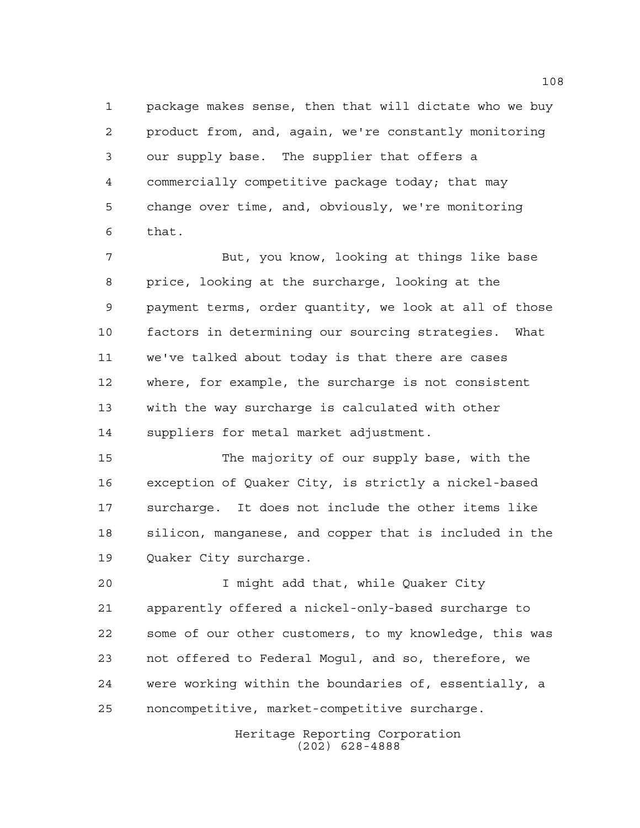package makes sense, then that will dictate who we buy product from, and, again, we're constantly monitoring our supply base. The supplier that offers a commercially competitive package today; that may change over time, and, obviously, we're monitoring that.

 But, you know, looking at things like base price, looking at the surcharge, looking at the payment terms, order quantity, we look at all of those factors in determining our sourcing strategies. What we've talked about today is that there are cases where, for example, the surcharge is not consistent with the way surcharge is calculated with other suppliers for metal market adjustment.

 The majority of our supply base, with the exception of Quaker City, is strictly a nickel-based surcharge. It does not include the other items like silicon, manganese, and copper that is included in the Quaker City surcharge.

 I might add that, while Quaker City apparently offered a nickel-only-based surcharge to some of our other customers, to my knowledge, this was not offered to Federal Mogul, and so, therefore, we were working within the boundaries of, essentially, a noncompetitive, market-competitive surcharge.

> Heritage Reporting Corporation (202) 628-4888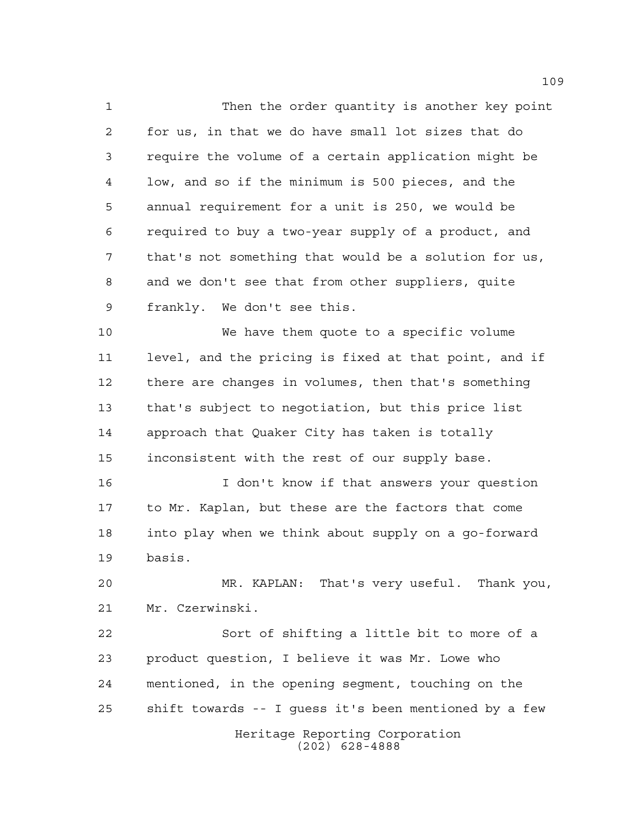Then the order quantity is another key point for us, in that we do have small lot sizes that do require the volume of a certain application might be low, and so if the minimum is 500 pieces, and the annual requirement for a unit is 250, we would be required to buy a two-year supply of a product, and that's not something that would be a solution for us, and we don't see that from other suppliers, quite frankly. We don't see this.

 We have them quote to a specific volume level, and the pricing is fixed at that point, and if there are changes in volumes, then that's something that's subject to negotiation, but this price list approach that Quaker City has taken is totally inconsistent with the rest of our supply base.

16 16 I don't know if that answers your question to Mr. Kaplan, but these are the factors that come into play when we think about supply on a go-forward basis.

 MR. KAPLAN: That's very useful. Thank you, Mr. Czerwinski.

Heritage Reporting Corporation (202) 628-4888 Sort of shifting a little bit to more of a product question, I believe it was Mr. Lowe who mentioned, in the opening segment, touching on the shift towards -- I guess it's been mentioned by a few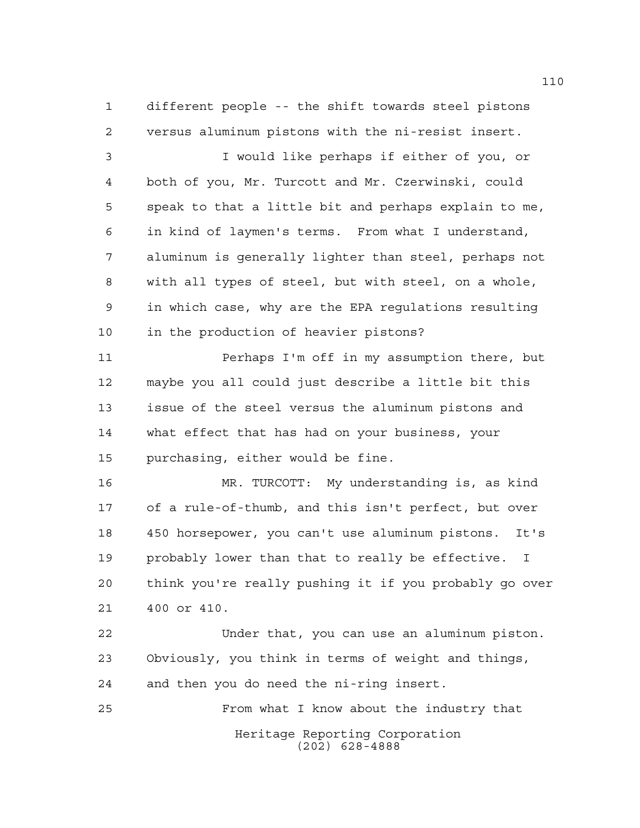different people -- the shift towards steel pistons versus aluminum pistons with the ni-resist insert.

 I would like perhaps if either of you, or both of you, Mr. Turcott and Mr. Czerwinski, could speak to that a little bit and perhaps explain to me, in kind of laymen's terms. From what I understand, aluminum is generally lighter than steel, perhaps not with all types of steel, but with steel, on a whole, in which case, why are the EPA regulations resulting in the production of heavier pistons?

 Perhaps I'm off in my assumption there, but maybe you all could just describe a little bit this issue of the steel versus the aluminum pistons and what effect that has had on your business, your purchasing, either would be fine.

 MR. TURCOTT: My understanding is, as kind of a rule-of-thumb, and this isn't perfect, but over 450 horsepower, you can't use aluminum pistons. It's probably lower than that to really be effective. I think you're really pushing it if you probably go over 400 or 410.

 Under that, you can use an aluminum piston. Obviously, you think in terms of weight and things, and then you do need the ni-ring insert.

From what I know about the industry that

Heritage Reporting Corporation (202) 628-4888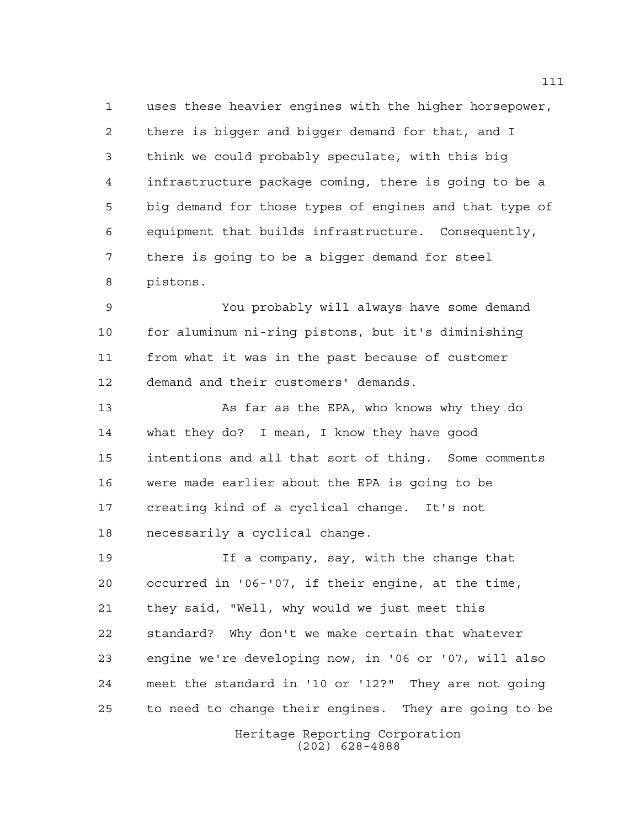uses these heavier engines with the higher horsepower, there is bigger and bigger demand for that, and I think we could probably speculate, with this big infrastructure package coming, there is going to be a big demand for those types of engines and that type of equipment that builds infrastructure. Consequently, there is going to be a bigger demand for steel pistons.

 You probably will always have some demand for aluminum ni-ring pistons, but it's diminishing from what it was in the past because of customer demand and their customers' demands.

 As far as the EPA, who knows why they do what they do? I mean, I know they have good intentions and all that sort of thing. Some comments were made earlier about the EPA is going to be creating kind of a cyclical change. It's not necessarily a cyclical change.

 If a company, say, with the change that occurred in '06-'07, if their engine, at the time, they said, "Well, why would we just meet this standard? Why don't we make certain that whatever engine we're developing now, in '06 or '07, will also meet the standard in '10 or '12?" They are not going to need to change their engines. They are going to be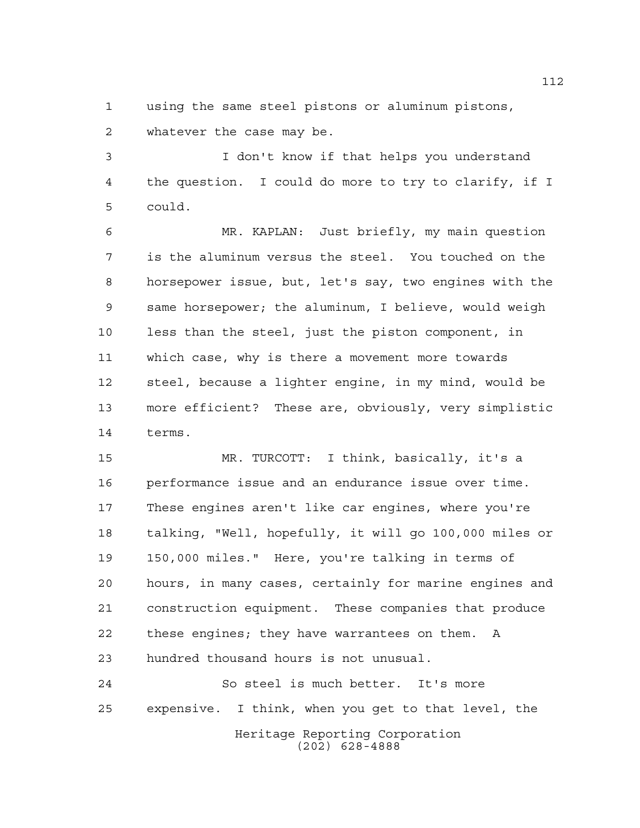using the same steel pistons or aluminum pistons, whatever the case may be.

 I don't know if that helps you understand the question. I could do more to try to clarify, if I could.

 MR. KAPLAN: Just briefly, my main question is the aluminum versus the steel. You touched on the horsepower issue, but, let's say, two engines with the same horsepower; the aluminum, I believe, would weigh less than the steel, just the piston component, in which case, why is there a movement more towards steel, because a lighter engine, in my mind, would be more efficient? These are, obviously, very simplistic terms.

 MR. TURCOTT: I think, basically, it's a performance issue and an endurance issue over time. These engines aren't like car engines, where you're talking, "Well, hopefully, it will go 100,000 miles or 150,000 miles." Here, you're talking in terms of hours, in many cases, certainly for marine engines and construction equipment. These companies that produce these engines; they have warrantees on them. A hundred thousand hours is not unusual.

Heritage Reporting Corporation (202) 628-4888 So steel is much better. It's more expensive. I think, when you get to that level, the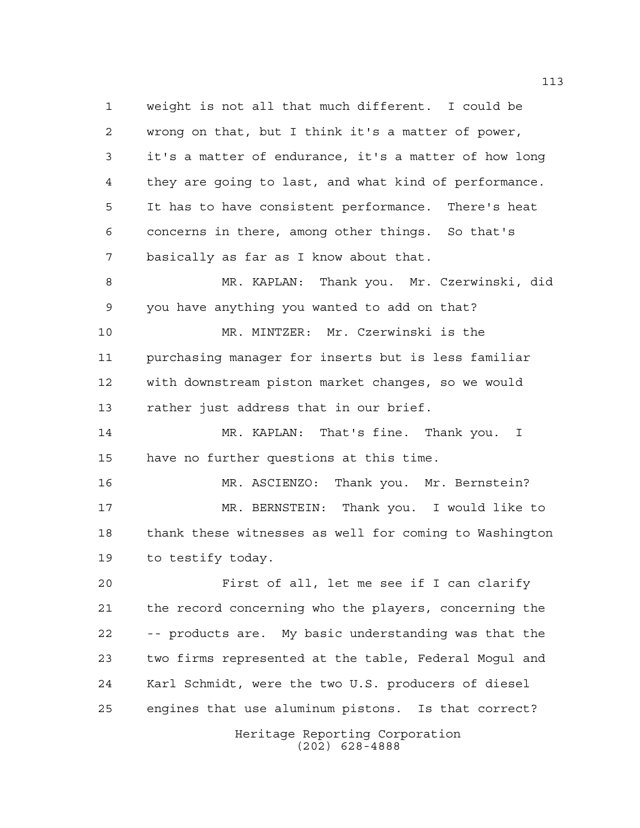weight is not all that much different. I could be wrong on that, but I think it's a matter of power, it's a matter of endurance, it's a matter of how long they are going to last, and what kind of performance. It has to have consistent performance. There's heat concerns in there, among other things. So that's basically as far as I know about that.

 MR. KAPLAN: Thank you. Mr. Czerwinski, did you have anything you wanted to add on that?

 MR. MINTZER: Mr. Czerwinski is the purchasing manager for inserts but is less familiar with downstream piston market changes, so we would rather just address that in our brief.

 MR. KAPLAN: That's fine. Thank you. I have no further questions at this time.

 MR. ASCIENZO: Thank you. Mr. Bernstein? MR. BERNSTEIN: Thank you. I would like to thank these witnesses as well for coming to Washington to testify today.

 First of all, let me see if I can clarify the record concerning who the players, concerning the -- products are. My basic understanding was that the two firms represented at the table, Federal Mogul and Karl Schmidt, were the two U.S. producers of diesel engines that use aluminum pistons. Is that correct?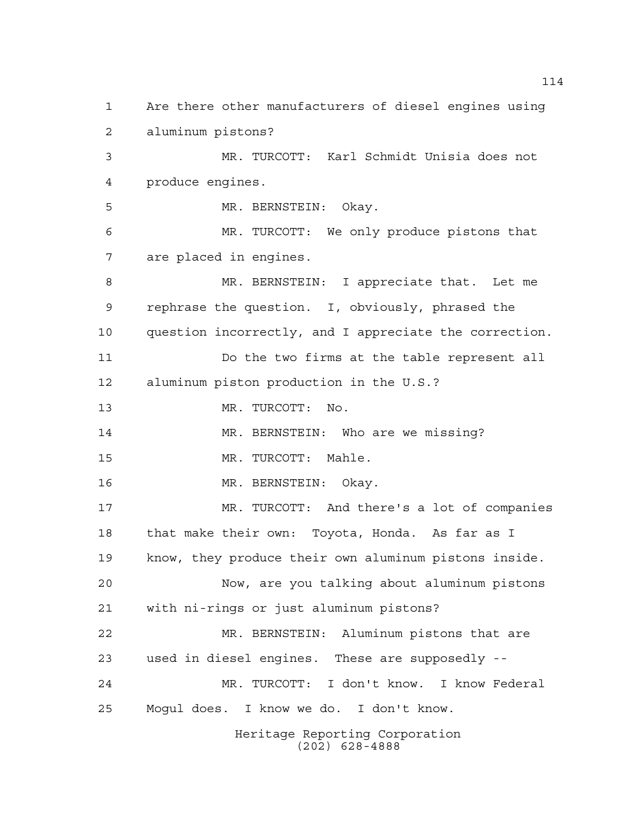Heritage Reporting Corporation (202) 628-4888 Are there other manufacturers of diesel engines using aluminum pistons? MR. TURCOTT: Karl Schmidt Unisia does not produce engines. MR. BERNSTEIN: Okay. MR. TURCOTT: We only produce pistons that are placed in engines. MR. BERNSTEIN: I appreciate that. Let me rephrase the question. I, obviously, phrased the question incorrectly, and I appreciate the correction. Do the two firms at the table represent all aluminum piston production in the U.S.? MR. TURCOTT: No. MR. BERNSTEIN: Who are we missing? MR. TURCOTT: Mahle. MR. BERNSTEIN: Okay. MR. TURCOTT: And there's a lot of companies that make their own: Toyota, Honda. As far as I know, they produce their own aluminum pistons inside. Now, are you talking about aluminum pistons with ni-rings or just aluminum pistons? MR. BERNSTEIN: Aluminum pistons that are used in diesel engines. These are supposedly -- MR. TURCOTT: I don't know. I know Federal Mogul does. I know we do. I don't know.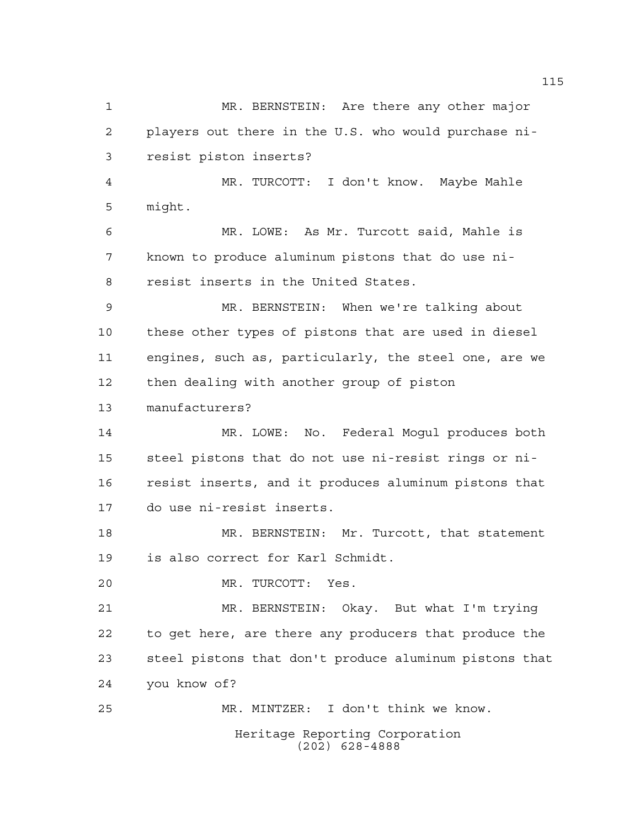Heritage Reporting Corporation MR. BERNSTEIN: Are there any other major players out there in the U.S. who would purchase ni- resist piston inserts? MR. TURCOTT: I don't know. Maybe Mahle might. MR. LOWE: As Mr. Turcott said, Mahle is known to produce aluminum pistons that do use ni- resist inserts in the United States. MR. BERNSTEIN: When we're talking about these other types of pistons that are used in diesel engines, such as, particularly, the steel one, are we then dealing with another group of piston manufacturers? MR. LOWE: No. Federal Mogul produces both steel pistons that do not use ni-resist rings or ni- resist inserts, and it produces aluminum pistons that do use ni-resist inserts. MR. BERNSTEIN: Mr. Turcott, that statement is also correct for Karl Schmidt. MR. TURCOTT: Yes. MR. BERNSTEIN: Okay. But what I'm trying to get here, are there any producers that produce the steel pistons that don't produce aluminum pistons that you know of? MR. MINTZER: I don't think we know.

(202) 628-4888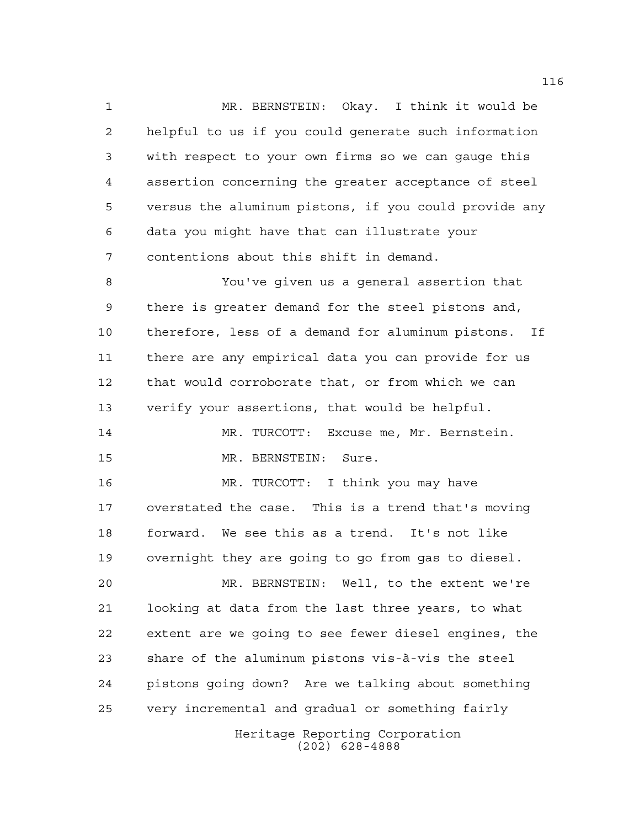MR. BERNSTEIN: Okay. I think it would be helpful to us if you could generate such information with respect to your own firms so we can gauge this assertion concerning the greater acceptance of steel versus the aluminum pistons, if you could provide any data you might have that can illustrate your contentions about this shift in demand.

 You've given us a general assertion that there is greater demand for the steel pistons and, therefore, less of a demand for aluminum pistons. If there are any empirical data you can provide for us that would corroborate that, or from which we can verify your assertions, that would be helpful. MR. TURCOTT: Excuse me, Mr. Bernstein. MR. BERNSTEIN: Sure.

 MR. TURCOTT: I think you may have overstated the case. This is a trend that's moving forward. We see this as a trend. It's not like overnight they are going to go from gas to diesel.

Heritage Reporting Corporation MR. BERNSTEIN: Well, to the extent we're looking at data from the last three years, to what extent are we going to see fewer diesel engines, the share of the aluminum pistons vis-à-vis the steel pistons going down? Are we talking about something very incremental and gradual or something fairly

(202) 628-4888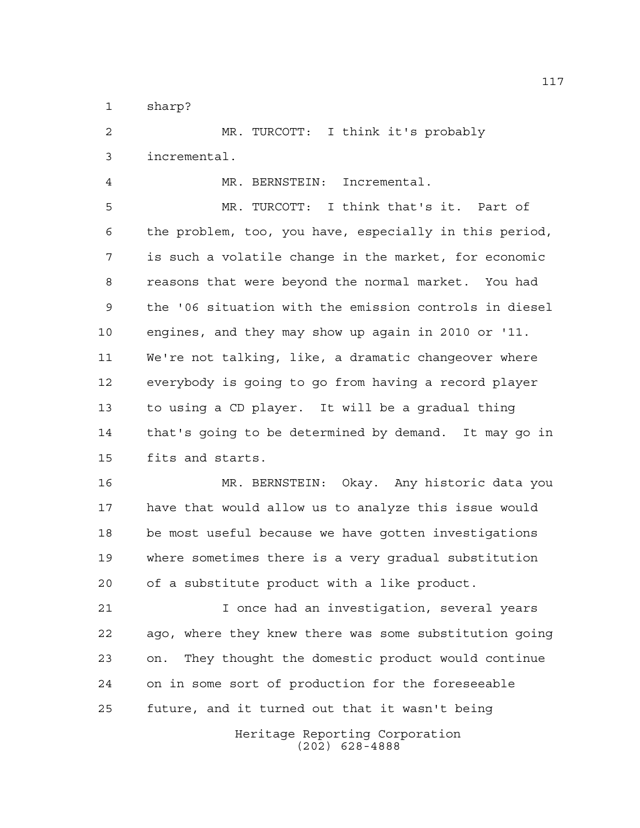sharp?

 MR. TURCOTT: I think it's probably incremental. MR. BERNSTEIN: Incremental. MR. TURCOTT: I think that's it. Part of the problem, too, you have, especially in this period, is such a volatile change in the market, for economic reasons that were beyond the normal market. You had the '06 situation with the emission controls in diesel engines, and they may show up again in 2010 or '11.

 We're not talking, like, a dramatic changeover where everybody is going to go from having a record player to using a CD player. It will be a gradual thing that's going to be determined by demand. It may go in fits and starts.

 MR. BERNSTEIN: Okay. Any historic data you have that would allow us to analyze this issue would be most useful because we have gotten investigations where sometimes there is a very gradual substitution of a substitute product with a like product.

 I once had an investigation, several years ago, where they knew there was some substitution going on. They thought the domestic product would continue on in some sort of production for the foreseeable future, and it turned out that it wasn't being

> Heritage Reporting Corporation (202) 628-4888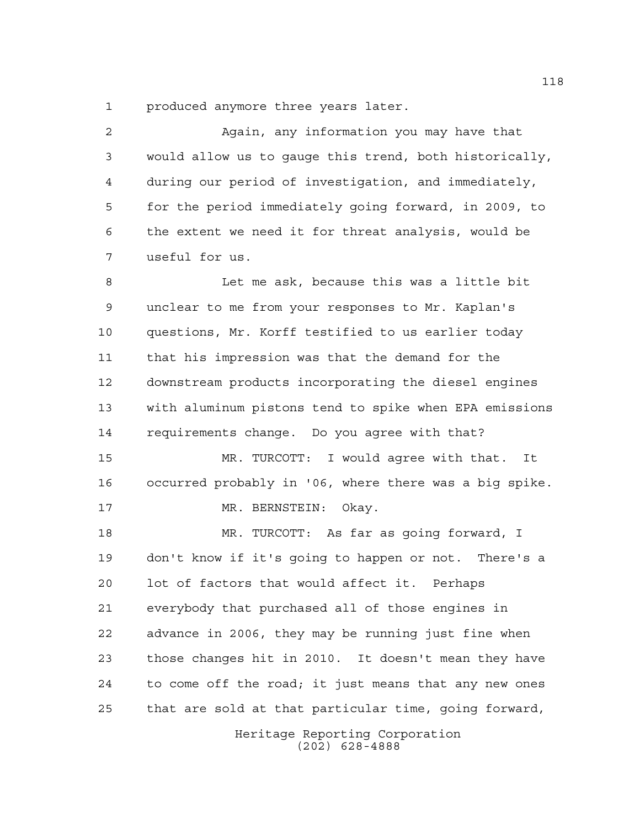produced anymore three years later.

 Again, any information you may have that would allow us to gauge this trend, both historically, during our period of investigation, and immediately, for the period immediately going forward, in 2009, to the extent we need it for threat analysis, would be useful for us.

 Let me ask, because this was a little bit unclear to me from your responses to Mr. Kaplan's questions, Mr. Korff testified to us earlier today that his impression was that the demand for the downstream products incorporating the diesel engines with aluminum pistons tend to spike when EPA emissions requirements change. Do you agree with that?

 MR. TURCOTT: I would agree with that. It occurred probably in '06, where there was a big spike. MR. BERNSTEIN: Okay.

 MR. TURCOTT: As far as going forward, I don't know if it's going to happen or not. There's a lot of factors that would affect it. Perhaps everybody that purchased all of those engines in advance in 2006, they may be running just fine when those changes hit in 2010. It doesn't mean they have to come off the road; it just means that any new ones that are sold at that particular time, going forward,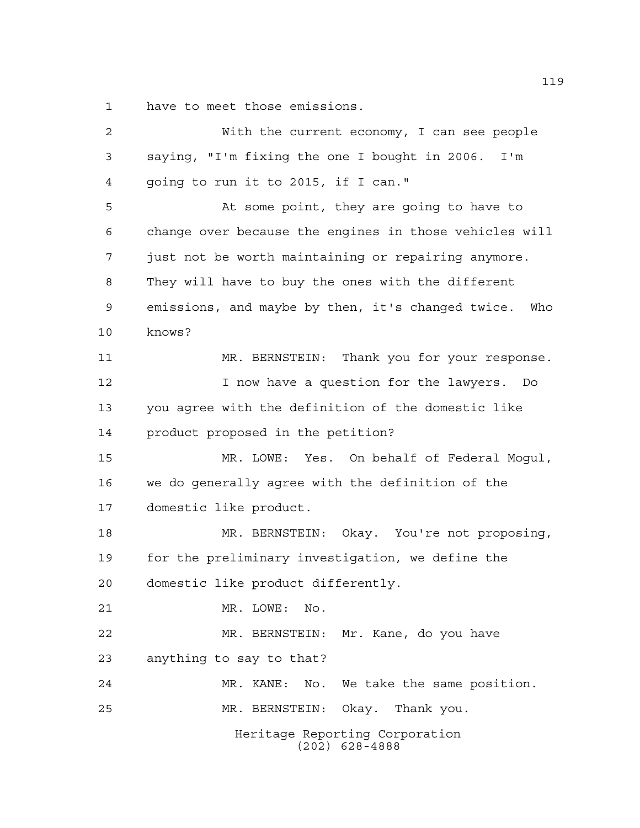have to meet those emissions.

| 2  | With the current economy, I can see people               |
|----|----------------------------------------------------------|
| 3  | saying, "I'm fixing the one I bought in 2006. I'm        |
| 4  | going to run it to 2015, if I can."                      |
| 5  | At some point, they are going to have to                 |
| 6  | change over because the engines in those vehicles will   |
| 7  | just not be worth maintaining or repairing anymore.      |
| 8  | They will have to buy the ones with the different        |
| 9  | emissions, and maybe by then, it's changed twice.<br>Who |
| 10 | knows?                                                   |
| 11 | Thank you for your response.<br>MR. BERNSTEIN:           |
| 12 | I now have a question for the lawyers. Do                |
| 13 | you agree with the definition of the domestic like       |
| 14 | product proposed in the petition?                        |
| 15 | MR. LOWE: Yes. On behalf of Federal Mogul,               |
| 16 | we do generally agree with the definition of the         |
| 17 | domestic like product.                                   |
| 18 | MR. BERNSTEIN: Okay. You're not proposing,               |
| 19 | for the preliminary investigation, we define the         |
| 20 | domestic like product differently.                       |
| 21 | No.<br>MR. LOWE:                                         |
| 22 | MR. BERNSTEIN: Mr. Kane, do you have                     |
| 23 | anything to say to that?                                 |
| 24 | No. We take the same position.<br>MR. KANE:              |
| 25 | MR. BERNSTEIN: Okay. Thank you.                          |
|    | Heritage Reporting Corporation<br>$(202)$ 628-4888       |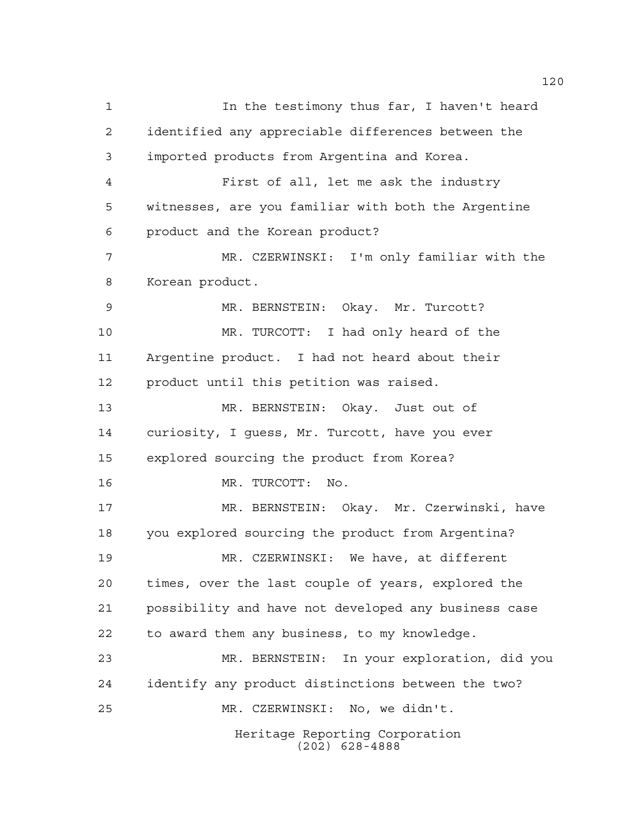Heritage Reporting Corporation (202) 628-4888 1 1 In the testimony thus far, I haven't heard identified any appreciable differences between the imported products from Argentina and Korea. First of all, let me ask the industry witnesses, are you familiar with both the Argentine product and the Korean product? MR. CZERWINSKI: I'm only familiar with the Korean product. MR. BERNSTEIN: Okay. Mr. Turcott? MR. TURCOTT: I had only heard of the Argentine product. I had not heard about their product until this petition was raised. MR. BERNSTEIN: Okay. Just out of curiosity, I guess, Mr. Turcott, have you ever explored sourcing the product from Korea? MR. TURCOTT: No. MR. BERNSTEIN: Okay. Mr. Czerwinski, have you explored sourcing the product from Argentina? MR. CZERWINSKI: We have, at different times, over the last couple of years, explored the possibility and have not developed any business case to award them any business, to my knowledge. MR. BERNSTEIN: In your exploration, did you identify any product distinctions between the two? MR. CZERWINSKI: No, we didn't.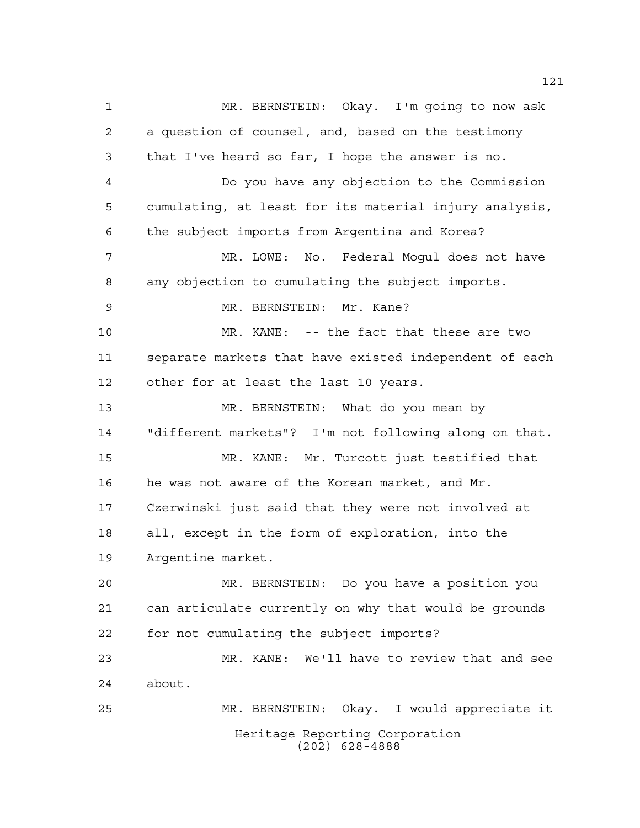Heritage Reporting Corporation (202) 628-4888 MR. BERNSTEIN: Okay. I'm going to now ask a question of counsel, and, based on the testimony that I've heard so far, I hope the answer is no. Do you have any objection to the Commission cumulating, at least for its material injury analysis, the subject imports from Argentina and Korea? MR. LOWE: No. Federal Mogul does not have any objection to cumulating the subject imports. MR. BERNSTEIN: Mr. Kane? MR. KANE: -- the fact that these are two separate markets that have existed independent of each other for at least the last 10 years. MR. BERNSTEIN: What do you mean by "different markets"? I'm not following along on that. MR. KANE: Mr. Turcott just testified that he was not aware of the Korean market, and Mr. Czerwinski just said that they were not involved at all, except in the form of exploration, into the Argentine market. MR. BERNSTEIN: Do you have a position you can articulate currently on why that would be grounds for not cumulating the subject imports? MR. KANE: We'll have to review that and see about. MR. BERNSTEIN: Okay. I would appreciate it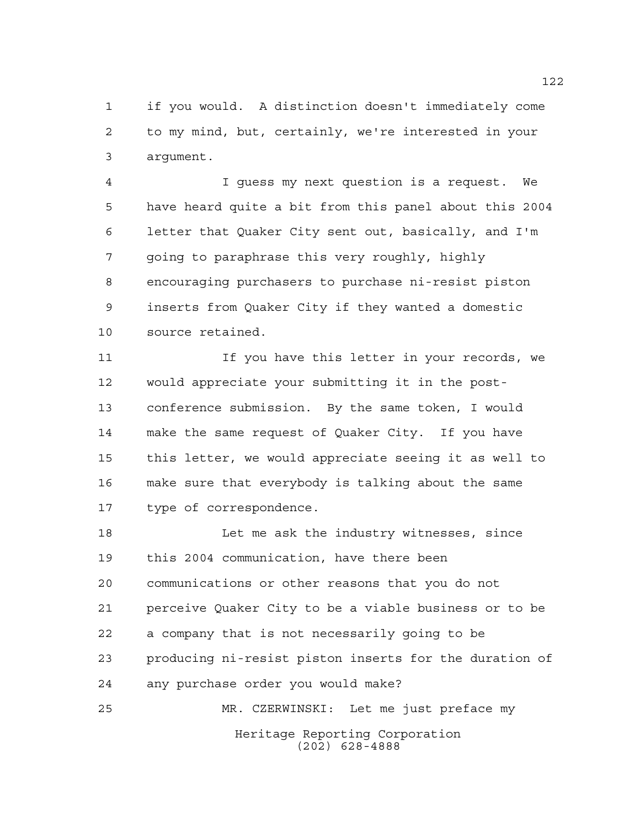if you would. A distinction doesn't immediately come to my mind, but, certainly, we're interested in your argument.

 I guess my next question is a request. We have heard quite a bit from this panel about this 2004 letter that Quaker City sent out, basically, and I'm going to paraphrase this very roughly, highly encouraging purchasers to purchase ni-resist piston inserts from Quaker City if they wanted a domestic source retained.

11 11 If you have this letter in your records, we would appreciate your submitting it in the post- conference submission. By the same token, I would make the same request of Quaker City. If you have this letter, we would appreciate seeing it as well to make sure that everybody is talking about the same type of correspondence.

 Let me ask the industry witnesses, since this 2004 communication, have there been communications or other reasons that you do not perceive Quaker City to be a viable business or to be a company that is not necessarily going to be producing ni-resist piston inserts for the duration of any purchase order you would make? MR. CZERWINSKI: Let me just preface my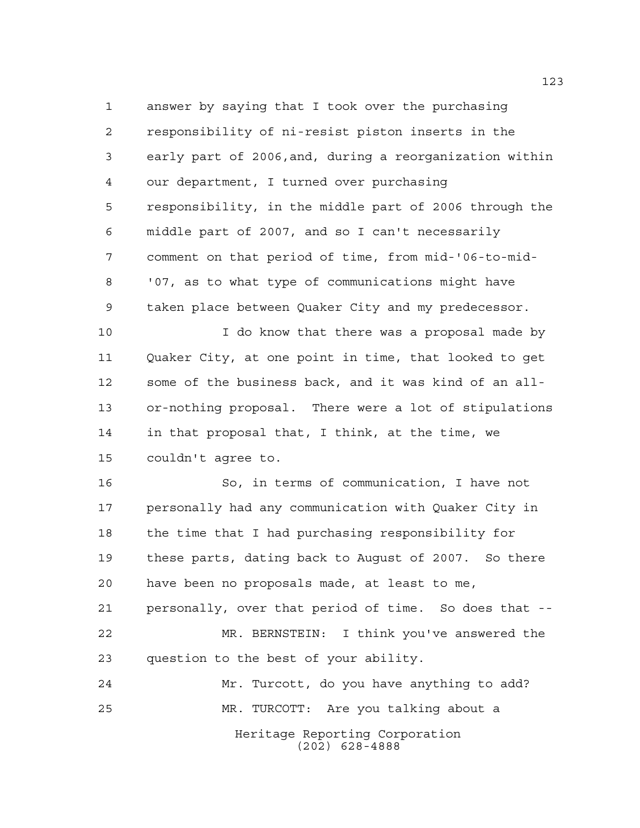answer by saying that I took over the purchasing responsibility of ni-resist piston inserts in the early part of 2006,and, during a reorganization within our department, I turned over purchasing responsibility, in the middle part of 2006 through the middle part of 2007, and so I can't necessarily comment on that period of time, from mid-'06-to-mid- '07, as to what type of communications might have taken place between Quaker City and my predecessor.

10 10 I do know that there was a proposal made by Quaker City, at one point in time, that looked to get some of the business back, and it was kind of an all- or-nothing proposal. There were a lot of stipulations in that proposal that, I think, at the time, we couldn't agree to.

 So, in terms of communication, I have not personally had any communication with Quaker City in the time that I had purchasing responsibility for these parts, dating back to August of 2007. So there have been no proposals made, at least to me, personally, over that period of time. So does that -- MR. BERNSTEIN: I think you've answered the question to the best of your ability. Mr. Turcott, do you have anything to add?

MR. TURCOTT: Are you talking about a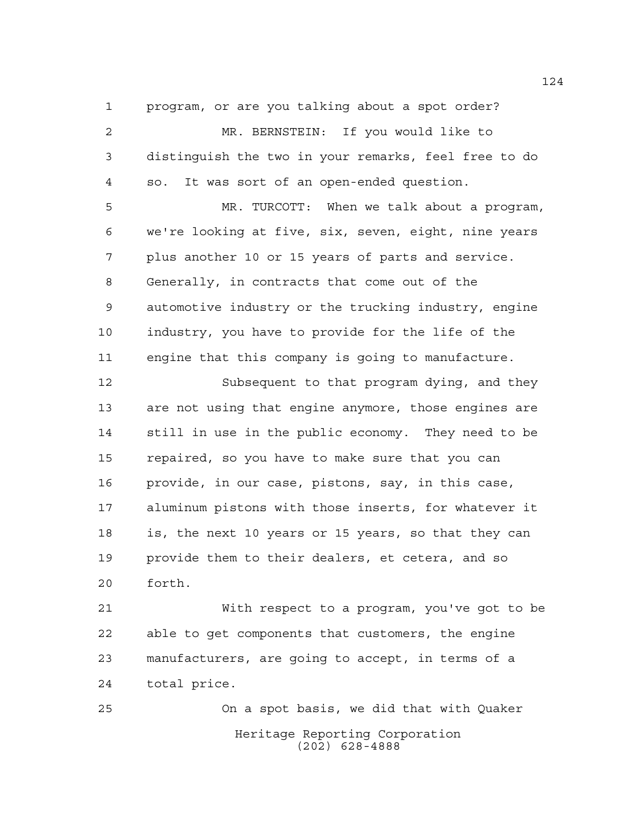program, or are you talking about a spot order?

 MR. BERNSTEIN: If you would like to distinguish the two in your remarks, feel free to do so. It was sort of an open-ended question.

 MR. TURCOTT: When we talk about a program, we're looking at five, six, seven, eight, nine years plus another 10 or 15 years of parts and service. Generally, in contracts that come out of the automotive industry or the trucking industry, engine industry, you have to provide for the life of the engine that this company is going to manufacture.

 Subsequent to that program dying, and they are not using that engine anymore, those engines are still in use in the public economy. They need to be repaired, so you have to make sure that you can provide, in our case, pistons, say, in this case, aluminum pistons with those inserts, for whatever it is, the next 10 years or 15 years, so that they can provide them to their dealers, et cetera, and so forth.

 With respect to a program, you've got to be able to get components that customers, the engine manufacturers, are going to accept, in terms of a total price.

Heritage Reporting Corporation (202) 628-4888 On a spot basis, we did that with Quaker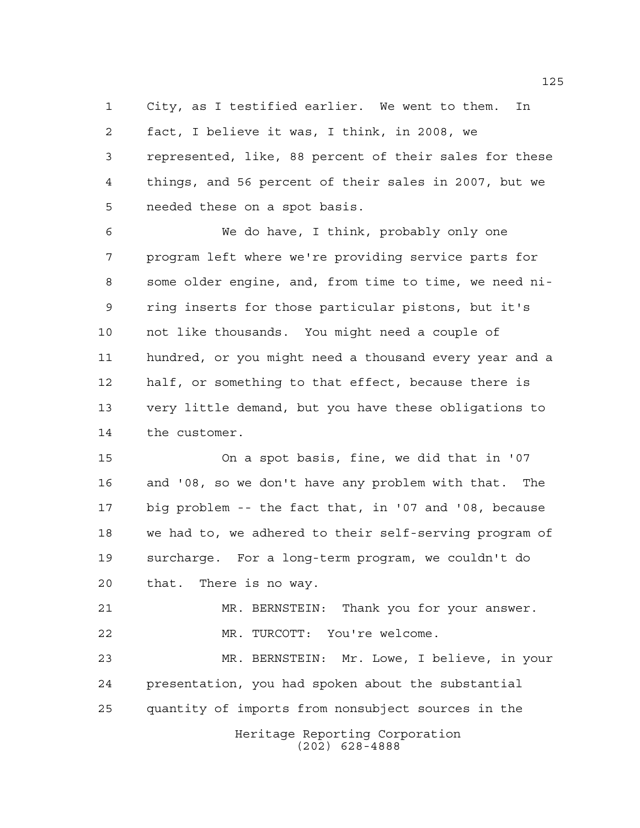City, as I testified earlier. We went to them. In fact, I believe it was, I think, in 2008, we represented, like, 88 percent of their sales for these things, and 56 percent of their sales in 2007, but we needed these on a spot basis.

 We do have, I think, probably only one program left where we're providing service parts for some older engine, and, from time to time, we need ni- ring inserts for those particular pistons, but it's not like thousands. You might need a couple of hundred, or you might need a thousand every year and a half, or something to that effect, because there is very little demand, but you have these obligations to the customer.

 On a spot basis, fine, we did that in '07 and '08, so we don't have any problem with that. The big problem -- the fact that, in '07 and '08, because we had to, we adhered to their self-serving program of surcharge. For a long-term program, we couldn't do that. There is no way.

 MR. BERNSTEIN: Thank you for your answer. MR. TURCOTT: You're welcome.

 MR. BERNSTEIN: Mr. Lowe, I believe, in your presentation, you had spoken about the substantial quantity of imports from nonsubject sources in the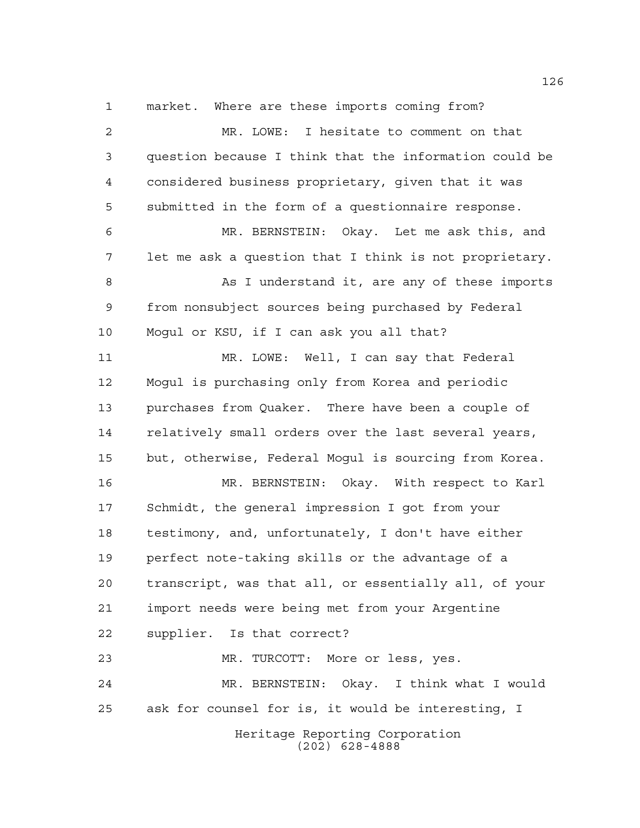Heritage Reporting Corporation (202) 628-4888 market. Where are these imports coming from? MR. LOWE: I hesitate to comment on that question because I think that the information could be considered business proprietary, given that it was submitted in the form of a questionnaire response. MR. BERNSTEIN: Okay. Let me ask this, and let me ask a question that I think is not proprietary. 8 As I understand it, are any of these imports from nonsubject sources being purchased by Federal Mogul or KSU, if I can ask you all that? MR. LOWE: Well, I can say that Federal Mogul is purchasing only from Korea and periodic purchases from Quaker. There have been a couple of relatively small orders over the last several years, but, otherwise, Federal Mogul is sourcing from Korea. MR. BERNSTEIN: Okay. With respect to Karl Schmidt, the general impression I got from your testimony, and, unfortunately, I don't have either perfect note-taking skills or the advantage of a transcript, was that all, or essentially all, of your import needs were being met from your Argentine supplier. Is that correct? MR. TURCOTT: More or less, yes. MR. BERNSTEIN: Okay. I think what I would ask for counsel for is, it would be interesting, I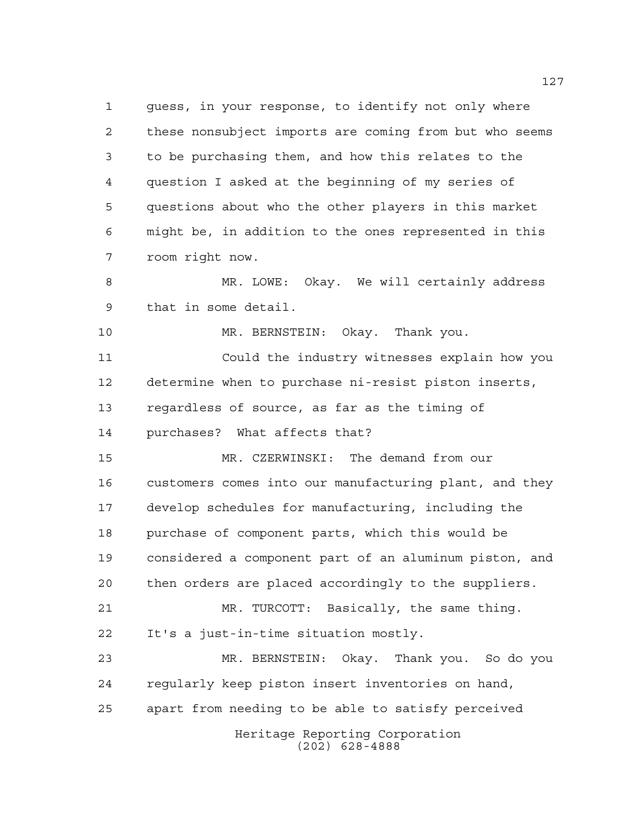guess, in your response, to identify not only where these nonsubject imports are coming from but who seems to be purchasing them, and how this relates to the question I asked at the beginning of my series of questions about who the other players in this market might be, in addition to the ones represented in this room right now. MR. LOWE: Okay. We will certainly address that in some detail. MR. BERNSTEIN: Okay. Thank you. Could the industry witnesses explain how you

 determine when to purchase ni-resist piston inserts, regardless of source, as far as the timing of purchases? What affects that?

 MR. CZERWINSKI: The demand from our customers comes into our manufacturing plant, and they develop schedules for manufacturing, including the purchase of component parts, which this would be considered a component part of an aluminum piston, and then orders are placed accordingly to the suppliers. MR. TURCOTT: Basically, the same thing. It's a just-in-time situation mostly. MR. BERNSTEIN: Okay. Thank you. So do you regularly keep piston insert inventories on hand,

apart from needing to be able to satisfy perceived

Heritage Reporting Corporation (202) 628-4888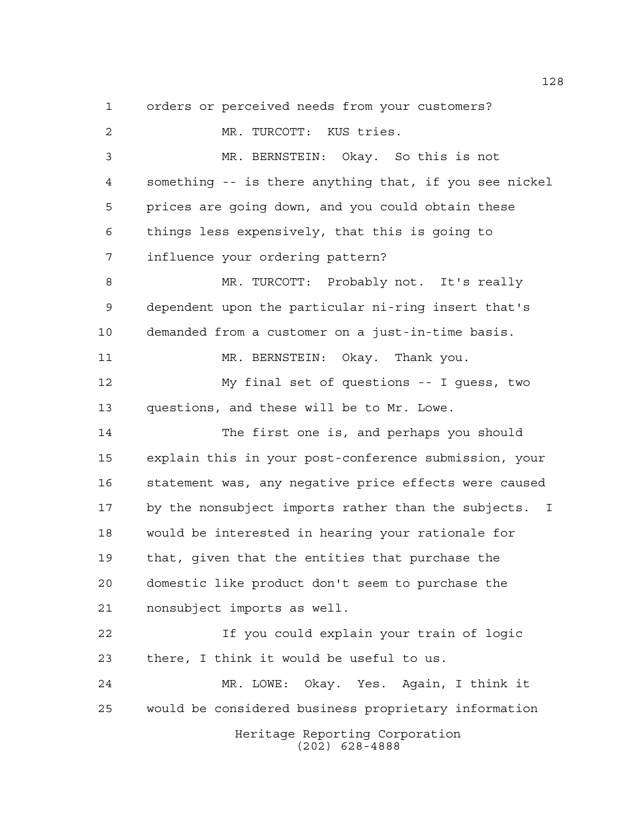orders or perceived needs from your customers?

Heritage Reporting Corporation (202) 628-4888 MR. TURCOTT: KUS tries. MR. BERNSTEIN: Okay. So this is not something -- is there anything that, if you see nickel prices are going down, and you could obtain these things less expensively, that this is going to influence your ordering pattern? MR. TURCOTT: Probably not. It's really dependent upon the particular ni-ring insert that's demanded from a customer on a just-in-time basis. 11 MR. BERNSTEIN: Okay. Thank you. My final set of questions -- I guess, two questions, and these will be to Mr. Lowe. The first one is, and perhaps you should explain this in your post-conference submission, your statement was, any negative price effects were caused by the nonsubject imports rather than the subjects. I would be interested in hearing your rationale for that, given that the entities that purchase the domestic like product don't seem to purchase the nonsubject imports as well. If you could explain your train of logic there, I think it would be useful to us. MR. LOWE: Okay. Yes. Again, I think it would be considered business proprietary information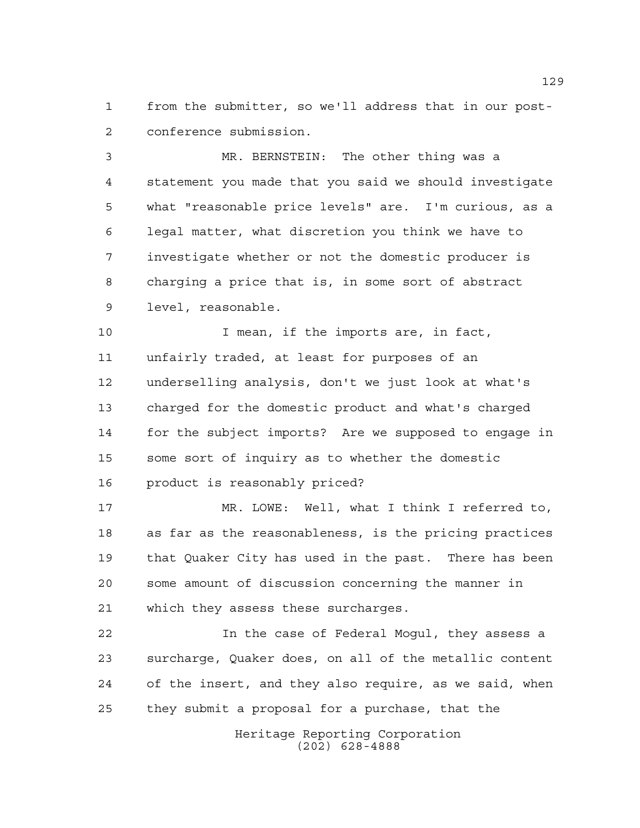from the submitter, so we'll address that in our post-conference submission.

 MR. BERNSTEIN: The other thing was a statement you made that you said we should investigate what "reasonable price levels" are. I'm curious, as a legal matter, what discretion you think we have to investigate whether or not the domestic producer is charging a price that is, in some sort of abstract level, reasonable.

10 10 I mean, if the imports are, in fact, unfairly traded, at least for purposes of an underselling analysis, don't we just look at what's charged for the domestic product and what's charged for the subject imports? Are we supposed to engage in some sort of inquiry as to whether the domestic product is reasonably priced?

 MR. LOWE: Well, what I think I referred to, as far as the reasonableness, is the pricing practices that Quaker City has used in the past. There has been some amount of discussion concerning the manner in which they assess these surcharges.

 In the case of Federal Mogul, they assess a surcharge, Quaker does, on all of the metallic content of the insert, and they also require, as we said, when they submit a proposal for a purchase, that the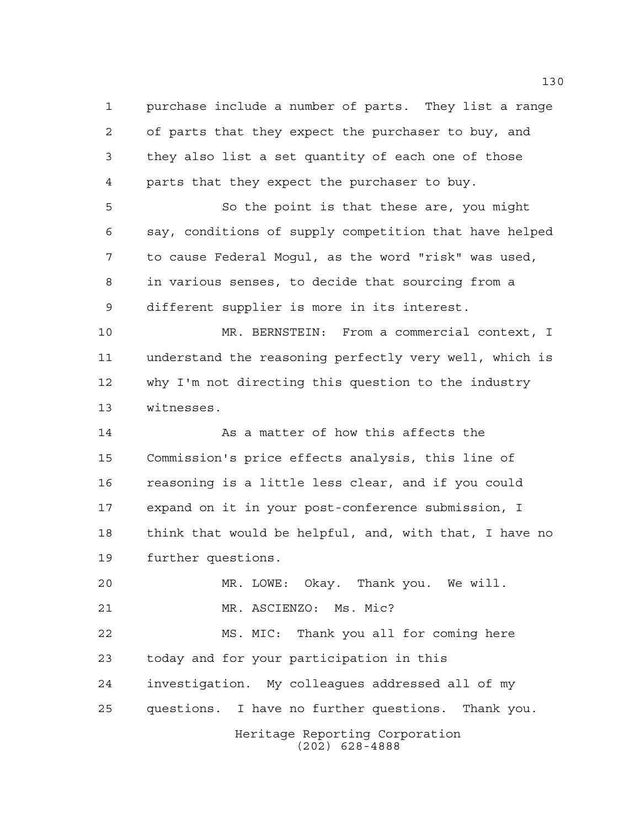purchase include a number of parts. They list a range of parts that they expect the purchaser to buy, and they also list a set quantity of each one of those parts that they expect the purchaser to buy.

 So the point is that these are, you might say, conditions of supply competition that have helped to cause Federal Mogul, as the word "risk" was used, in various senses, to decide that sourcing from a different supplier is more in its interest.

 MR. BERNSTEIN: From a commercial context, I understand the reasoning perfectly very well, which is why I'm not directing this question to the industry witnesses.

14 As a matter of how this affects the Commission's price effects analysis, this line of reasoning is a little less clear, and if you could expand on it in your post-conference submission, I think that would be helpful, and, with that, I have no further questions.

Heritage Reporting Corporation (202) 628-4888 MR. LOWE: Okay. Thank you. We will. MR. ASCIENZO: Ms. Mic? MS. MIC: Thank you all for coming here today and for your participation in this investigation. My colleagues addressed all of my questions. I have no further questions. Thank you.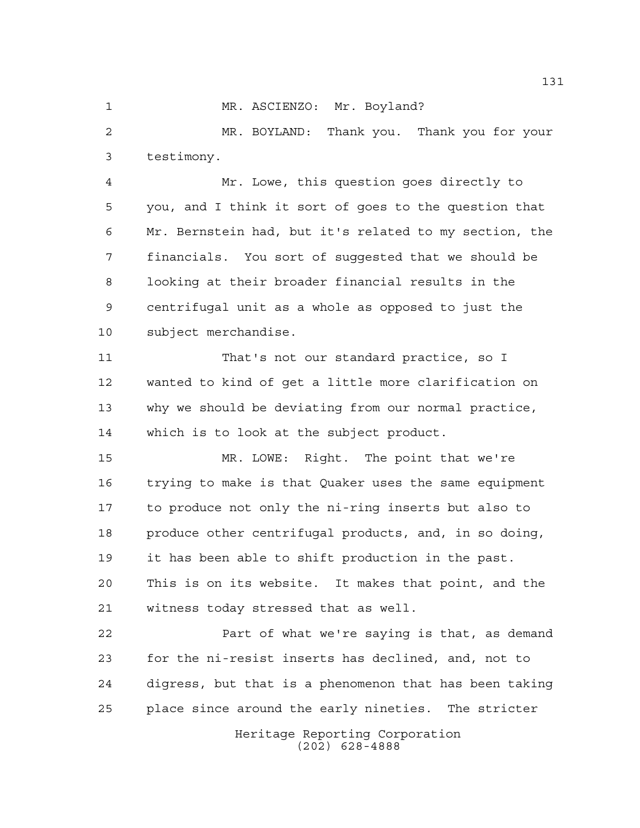1 MR. ASCIENZO: Mr. Boyland?

 MR. BOYLAND: Thank you. Thank you for your testimony.

 Mr. Lowe, this question goes directly to you, and I think it sort of goes to the question that Mr. Bernstein had, but it's related to my section, the financials. You sort of suggested that we should be looking at their broader financial results in the centrifugal unit as a whole as opposed to just the subject merchandise.

 That's not our standard practice, so I wanted to kind of get a little more clarification on why we should be deviating from our normal practice, which is to look at the subject product.

 MR. LOWE: Right. The point that we're trying to make is that Quaker uses the same equipment to produce not only the ni-ring inserts but also to produce other centrifugal products, and, in so doing, it has been able to shift production in the past. This is on its website. It makes that point, and the witness today stressed that as well.

 Part of what we're saying is that, as demand for the ni-resist inserts has declined, and, not to digress, but that is a phenomenon that has been taking place since around the early nineties. The stricter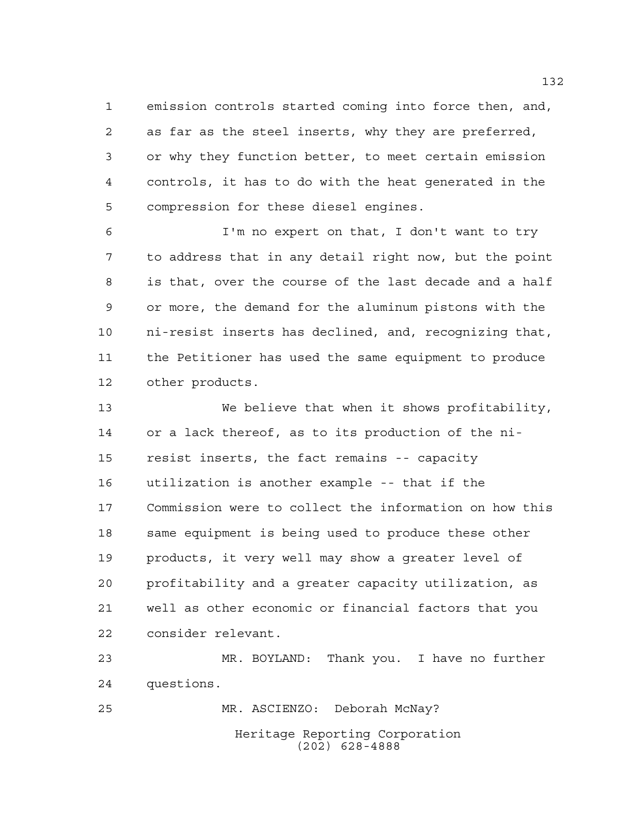emission controls started coming into force then, and, as far as the steel inserts, why they are preferred, or why they function better, to meet certain emission controls, it has to do with the heat generated in the compression for these diesel engines.

 I'm no expert on that, I don't want to try to address that in any detail right now, but the point is that, over the course of the last decade and a half or more, the demand for the aluminum pistons with the ni-resist inserts has declined, and, recognizing that, the Petitioner has used the same equipment to produce other products.

 We believe that when it shows profitability, or a lack thereof, as to its production of the ni- resist inserts, the fact remains -- capacity utilization is another example -- that if the Commission were to collect the information on how this 18 same equipment is being used to produce these other products, it very well may show a greater level of profitability and a greater capacity utilization, as well as other economic or financial factors that you consider relevant.

 MR. BOYLAND: Thank you. I have no further questions.

Heritage Reporting Corporation (202) 628-4888 MR. ASCIENZO: Deborah McNay?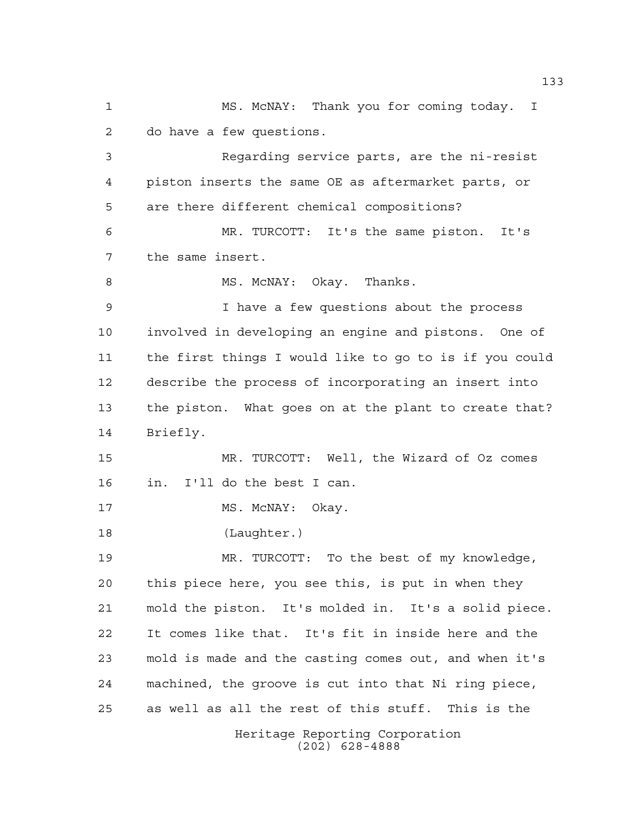Heritage Reporting Corporation MS. McNAY: Thank you for coming today. I do have a few questions. Regarding service parts, are the ni-resist piston inserts the same OE as aftermarket parts, or are there different chemical compositions? MR. TURCOTT: It's the same piston. It's the same insert. 8 MS. McNAY: Okay. Thanks. I have a few questions about the process involved in developing an engine and pistons. One of the first things I would like to go to is if you could describe the process of incorporating an insert into the piston. What goes on at the plant to create that? Briefly. MR. TURCOTT: Well, the Wizard of Oz comes in. I'll do the best I can. 17 MS. McNAY: Okay. (Laughter.) MR. TURCOTT: To the best of my knowledge, this piece here, you see this, is put in when they mold the piston. It's molded in. It's a solid piece. It comes like that. It's fit in inside here and the mold is made and the casting comes out, and when it's machined, the groove is cut into that Ni ring piece, as well as all the rest of this stuff. This is the

(202) 628-4888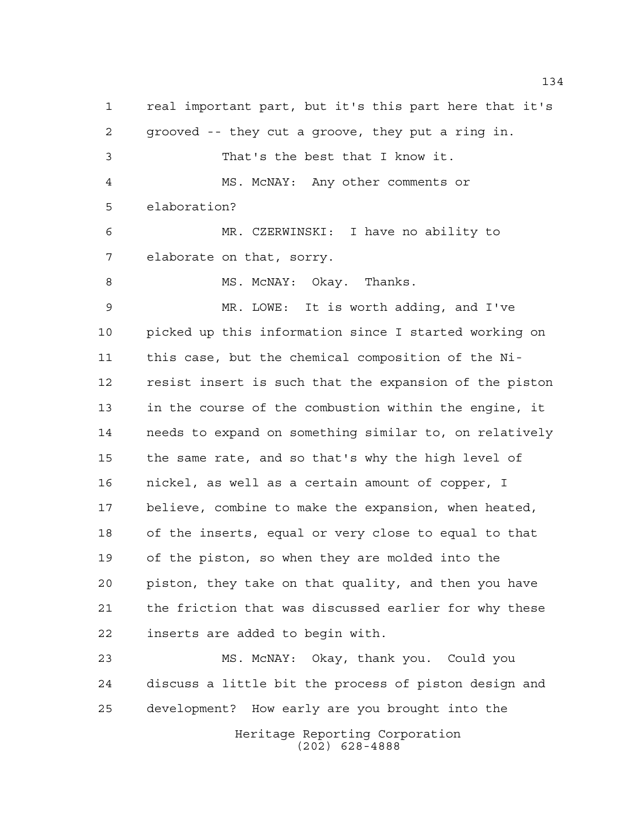real important part, but it's this part here that it's grooved -- they cut a groove, they put a ring in. That's the best that I know it. MS. McNAY: Any other comments or elaboration? MR. CZERWINSKI: I have no ability to elaborate on that, sorry. 8 MS. McNAY: Okay. Thanks. MR. LOWE: It is worth adding, and I've picked up this information since I started working on this case, but the chemical composition of the Ni- resist insert is such that the expansion of the piston in the course of the combustion within the engine, it needs to expand on something similar to, on relatively the same rate, and so that's why the high level of nickel, as well as a certain amount of copper, I believe, combine to make the expansion, when heated, of the inserts, equal or very close to equal to that of the piston, so when they are molded into the piston, they take on that quality, and then you have the friction that was discussed earlier for why these inserts are added to begin with. MS. McNAY: Okay, thank you. Could you

 discuss a little bit the process of piston design and development? How early are you brought into the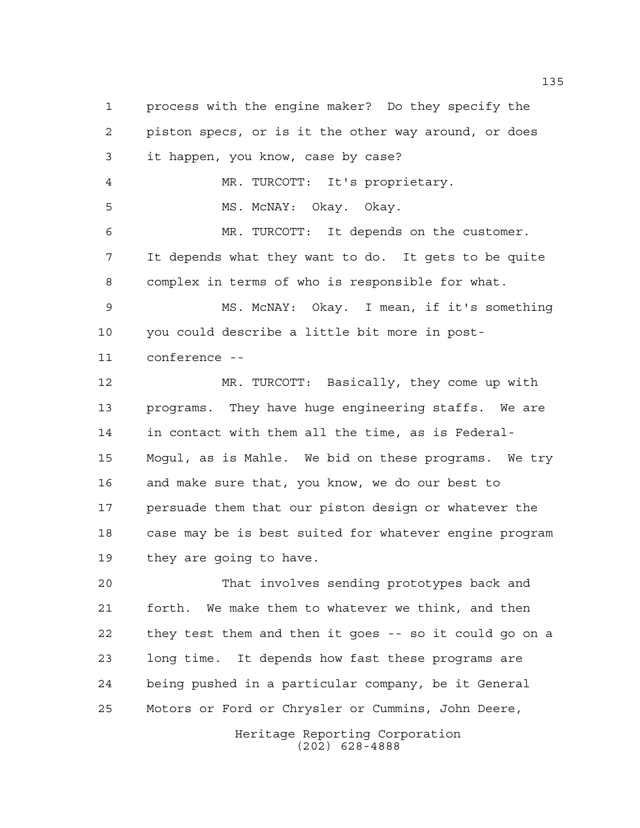process with the engine maker? Do they specify the piston specs, or is it the other way around, or does it happen, you know, case by case? MR. TURCOTT: It's proprietary. MS. McNAY: Okay. Okay. MR. TURCOTT: It depends on the customer. It depends what they want to do. It gets to be quite complex in terms of who is responsible for what. MS. McNAY: Okay. I mean, if it's something you could describe a little bit more in post- conference -- MR. TURCOTT: Basically, they come up with programs. They have huge engineering staffs. We are in contact with them all the time, as is Federal- Mogul, as is Mahle. We bid on these programs. We try and make sure that, you know, we do our best to persuade them that our piston design or whatever the case may be is best suited for whatever engine program they are going to have. That involves sending prototypes back and forth. We make them to whatever we think, and then

 they test them and then it goes -- so it could go on a long time. It depends how fast these programs are being pushed in a particular company, be it General Motors or Ford or Chrysler or Cummins, John Deere,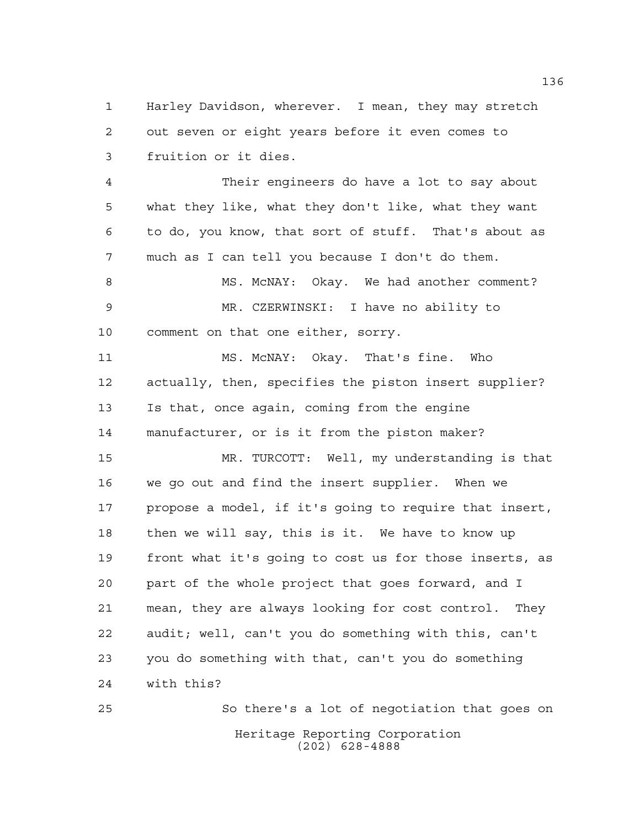Harley Davidson, wherever. I mean, they may stretch out seven or eight years before it even comes to fruition or it dies.

 Their engineers do have a lot to say about what they like, what they don't like, what they want to do, you know, that sort of stuff. That's about as much as I can tell you because I don't do them. 8 MS. McNAY: Okay. We had another comment? MR. CZERWINSKI: I have no ability to comment on that one either, sorry. MS. McNAY: Okay. That's fine. Who actually, then, specifies the piston insert supplier? Is that, once again, coming from the engine manufacturer, or is it from the piston maker? MR. TURCOTT: Well, my understanding is that we go out and find the insert supplier. When we propose a model, if it's going to require that insert, then we will say, this is it. We have to know up front what it's going to cost us for those inserts, as part of the whole project that goes forward, and I mean, they are always looking for cost control. They audit; well, can't you do something with this, can't you do something with that, can't you do something with this?

Heritage Reporting Corporation (202) 628-4888 So there's a lot of negotiation that goes on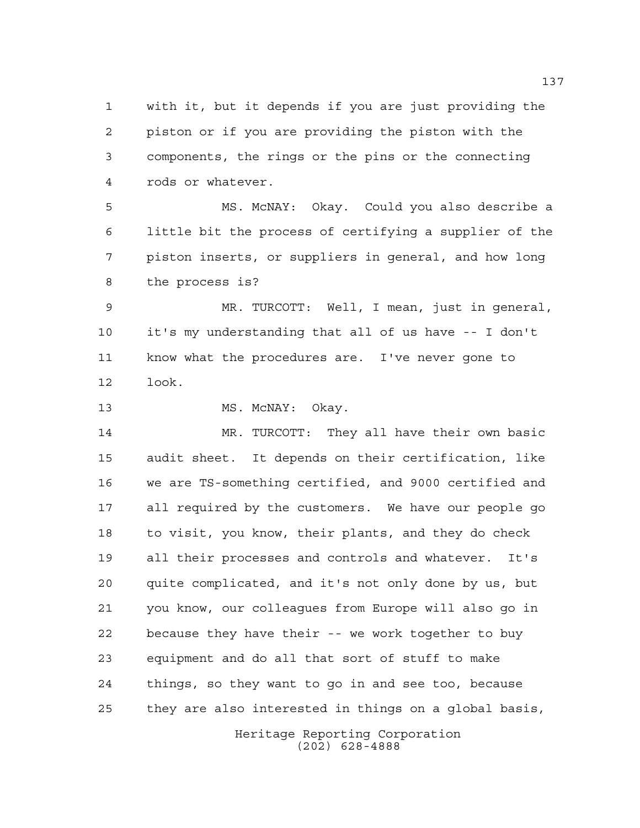with it, but it depends if you are just providing the piston or if you are providing the piston with the components, the rings or the pins or the connecting rods or whatever.

 MS. McNAY: Okay. Could you also describe a little bit the process of certifying a supplier of the piston inserts, or suppliers in general, and how long the process is?

 MR. TURCOTT: Well, I mean, just in general, it's my understanding that all of us have -- I don't know what the procedures are. I've never gone to look.

13 MS. McNAY: Okay.

 MR. TURCOTT: They all have their own basic audit sheet. It depends on their certification, like we are TS-something certified, and 9000 certified and all required by the customers. We have our people go to visit, you know, their plants, and they do check all their processes and controls and whatever. It's quite complicated, and it's not only done by us, but you know, our colleagues from Europe will also go in because they have their -- we work together to buy equipment and do all that sort of stuff to make things, so they want to go in and see too, because they are also interested in things on a global basis,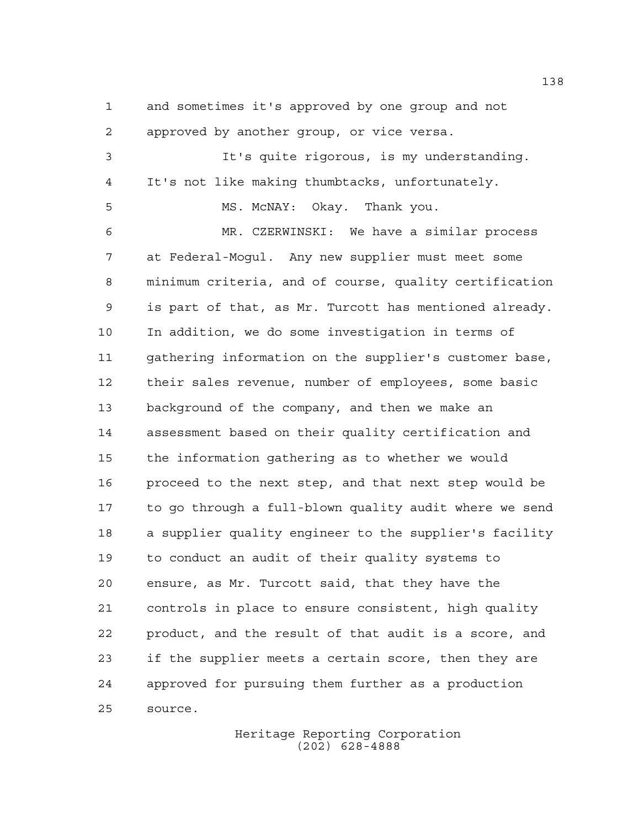and sometimes it's approved by one group and not

 approved by another group, or vice versa. It's quite rigorous, is my understanding. It's not like making thumbtacks, unfortunately. MS. McNAY: Okay. Thank you. MR. CZERWINSKI: We have a similar process at Federal-Mogul. Any new supplier must meet some minimum criteria, and of course, quality certification is part of that, as Mr. Turcott has mentioned already. In addition, we do some investigation in terms of gathering information on the supplier's customer base, their sales revenue, number of employees, some basic background of the company, and then we make an assessment based on their quality certification and the information gathering as to whether we would proceed to the next step, and that next step would be to go through a full-blown quality audit where we send a supplier quality engineer to the supplier's facility to conduct an audit of their quality systems to ensure, as Mr. Turcott said, that they have the controls in place to ensure consistent, high quality product, and the result of that audit is a score, and if the supplier meets a certain score, then they are approved for pursuing them further as a production source.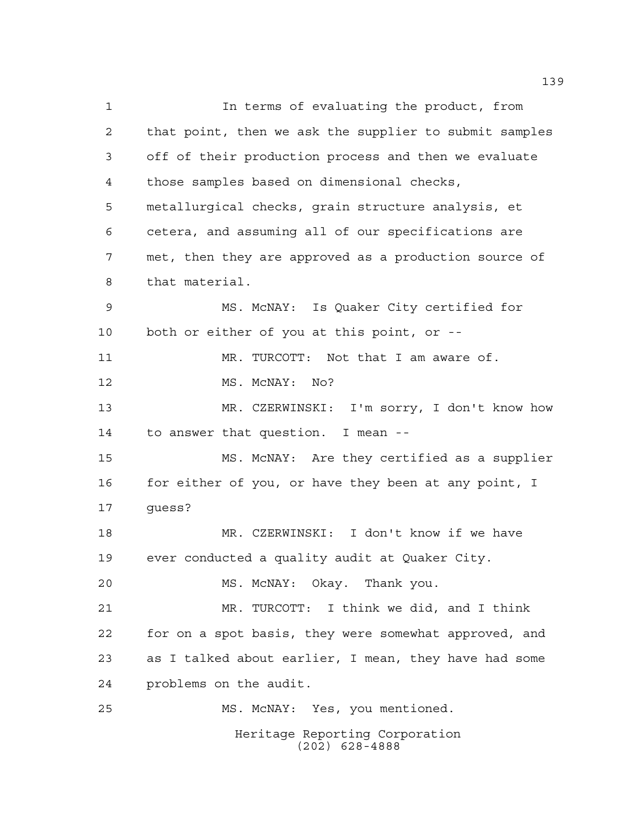Heritage Reporting Corporation (202) 628-4888 In terms of evaluating the product, from that point, then we ask the supplier to submit samples off of their production process and then we evaluate those samples based on dimensional checks, metallurgical checks, grain structure analysis, et cetera, and assuming all of our specifications are met, then they are approved as a production source of that material. MS. McNAY: Is Quaker City certified for both or either of you at this point, or -- 11 MR. TURCOTT: Not that I am aware of. 12 MS. McNAY: No? MR. CZERWINSKI: I'm sorry, I don't know how to answer that question. I mean -- MS. McNAY: Are they certified as a supplier 16 for either of you, or have they been at any point, I guess? MR. CZERWINSKI: I don't know if we have ever conducted a quality audit at Quaker City. MS. McNAY: Okay. Thank you. MR. TURCOTT: I think we did, and I think for on a spot basis, they were somewhat approved, and as I talked about earlier, I mean, they have had some problems on the audit. MS. McNAY: Yes, you mentioned.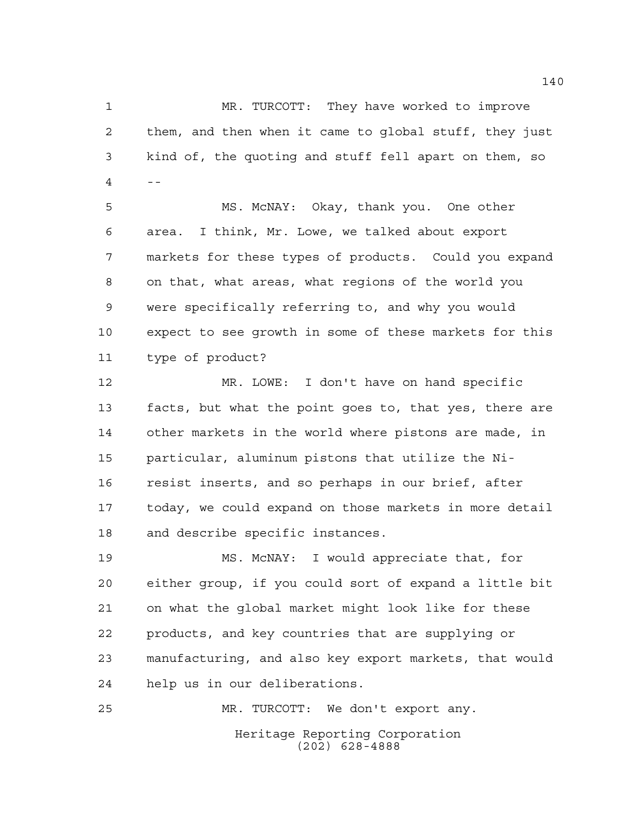MR. TURCOTT: They have worked to improve them, and then when it came to global stuff, they just kind of, the quoting and stuff fell apart on them, so --

 MS. McNAY: Okay, thank you. One other area. I think, Mr. Lowe, we talked about export markets for these types of products. Could you expand on that, what areas, what regions of the world you were specifically referring to, and why you would expect to see growth in some of these markets for this type of product?

 MR. LOWE: I don't have on hand specific facts, but what the point goes to, that yes, there are other markets in the world where pistons are made, in particular, aluminum pistons that utilize the Ni- resist inserts, and so perhaps in our brief, after today, we could expand on those markets in more detail and describe specific instances.

 MS. McNAY: I would appreciate that, for either group, if you could sort of expand a little bit on what the global market might look like for these products, and key countries that are supplying or manufacturing, and also key export markets, that would help us in our deliberations.

Heritage Reporting Corporation (202) 628-4888 MR. TURCOTT: We don't export any.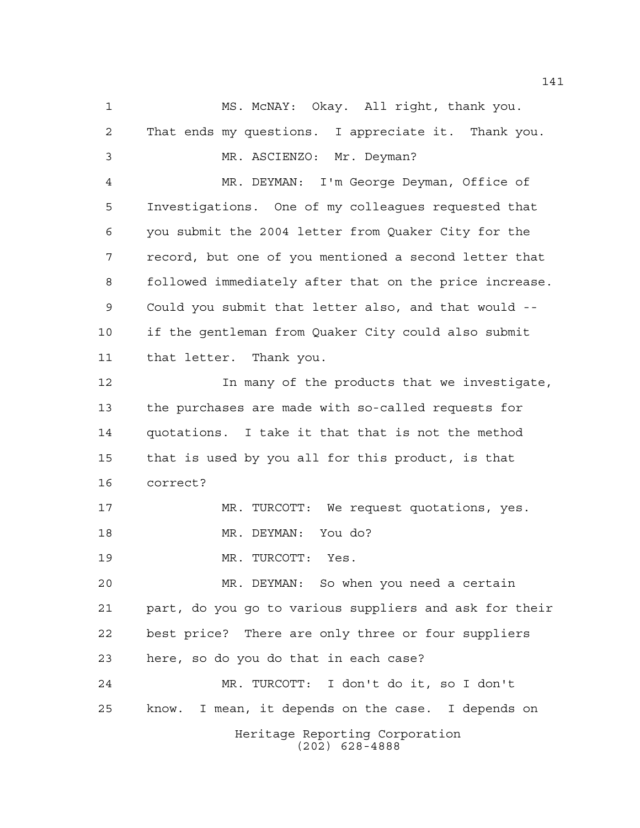Heritage Reporting Corporation (202) 628-4888 MS. McNAY: Okay. All right, thank you. That ends my questions. I appreciate it. Thank you. MR. ASCIENZO: Mr. Deyman? MR. DEYMAN: I'm George Deyman, Office of Investigations. One of my colleagues requested that you submit the 2004 letter from Quaker City for the record, but one of you mentioned a second letter that followed immediately after that on the price increase. Could you submit that letter also, and that would -- if the gentleman from Quaker City could also submit that letter. Thank you. In many of the products that we investigate, the purchases are made with so-called requests for quotations. I take it that that is not the method that is used by you all for this product, is that correct? MR. TURCOTT: We request quotations, yes. MR. DEYMAN: You do? MR. TURCOTT: Yes. MR. DEYMAN: So when you need a certain part, do you go to various suppliers and ask for their best price? There are only three or four suppliers here, so do you do that in each case? MR. TURCOTT: I don't do it, so I don't know. I mean, it depends on the case. I depends on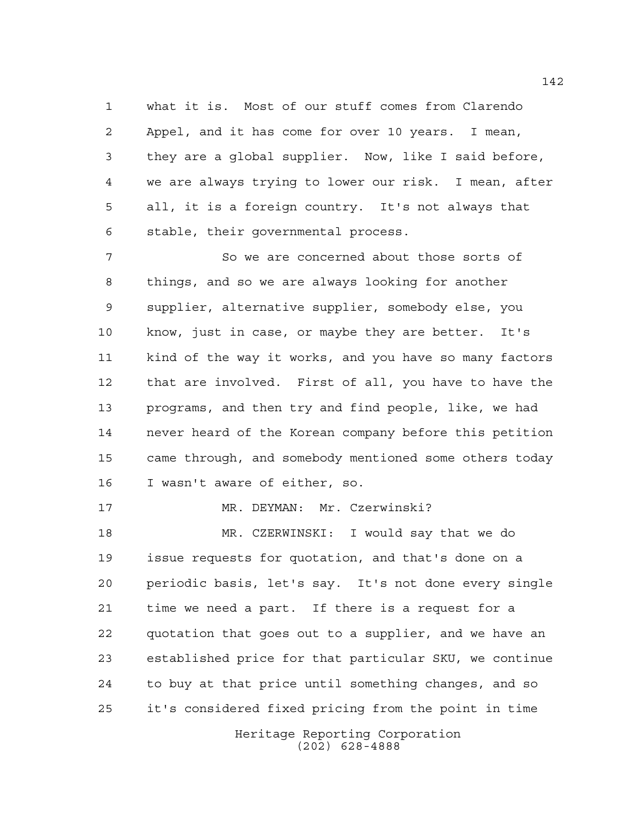what it is. Most of our stuff comes from Clarendo Appel, and it has come for over 10 years. I mean, they are a global supplier. Now, like I said before, we are always trying to lower our risk. I mean, after all, it is a foreign country. It's not always that stable, their governmental process.

 So we are concerned about those sorts of things, and so we are always looking for another supplier, alternative supplier, somebody else, you know, just in case, or maybe they are better. It's kind of the way it works, and you have so many factors that are involved. First of all, you have to have the programs, and then try and find people, like, we had never heard of the Korean company before this petition came through, and somebody mentioned some others today I wasn't aware of either, so.

MR. DEYMAN: Mr. Czerwinski?

 MR. CZERWINSKI: I would say that we do issue requests for quotation, and that's done on a periodic basis, let's say. It's not done every single time we need a part. If there is a request for a quotation that goes out to a supplier, and we have an established price for that particular SKU, we continue to buy at that price until something changes, and so it's considered fixed pricing from the point in time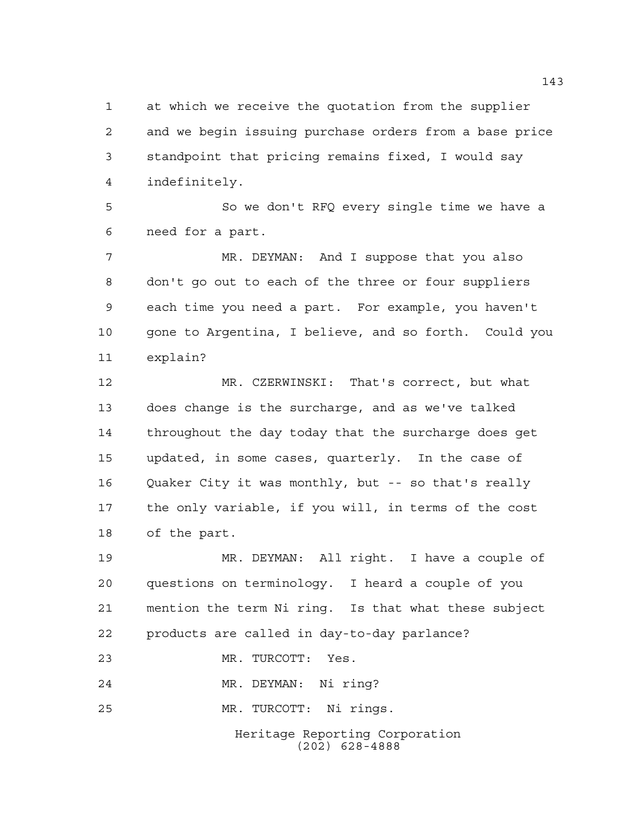at which we receive the quotation from the supplier and we begin issuing purchase orders from a base price standpoint that pricing remains fixed, I would say indefinitely.

 So we don't RFQ every single time we have a need for a part.

 MR. DEYMAN: And I suppose that you also don't go out to each of the three or four suppliers each time you need a part. For example, you haven't gone to Argentina, I believe, and so forth. Could you explain?

 MR. CZERWINSKI: That's correct, but what does change is the surcharge, and as we've talked throughout the day today that the surcharge does get updated, in some cases, quarterly. In the case of Quaker City it was monthly, but -- so that's really the only variable, if you will, in terms of the cost of the part.

 MR. DEYMAN: All right. I have a couple of questions on terminology. I heard a couple of you mention the term Ni ring. Is that what these subject products are called in day-to-day parlance?

MR. TURCOTT: Yes.

MR. DEYMAN: Ni ring?

MR. TURCOTT: Ni rings.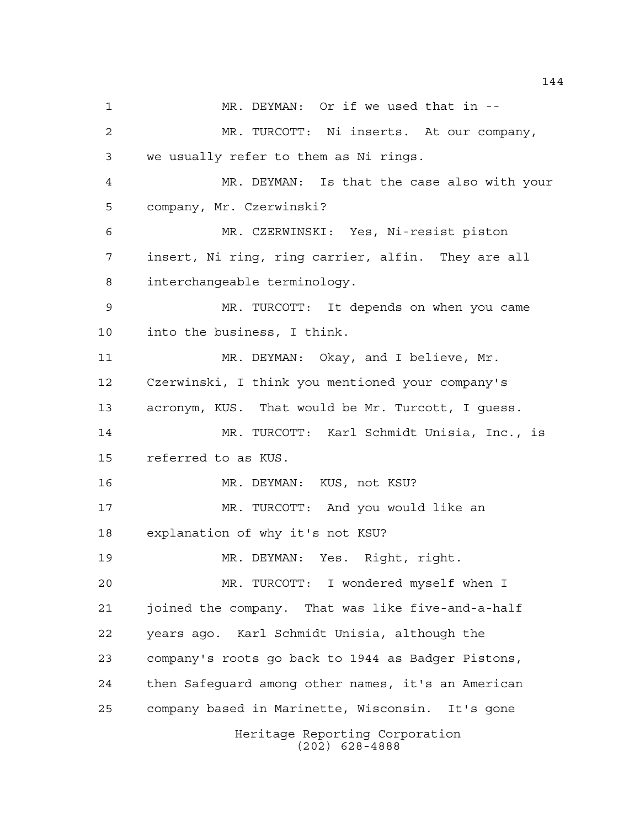Heritage Reporting Corporation (202) 628-4888 MR. DEYMAN: Or if we used that in -- MR. TURCOTT: Ni inserts. At our company, we usually refer to them as Ni rings. MR. DEYMAN: Is that the case also with your company, Mr. Czerwinski? MR. CZERWINSKI: Yes, Ni-resist piston insert, Ni ring, ring carrier, alfin. They are all interchangeable terminology. MR. TURCOTT: It depends on when you came into the business, I think. MR. DEYMAN: Okay, and I believe, Mr. Czerwinski, I think you mentioned your company's acronym, KUS. That would be Mr. Turcott, I guess. MR. TURCOTT: Karl Schmidt Unisia, Inc., is referred to as KUS. MR. DEYMAN: KUS, not KSU? MR. TURCOTT: And you would like an explanation of why it's not KSU? MR. DEYMAN: Yes. Right, right. MR. TURCOTT: I wondered myself when I joined the company. That was like five-and-a-half years ago. Karl Schmidt Unisia, although the company's roots go back to 1944 as Badger Pistons, then Safeguard among other names, it's an American company based in Marinette, Wisconsin. It's gone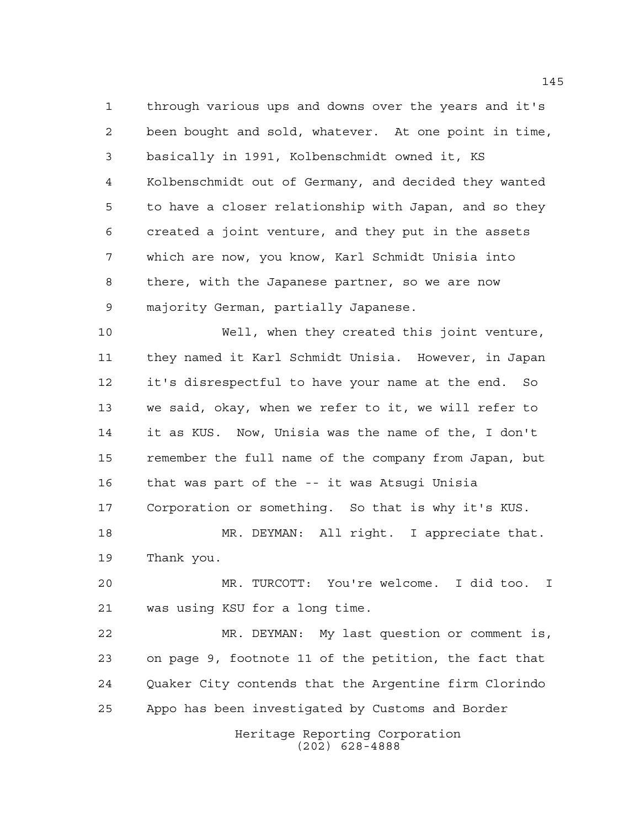through various ups and downs over the years and it's been bought and sold, whatever. At one point in time, basically in 1991, Kolbenschmidt owned it, KS Kolbenschmidt out of Germany, and decided they wanted to have a closer relationship with Japan, and so they created a joint venture, and they put in the assets which are now, you know, Karl Schmidt Unisia into there, with the Japanese partner, so we are now majority German, partially Japanese.

 Well, when they created this joint venture, they named it Karl Schmidt Unisia. However, in Japan it's disrespectful to have your name at the end. So we said, okay, when we refer to it, we will refer to it as KUS. Now, Unisia was the name of the, I don't remember the full name of the company from Japan, but that was part of the -- it was Atsugi Unisia Corporation or something. So that is why it's KUS. MR. DEYMAN: All right. I appreciate that.

Thank you.

 MR. TURCOTT: You're welcome. I did too. I was using KSU for a long time.

 MR. DEYMAN: My last question or comment is, on page 9, footnote 11 of the petition, the fact that Quaker City contends that the Argentine firm Clorindo Appo has been investigated by Customs and Border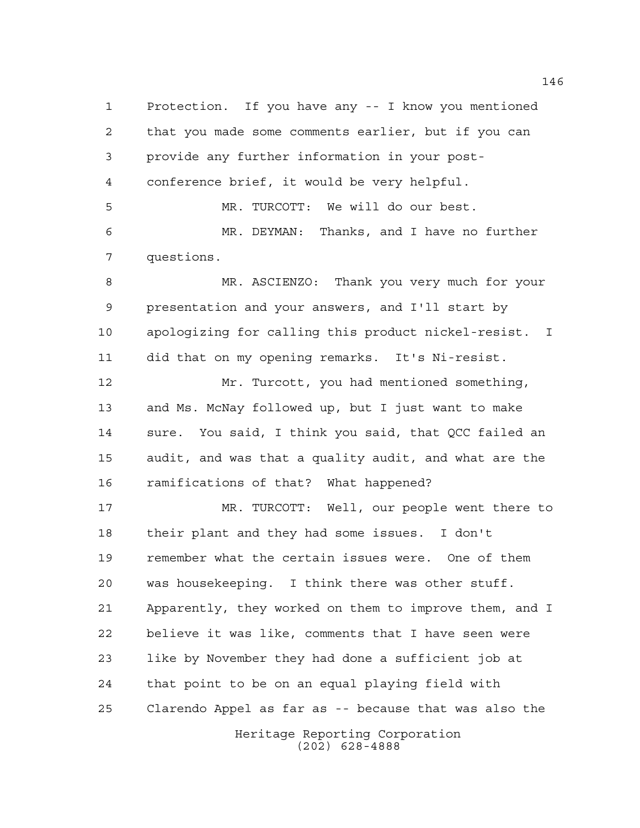Protection. If you have any -- I know you mentioned that you made some comments earlier, but if you can provide any further information in your post- conference brief, it would be very helpful. MR. TURCOTT: We will do our best. MR. DEYMAN: Thanks, and I have no further questions. MR. ASCIENZO: Thank you very much for your presentation and your answers, and I'll start by apologizing for calling this product nickel-resist. I did that on my opening remarks. It's Ni-resist. Mr. Turcott, you had mentioned something, and Ms. McNay followed up, but I just want to make sure. You said, I think you said, that QCC failed an audit, and was that a quality audit, and what are the ramifications of that? What happened? MR. TURCOTT: Well, our people went there to their plant and they had some issues. I don't remember what the certain issues were. One of them was housekeeping. I think there was other stuff. Apparently, they worked on them to improve them, and I believe it was like, comments that I have seen were like by November they had done a sufficient job at

Heritage Reporting Corporation Clarendo Appel as far as -- because that was also the

that point to be on an equal playing field with

(202) 628-4888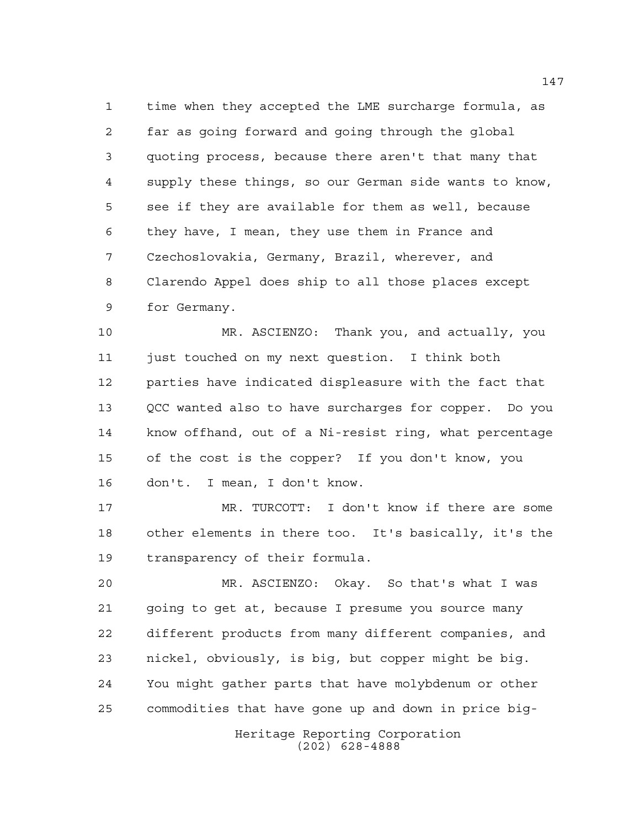time when they accepted the LME surcharge formula, as far as going forward and going through the global quoting process, because there aren't that many that supply these things, so our German side wants to know, see if they are available for them as well, because they have, I mean, they use them in France and Czechoslovakia, Germany, Brazil, wherever, and Clarendo Appel does ship to all those places except for Germany.

 MR. ASCIENZO: Thank you, and actually, you just touched on my next question. I think both parties have indicated displeasure with the fact that QCC wanted also to have surcharges for copper. Do you know offhand, out of a Ni-resist ring, what percentage of the cost is the copper? If you don't know, you don't. I mean, I don't know.

 MR. TURCOTT: I don't know if there are some other elements in there too. It's basically, it's the transparency of their formula.

 MR. ASCIENZO: Okay. So that's what I was going to get at, because I presume you source many different products from many different companies, and nickel, obviously, is big, but copper might be big. You might gather parts that have molybdenum or other commodities that have gone up and down in price big-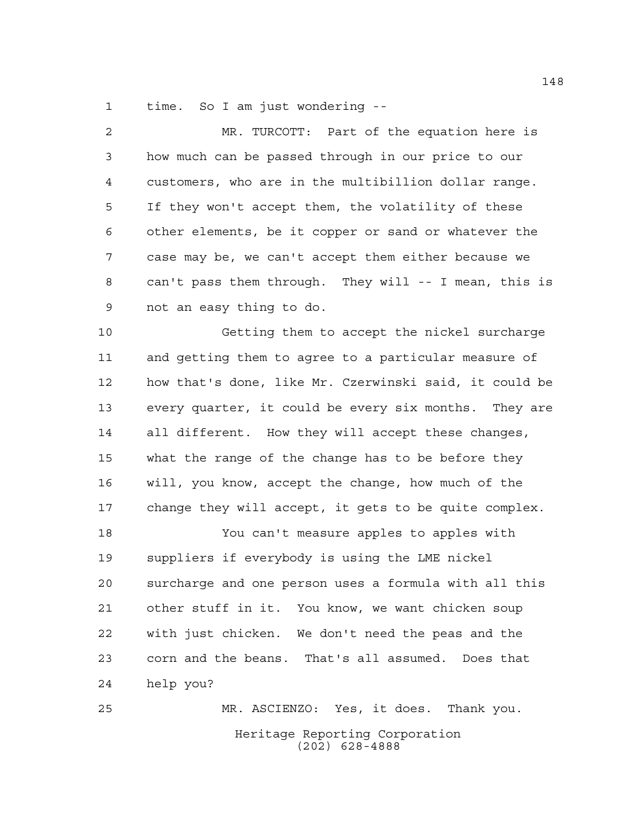time. So I am just wondering --

| $\overline{2}$ | MR. TURCOTT: Part of the equation here is              |
|----------------|--------------------------------------------------------|
| 3              | how much can be passed through in our price to our     |
| 4              | customers, who are in the multibillion dollar range.   |
| 5              | If they won't accept them, the volatility of these     |
| 6              | other elements, be it copper or sand or whatever the   |
| 7              | case may be, we can't accept them either because we    |
| 8              | can't pass them through. They will -- I mean, this is  |
| 9              | not an easy thing to do.                               |
| 10             | Getting them to accept the nickel surcharge            |
| 11             | and getting them to agree to a particular measure of   |
| 12             | how that's done, like Mr. Czerwinski said, it could be |
| 13             | every quarter, it could be every six months. They are  |
| 14             | all different. How they will accept these changes,     |
| 15             | what the range of the change has to be before they     |
| 16             | will, you know, accept the change, how much of the     |
| 17             | change they will accept, it gets to be quite complex.  |
| 18             | You can't measure apples to apples with                |
| 19             | suppliers if everybody is using the LME nickel         |
| 20             | surcharge and one person uses a formula with all this  |
| 21             | other stuff in it. You know, we want chicken soup      |
| 22             | with just chicken.<br>We don't need the peas and the   |

 corn and the beans. That's all assumed. Does that help you?

Heritage Reporting Corporation (202) 628-4888 MR. ASCIENZO: Yes, it does. Thank you.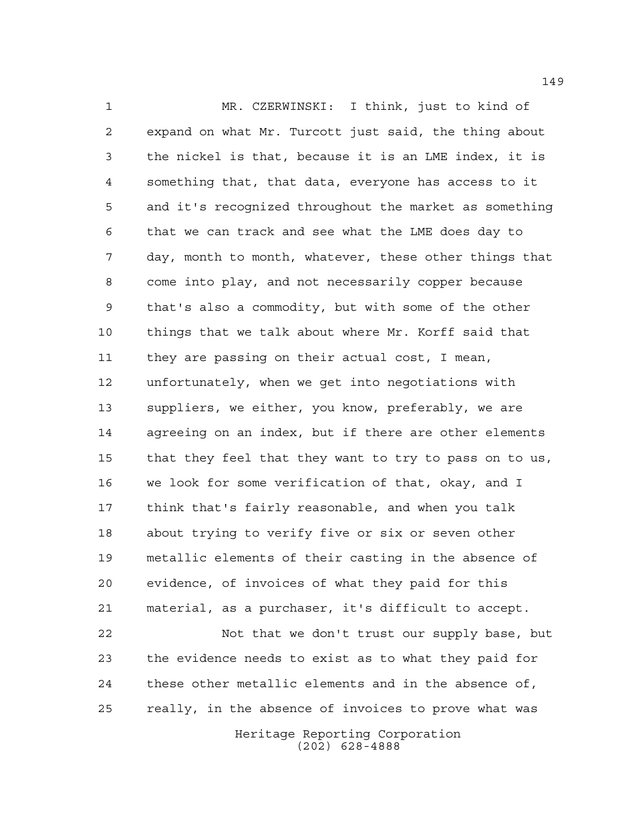MR. CZERWINSKI: I think, just to kind of expand on what Mr. Turcott just said, the thing about the nickel is that, because it is an LME index, it is something that, that data, everyone has access to it and it's recognized throughout the market as something that we can track and see what the LME does day to day, month to month, whatever, these other things that come into play, and not necessarily copper because that's also a commodity, but with some of the other things that we talk about where Mr. Korff said that they are passing on their actual cost, I mean, unfortunately, when we get into negotiations with suppliers, we either, you know, preferably, we are agreeing on an index, but if there are other elements that they feel that they want to try to pass on to us, we look for some verification of that, okay, and I think that's fairly reasonable, and when you talk about trying to verify five or six or seven other metallic elements of their casting in the absence of evidence, of invoices of what they paid for this material, as a purchaser, it's difficult to accept. Not that we don't trust our supply base, but

 the evidence needs to exist as to what they paid for these other metallic elements and in the absence of, really, in the absence of invoices to prove what was

> Heritage Reporting Corporation (202) 628-4888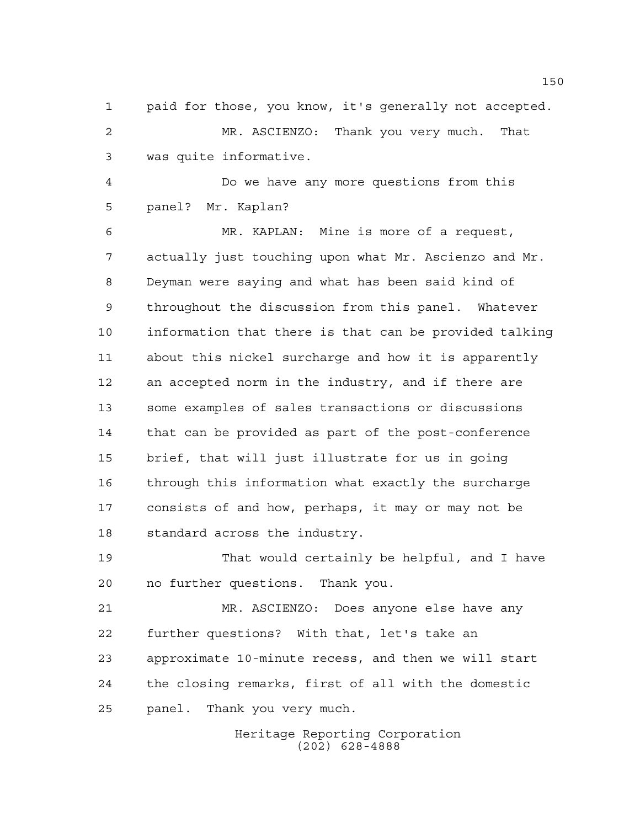paid for those, you know, it's generally not accepted. MR. ASCIENZO: Thank you very much. That was quite informative.

 Do we have any more questions from this panel? Mr. Kaplan?

 MR. KAPLAN: Mine is more of a request, actually just touching upon what Mr. Ascienzo and Mr. Deyman were saying and what has been said kind of throughout the discussion from this panel. Whatever information that there is that can be provided talking about this nickel surcharge and how it is apparently an accepted norm in the industry, and if there are some examples of sales transactions or discussions that can be provided as part of the post-conference brief, that will just illustrate for us in going through this information what exactly the surcharge consists of and how, perhaps, it may or may not be standard across the industry.

 That would certainly be helpful, and I have no further questions. Thank you.

 MR. ASCIENZO: Does anyone else have any further questions? With that, let's take an approximate 10-minute recess, and then we will start the closing remarks, first of all with the domestic panel. Thank you very much.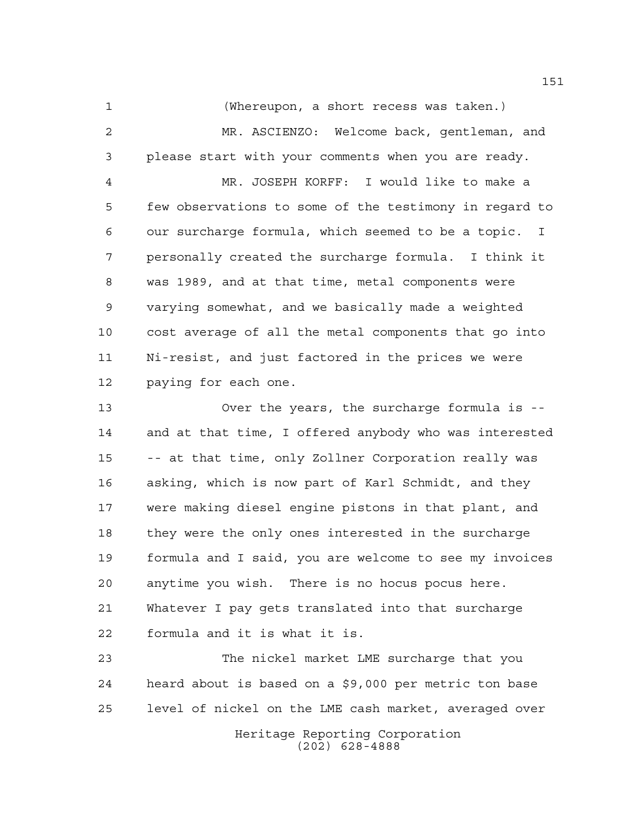(Whereupon, a short recess was taken.) MR. ASCIENZO: Welcome back, gentleman, and please start with your comments when you are ready.

 MR. JOSEPH KORFF: I would like to make a few observations to some of the testimony in regard to our surcharge formula, which seemed to be a topic. I personally created the surcharge formula. I think it was 1989, and at that time, metal components were varying somewhat, and we basically made a weighted cost average of all the metal components that go into Ni-resist, and just factored in the prices we were paying for each one.

 Over the years, the surcharge formula is -- and at that time, I offered anybody who was interested -- at that time, only Zollner Corporation really was asking, which is now part of Karl Schmidt, and they were making diesel engine pistons in that plant, and they were the only ones interested in the surcharge formula and I said, you are welcome to see my invoices anytime you wish. There is no hocus pocus here. Whatever I pay gets translated into that surcharge formula and it is what it is.

 The nickel market LME surcharge that you heard about is based on a \$9,000 per metric ton base level of nickel on the LME cash market, averaged over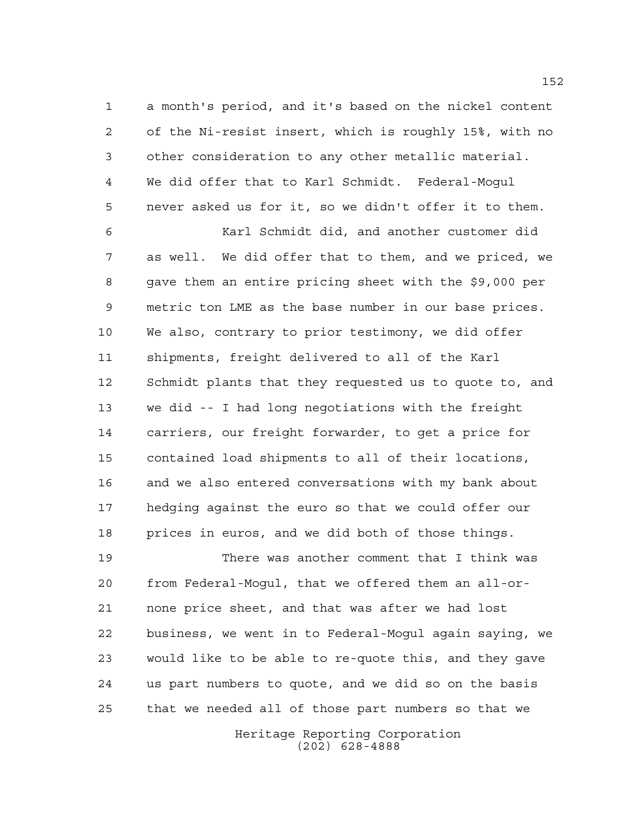a month's period, and it's based on the nickel content of the Ni-resist insert, which is roughly 15%, with no other consideration to any other metallic material. We did offer that to Karl Schmidt. Federal-Mogul never asked us for it, so we didn't offer it to them.

 Karl Schmidt did, and another customer did as well. We did offer that to them, and we priced, we gave them an entire pricing sheet with the \$9,000 per metric ton LME as the base number in our base prices. We also, contrary to prior testimony, we did offer shipments, freight delivered to all of the Karl Schmidt plants that they requested us to quote to, and we did -- I had long negotiations with the freight carriers, our freight forwarder, to get a price for contained load shipments to all of their locations, and we also entered conversations with my bank about hedging against the euro so that we could offer our prices in euros, and we did both of those things.

 There was another comment that I think was from Federal-Mogul, that we offered them an all-or- none price sheet, and that was after we had lost business, we went in to Federal-Mogul again saying, we would like to be able to re-quote this, and they gave us part numbers to quote, and we did so on the basis that we needed all of those part numbers so that we

> Heritage Reporting Corporation (202) 628-4888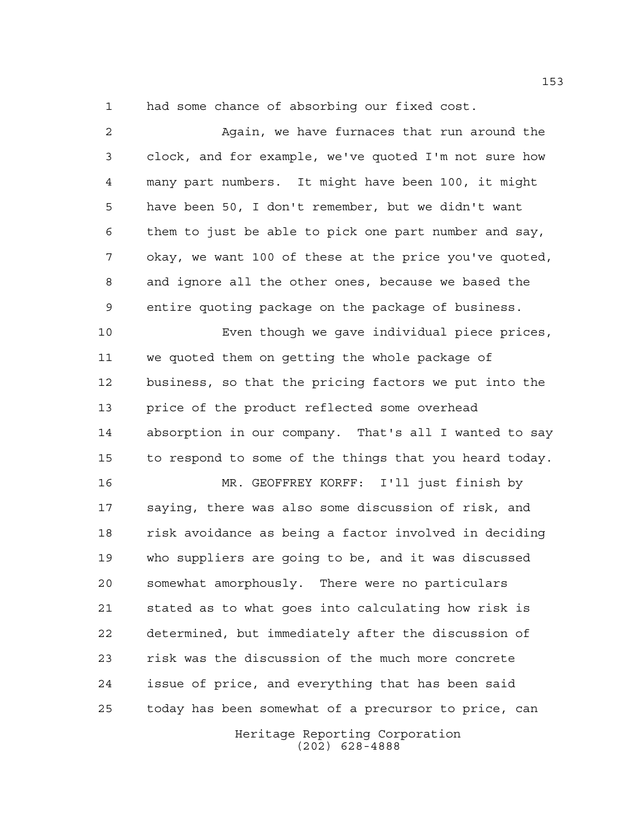had some chance of absorbing our fixed cost.

 Again, we have furnaces that run around the clock, and for example, we've quoted I'm not sure how many part numbers. It might have been 100, it might have been 50, I don't remember, but we didn't want them to just be able to pick one part number and say, okay, we want 100 of these at the price you've quoted, and ignore all the other ones, because we based the entire quoting package on the package of business. Even though we gave individual piece prices, we quoted them on getting the whole package of business, so that the pricing factors we put into the price of the product reflected some overhead absorption in our company. That's all I wanted to say to respond to some of the things that you heard today. MR. GEOFFREY KORFF: I'll just finish by saying, there was also some discussion of risk, and risk avoidance as being a factor involved in deciding who suppliers are going to be, and it was discussed somewhat amorphously. There were no particulars stated as to what goes into calculating how risk is determined, but immediately after the discussion of risk was the discussion of the much more concrete issue of price, and everything that has been said today has been somewhat of a precursor to price, can

Heritage Reporting Corporation (202) 628-4888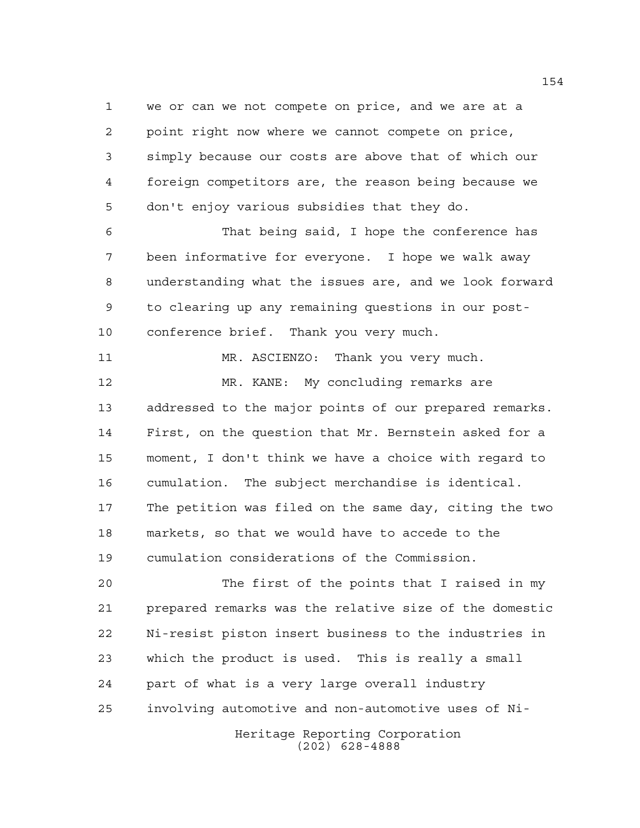we or can we not compete on price, and we are at a point right now where we cannot compete on price, simply because our costs are above that of which our foreign competitors are, the reason being because we don't enjoy various subsidies that they do.

 That being said, I hope the conference has been informative for everyone. I hope we walk away understanding what the issues are, and we look forward to clearing up any remaining questions in our post-conference brief. Thank you very much.

11 MR. ASCIENZO: Thank you very much. MR. KANE: My concluding remarks are addressed to the major points of our prepared remarks. First, on the question that Mr. Bernstein asked for a moment, I don't think we have a choice with regard to cumulation. The subject merchandise is identical. The petition was filed on the same day, citing the two markets, so that we would have to accede to the cumulation considerations of the Commission.

 The first of the points that I raised in my prepared remarks was the relative size of the domestic Ni-resist piston insert business to the industries in which the product is used. This is really a small part of what is a very large overall industry involving automotive and non-automotive uses of Ni-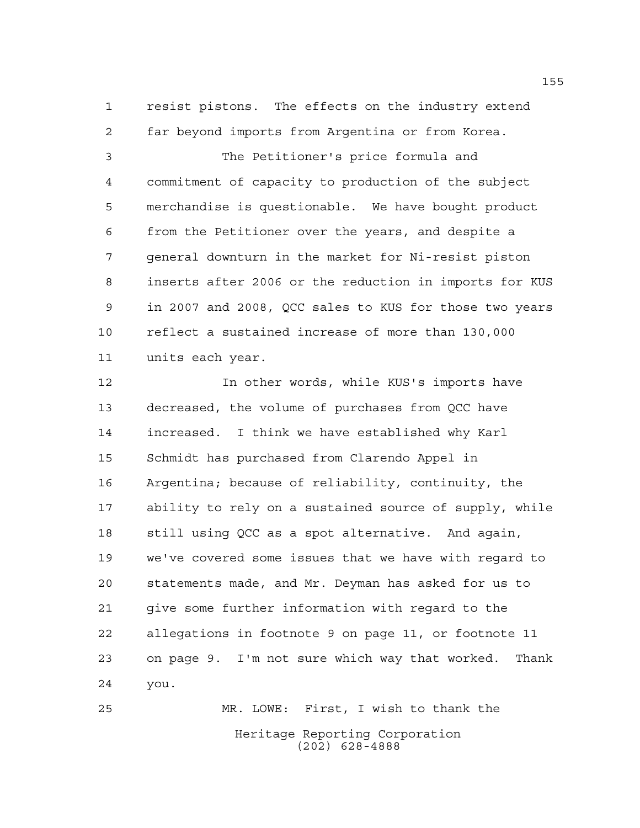resist pistons. The effects on the industry extend far beyond imports from Argentina or from Korea.

 The Petitioner's price formula and commitment of capacity to production of the subject merchandise is questionable. We have bought product from the Petitioner over the years, and despite a general downturn in the market for Ni-resist piston inserts after 2006 or the reduction in imports for KUS in 2007 and 2008, QCC sales to KUS for those two years reflect a sustained increase of more than 130,000 units each year.

 In other words, while KUS's imports have decreased, the volume of purchases from QCC have increased. I think we have established why Karl Schmidt has purchased from Clarendo Appel in Argentina; because of reliability, continuity, the ability to rely on a sustained source of supply, while still using QCC as a spot alternative. And again, we've covered some issues that we have with regard to statements made, and Mr. Deyman has asked for us to give some further information with regard to the allegations in footnote 9 on page 11, or footnote 11 on page 9. I'm not sure which way that worked. Thank you.

Heritage Reporting Corporation (202) 628-4888 MR. LOWE: First, I wish to thank the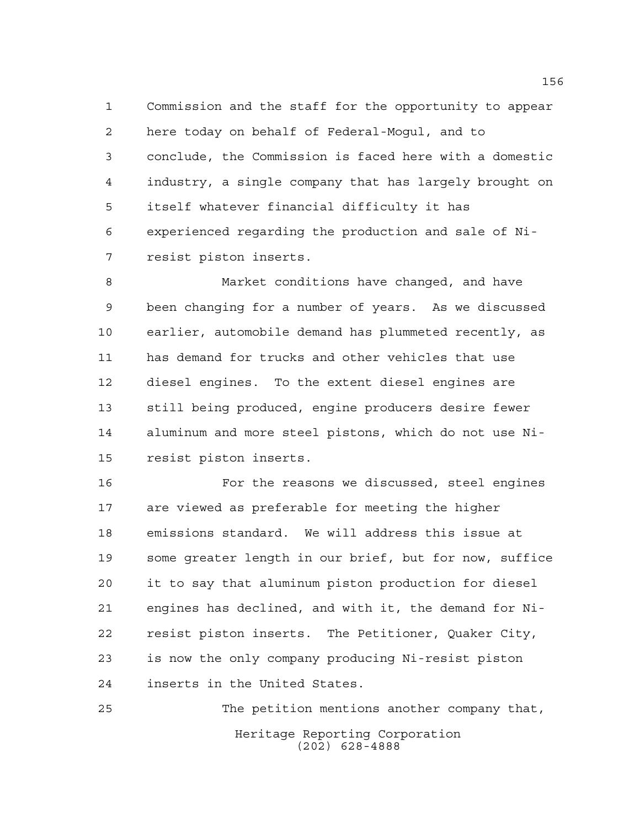Commission and the staff for the opportunity to appear here today on behalf of Federal-Mogul, and to conclude, the Commission is faced here with a domestic industry, a single company that has largely brought on itself whatever financial difficulty it has experienced regarding the production and sale of Ni-resist piston inserts.

 Market conditions have changed, and have been changing for a number of years. As we discussed earlier, automobile demand has plummeted recently, as has demand for trucks and other vehicles that use diesel engines. To the extent diesel engines are still being produced, engine producers desire fewer aluminum and more steel pistons, which do not use Ni-resist piston inserts.

 For the reasons we discussed, steel engines are viewed as preferable for meeting the higher emissions standard. We will address this issue at some greater length in our brief, but for now, suffice it to say that aluminum piston production for diesel engines has declined, and with it, the demand for Ni- resist piston inserts. The Petitioner, Quaker City, is now the only company producing Ni-resist piston inserts in the United States.

Heritage Reporting Corporation (202) 628-4888 The petition mentions another company that,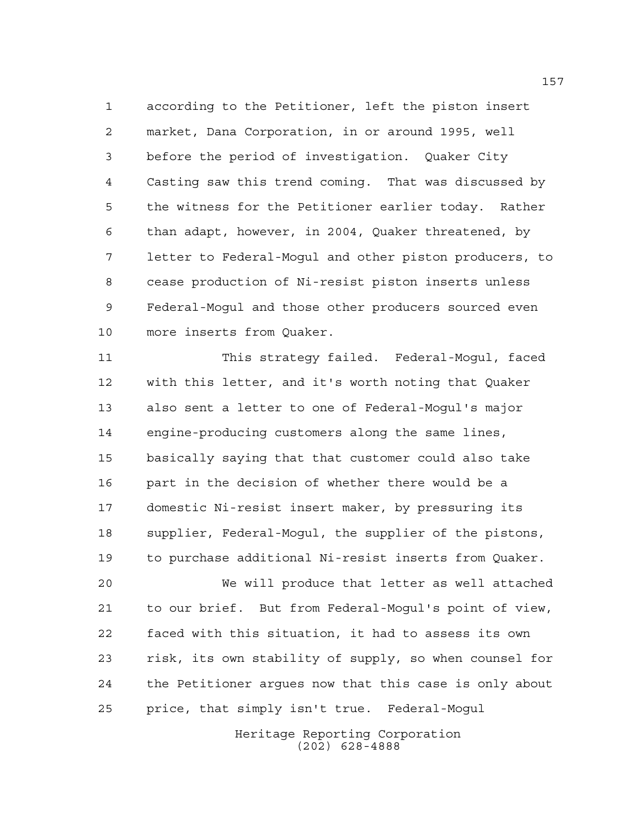according to the Petitioner, left the piston insert market, Dana Corporation, in or around 1995, well before the period of investigation. Quaker City Casting saw this trend coming. That was discussed by the witness for the Petitioner earlier today. Rather than adapt, however, in 2004, Quaker threatened, by letter to Federal-Mogul and other piston producers, to cease production of Ni-resist piston inserts unless Federal-Mogul and those other producers sourced even more inserts from Quaker.

 This strategy failed. Federal-Mogul, faced with this letter, and it's worth noting that Quaker also sent a letter to one of Federal-Mogul's major engine-producing customers along the same lines, basically saying that that customer could also take part in the decision of whether there would be a domestic Ni-resist insert maker, by pressuring its supplier, Federal-Mogul, the supplier of the pistons, to purchase additional Ni-resist inserts from Quaker.

 We will produce that letter as well attached to our brief. But from Federal-Mogul's point of view, faced with this situation, it had to assess its own risk, its own stability of supply, so when counsel for the Petitioner argues now that this case is only about price, that simply isn't true. Federal-Mogul

> Heritage Reporting Corporation (202) 628-4888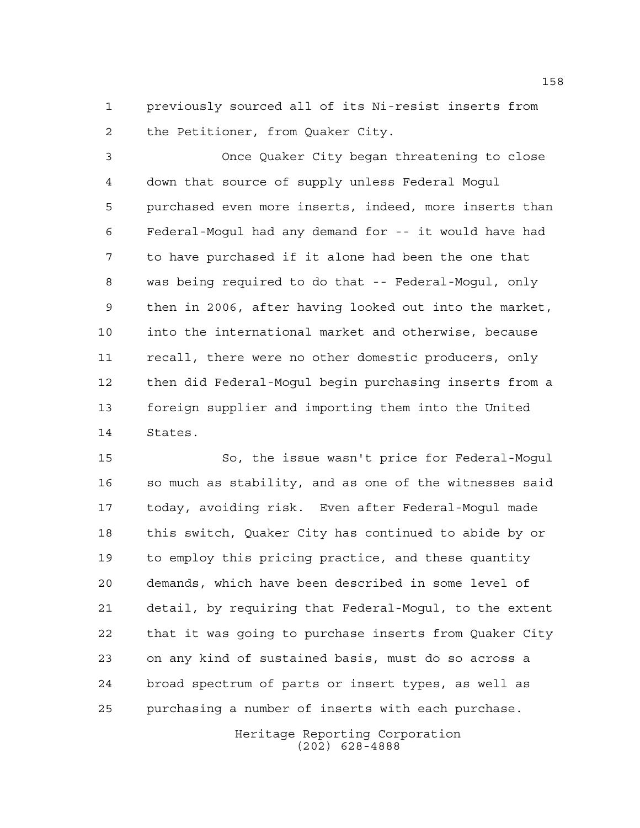previously sourced all of its Ni-resist inserts from the Petitioner, from Quaker City.

 Once Quaker City began threatening to close down that source of supply unless Federal Mogul purchased even more inserts, indeed, more inserts than Federal-Mogul had any demand for -- it would have had to have purchased if it alone had been the one that was being required to do that -- Federal-Mogul, only then in 2006, after having looked out into the market, into the international market and otherwise, because recall, there were no other domestic producers, only then did Federal-Mogul begin purchasing inserts from a foreign supplier and importing them into the United States.

 So, the issue wasn't price for Federal-Mogul so much as stability, and as one of the witnesses said today, avoiding risk. Even after Federal-Mogul made this switch, Quaker City has continued to abide by or to employ this pricing practice, and these quantity demands, which have been described in some level of detail, by requiring that Federal-Mogul, to the extent that it was going to purchase inserts from Quaker City on any kind of sustained basis, must do so across a broad spectrum of parts or insert types, as well as purchasing a number of inserts with each purchase.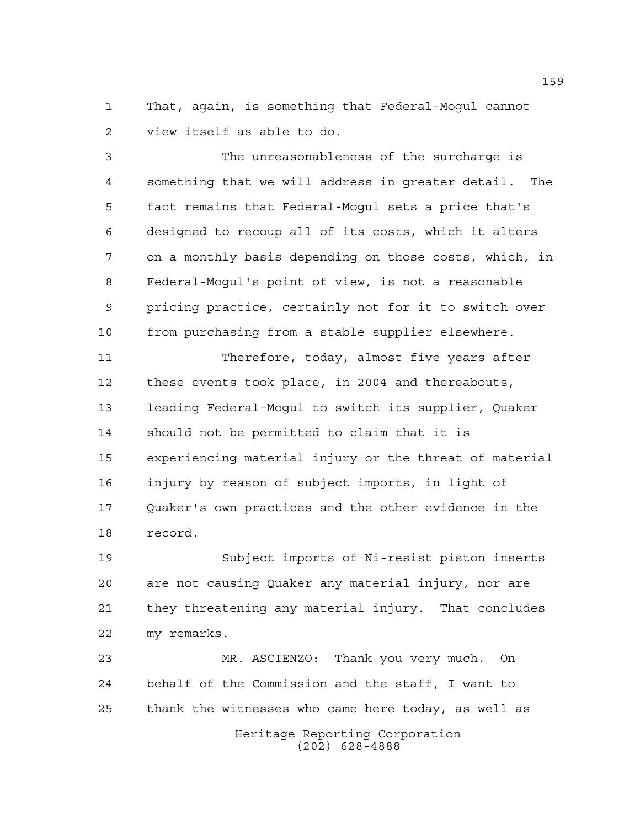That, again, is something that Federal-Mogul cannot view itself as able to do.

 The unreasonableness of the surcharge is something that we will address in greater detail. The fact remains that Federal-Mogul sets a price that's designed to recoup all of its costs, which it alters on a monthly basis depending on those costs, which, in Federal-Mogul's point of view, is not a reasonable pricing practice, certainly not for it to switch over from purchasing from a stable supplier elsewhere.

 Therefore, today, almost five years after these events took place, in 2004 and thereabouts, leading Federal-Mogul to switch its supplier, Quaker should not be permitted to claim that it is experiencing material injury or the threat of material injury by reason of subject imports, in light of Quaker's own practices and the other evidence in the record.

 Subject imports of Ni-resist piston inserts are not causing Quaker any material injury, nor are they threatening any material injury. That concludes my remarks.

Heritage Reporting Corporation MR. ASCIENZO: Thank you very much. On behalf of the Commission and the staff, I want to thank the witnesses who came here today, as well as

(202) 628-4888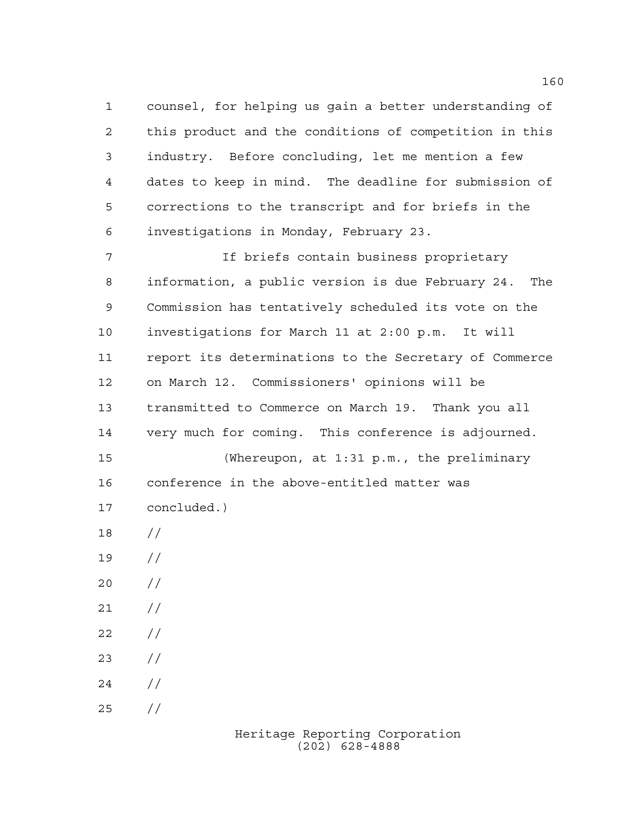counsel, for helping us gain a better understanding of this product and the conditions of competition in this industry. Before concluding, let me mention a few dates to keep in mind. The deadline for submission of corrections to the transcript and for briefs in the investigations in Monday, February 23.

 If briefs contain business proprietary information, a public version is due February 24. The Commission has tentatively scheduled its vote on the investigations for March 11 at 2:00 p.m. It will report its determinations to the Secretary of Commerce on March 12. Commissioners' opinions will be transmitted to Commerce on March 19. Thank you all very much for coming. This conference is adjourned. (Whereupon, at 1:31 p.m., the preliminary conference in the above-entitled matter was concluded.) // //  $20 /$  $21 /$ 

- $22 / /$
- $23 / /$
- $24 /$
- $25 / /$